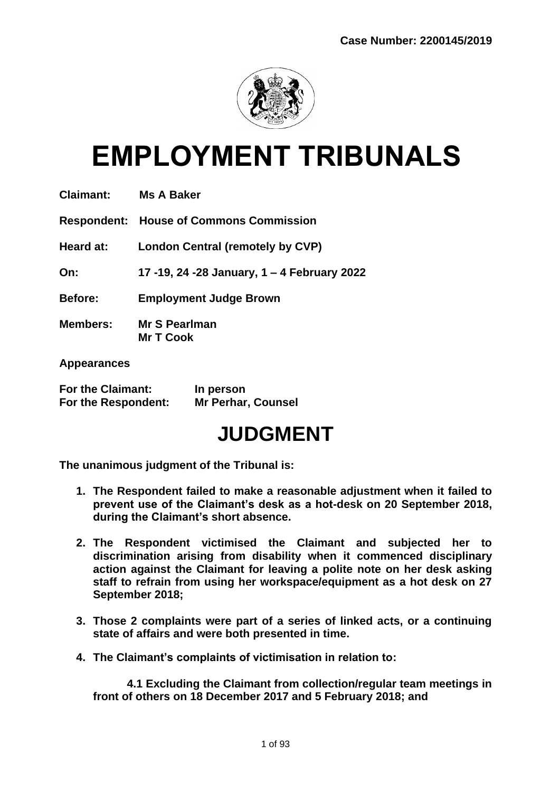

# **EMPLOYMENT TRIBUNALS**

**Claimant: Ms A Baker**

**Respondent: House of Commons Commission**

**Heard at: London Central (remotely by CVP)**

**On: 17 -19, 24 -28 January, 1 – 4 February 2022**

- **Before: Employment Judge Brown**
- **Members: Mr S Pearlman Mr T Cook**

#### **Appearances**

| For the Claimant:   | In person                 |
|---------------------|---------------------------|
| For the Respondent: | <b>Mr Perhar, Counsel</b> |

# **JUDGMENT**

**The unanimous judgment of the Tribunal is:**

- **1. The Respondent failed to make a reasonable adjustment when it failed to prevent use of the Claimant's desk as a hot-desk on 20 September 2018, during the Claimant's short absence.**
- **2. The Respondent victimised the Claimant and subjected her to discrimination arising from disability when it commenced disciplinary action against the Claimant for leaving a polite note on her desk asking staff to refrain from using her workspace/equipment as a hot desk on 27 September 2018;**
- **3. Those 2 complaints were part of a series of linked acts, or a continuing state of affairs and were both presented in time.**
- **4. The Claimant's complaints of victimisation in relation to:**

**4.1 Excluding the Claimant from collection/regular team meetings in front of others on 18 December 2017 and 5 February 2018; and**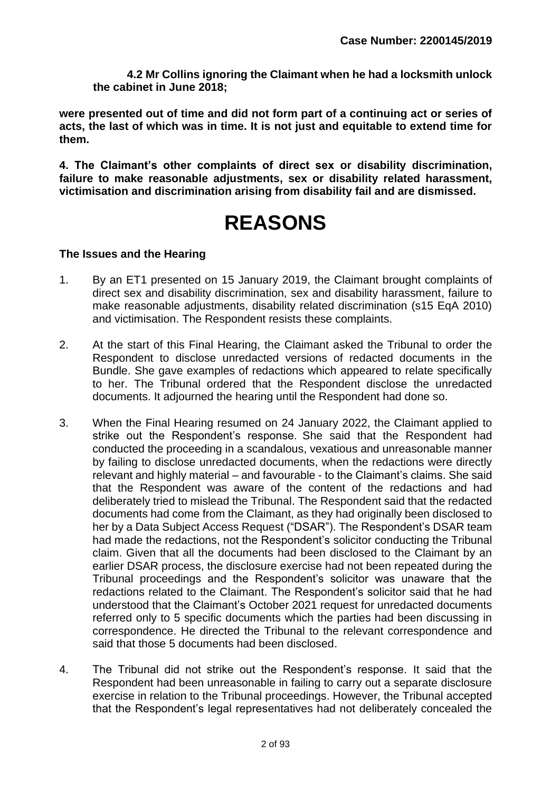**4.2 Mr Collins ignoring the Claimant when he had a locksmith unlock the cabinet in June 2018;**

**were presented out of time and did not form part of a continuing act or series of acts, the last of which was in time. It is not just and equitable to extend time for them.**

**4. The Claimant's other complaints of direct sex or disability discrimination, failure to make reasonable adjustments, sex or disability related harassment, victimisation and discrimination arising from disability fail and are dismissed.** 

# **REASONS**

#### **The Issues and the Hearing**

- 1. By an ET1 presented on 15 January 2019, the Claimant brought complaints of direct sex and disability discrimination, sex and disability harassment, failure to make reasonable adjustments, disability related discrimination (s15 EqA 2010) and victimisation. The Respondent resists these complaints.
- 2. At the start of this Final Hearing, the Claimant asked the Tribunal to order the Respondent to disclose unredacted versions of redacted documents in the Bundle. She gave examples of redactions which appeared to relate specifically to her. The Tribunal ordered that the Respondent disclose the unredacted documents. It adjourned the hearing until the Respondent had done so.
- 3. When the Final Hearing resumed on 24 January 2022, the Claimant applied to strike out the Respondent's response. She said that the Respondent had conducted the proceeding in a scandalous, vexatious and unreasonable manner by failing to disclose unredacted documents, when the redactions were directly relevant and highly material – and favourable - to the Claimant's claims. She said that the Respondent was aware of the content of the redactions and had deliberately tried to mislead the Tribunal. The Respondent said that the redacted documents had come from the Claimant, as they had originally been disclosed to her by a Data Subject Access Request ("DSAR"). The Respondent's DSAR team had made the redactions, not the Respondent's solicitor conducting the Tribunal claim. Given that all the documents had been disclosed to the Claimant by an earlier DSAR process, the disclosure exercise had not been repeated during the Tribunal proceedings and the Respondent's solicitor was unaware that the redactions related to the Claimant. The Respondent's solicitor said that he had understood that the Claimant's October 2021 request for unredacted documents referred only to 5 specific documents which the parties had been discussing in correspondence. He directed the Tribunal to the relevant correspondence and said that those 5 documents had been disclosed.
- 4. The Tribunal did not strike out the Respondent's response. It said that the Respondent had been unreasonable in failing to carry out a separate disclosure exercise in relation to the Tribunal proceedings. However, the Tribunal accepted that the Respondent's legal representatives had not deliberately concealed the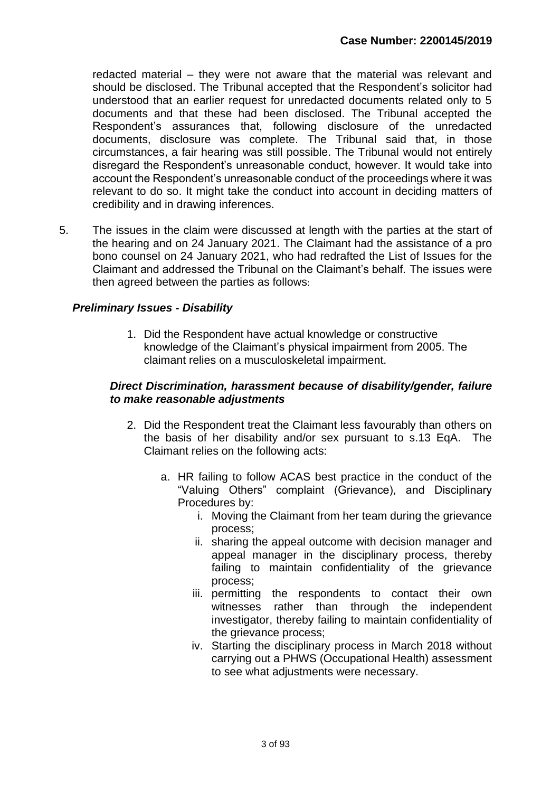redacted material – they were not aware that the material was relevant and should be disclosed. The Tribunal accepted that the Respondent's solicitor had understood that an earlier request for unredacted documents related only to 5 documents and that these had been disclosed. The Tribunal accepted the Respondent's assurances that, following disclosure of the unredacted documents, disclosure was complete. The Tribunal said that, in those circumstances, a fair hearing was still possible. The Tribunal would not entirely disregard the Respondent's unreasonable conduct, however. It would take into account the Respondent's unreasonable conduct of the proceedings where it was relevant to do so. It might take the conduct into account in deciding matters of credibility and in drawing inferences.

5. The issues in the claim were discussed at length with the parties at the start of the hearing and on 24 January 2021. The Claimant had the assistance of a pro bono counsel on 24 January 2021, who had redrafted the List of Issues for the Claimant and addressed the Tribunal on the Claimant's behalf. The issues were then agreed between the parties as follows:

# *Preliminary Issues - Disability*

1. Did the Respondent have actual knowledge or constructive knowledge of the Claimant's physical impairment from 2005. The claimant relies on a musculoskeletal impairment.

#### *Direct Discrimination, harassment because of disability/gender, failure to make reasonable adjustments*

- 2. Did the Respondent treat the Claimant less favourably than others on the basis of her disability and/or sex pursuant to s.13 EqA. The Claimant relies on the following acts:
	- a. HR failing to follow ACAS best practice in the conduct of the "Valuing Others" complaint (Grievance), and Disciplinary Procedures by:
		- i. Moving the Claimant from her team during the grievance process;
		- ii. sharing the appeal outcome with decision manager and appeal manager in the disciplinary process, thereby failing to maintain confidentiality of the grievance process;
		- iii. permitting the respondents to contact their own witnesses rather than through the independent investigator, thereby failing to maintain confidentiality of the grievance process;
		- iv. Starting the disciplinary process in March 2018 without carrying out a PHWS (Occupational Health) assessment to see what adjustments were necessary.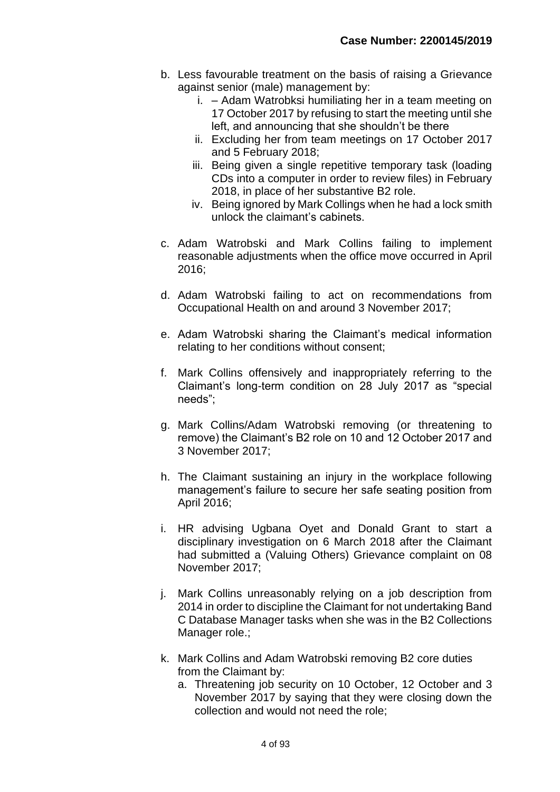- b. Less favourable treatment on the basis of raising a Grievance against senior (male) management by:
	- i. Adam Watrobksi humiliating her in a team meeting on 17 October 2017 by refusing to start the meeting until she left, and announcing that she shouldn't be there
	- ii. Excluding her from team meetings on 17 October 2017 and 5 February 2018;
	- iii. Being given a single repetitive temporary task (loading CDs into a computer in order to review files) in February 2018, in place of her substantive B2 role.
	- iv. Being ignored by Mark Collings when he had a lock smith unlock the claimant's cabinets.
- c. Adam Watrobski and Mark Collins failing to implement reasonable adjustments when the office move occurred in April 2016;
- d. Adam Watrobski failing to act on recommendations from Occupational Health on and around 3 November 2017;
- e. Adam Watrobski sharing the Claimant's medical information relating to her conditions without consent;
- f. Mark Collins offensively and inappropriately referring to the Claimant's long-term condition on 28 July 2017 as "special needs";
- g. Mark Collins/Adam Watrobski removing (or threatening to remove) the Claimant's B2 role on 10 and 12 October 2017 and 3 November 2017;
- h. The Claimant sustaining an injury in the workplace following management's failure to secure her safe seating position from April 2016;
- i. HR advising Ugbana Oyet and Donald Grant to start a disciplinary investigation on 6 March 2018 after the Claimant had submitted a (Valuing Others) Grievance complaint on 08 November 2017;
- j. Mark Collins unreasonably relying on a job description from 2014 in order to discipline the Claimant for not undertaking Band C Database Manager tasks when she was in the B2 Collections Manager role.;
- k. Mark Collins and Adam Watrobski removing B2 core duties from the Claimant by:
	- a. Threatening job security on 10 October, 12 October and 3 November 2017 by saying that they were closing down the collection and would not need the role;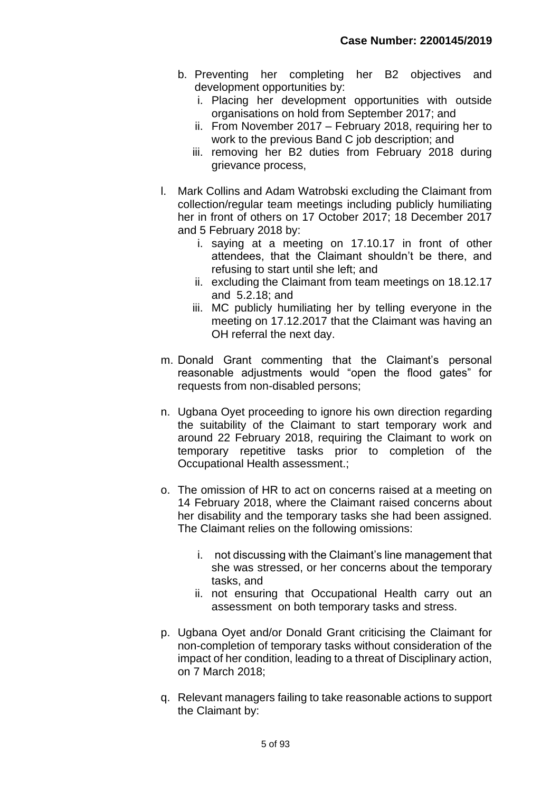- b. Preventing her completing her B2 objectives and development opportunities by:
	- i. Placing her development opportunities with outside organisations on hold from September 2017; and
	- ii. From November 2017 February 2018, requiring her to work to the previous Band C job description; and
	- iii. removing her B2 duties from February 2018 during grievance process,
- l. Mark Collins and Adam Watrobski excluding the Claimant from collection/regular team meetings including publicly humiliating her in front of others on 17 October 2017; 18 December 2017 and 5 February 2018 by:
	- i. saying at a meeting on 17.10.17 in front of other attendees, that the Claimant shouldn't be there, and refusing to start until she left; and
	- ii. excluding the Claimant from team meetings on 18.12.17 and 5.2.18; and
	- iii. MC publicly humiliating her by telling everyone in the meeting on 17.12.2017 that the Claimant was having an OH referral the next day.
- m. Donald Grant commenting that the Claimant's personal reasonable adjustments would "open the flood gates" for requests from non-disabled persons;
- n. Ugbana Oyet proceeding to ignore his own direction regarding the suitability of the Claimant to start temporary work and around 22 February 2018, requiring the Claimant to work on temporary repetitive tasks prior to completion of the Occupational Health assessment.;
- o. The omission of HR to act on concerns raised at a meeting on 14 February 2018, where the Claimant raised concerns about her disability and the temporary tasks she had been assigned. The Claimant relies on the following omissions:
	- i. not discussing with the Claimant's line management that she was stressed, or her concerns about the temporary tasks, and
	- ii. not ensuring that Occupational Health carry out an assessment on both temporary tasks and stress.
- p. Ugbana Oyet and/or Donald Grant criticising the Claimant for non-completion of temporary tasks without consideration of the impact of her condition, leading to a threat of Disciplinary action, on 7 March 2018;
- q. Relevant managers failing to take reasonable actions to support the Claimant by: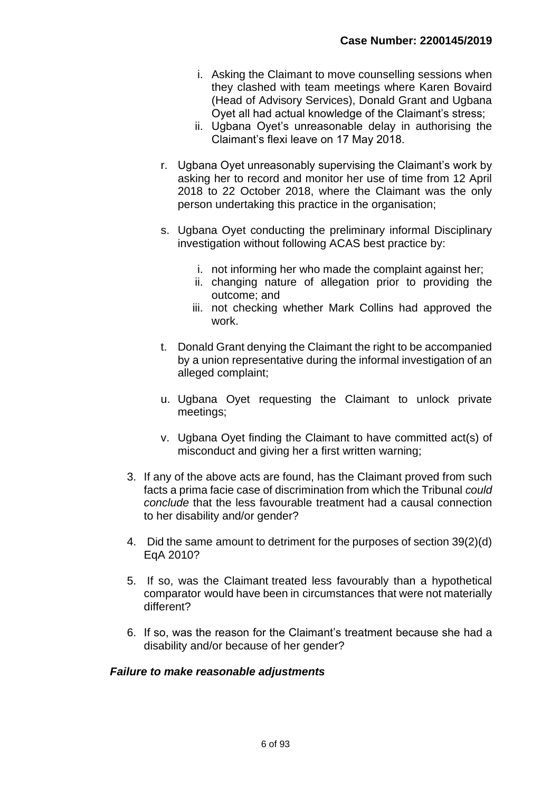- i. Asking the Claimant to move counselling sessions when they clashed with team meetings where Karen Bovaird (Head of Advisory Services), Donald Grant and Ugbana Oyet all had actual knowledge of the Claimant's stress;
- ii. Ugbana Oyet's unreasonable delay in authorising the Claimant's flexi leave on 17 May 2018.
- r. Ugbana Oyet unreasonably supervising the Claimant's work by asking her to record and monitor her use of time from 12 April 2018 to 22 October 2018, where the Claimant was the only person undertaking this practice in the organisation;
- s. Ugbana Oyet conducting the preliminary informal Disciplinary investigation without following ACAS best practice by:
	- i. not informing her who made the complaint against her;
	- ii. changing nature of allegation prior to providing the outcome; and
	- iii. not checking whether Mark Collins had approved the work.
- t. Donald Grant denying the Claimant the right to be accompanied by a union representative during the informal investigation of an alleged complaint;
- u. Ugbana Oyet requesting the Claimant to unlock private meetings;
- v. Ugbana Oyet finding the Claimant to have committed act(s) of misconduct and giving her a first written warning;
- 3. If any of the above acts are found, has the Claimant proved from such facts a prima facie case of discrimination from which the Tribunal *could conclude* that the less favourable treatment had a causal connection to her disability and/or gender?
- 4. Did the same amount to detriment for the purposes of section 39(2)(d) EqA 2010?
- 5. If so, was the Claimant treated less favourably than a hypothetical comparator would have been in circumstances that were not materially different?
- 6. If so, was the reason for the Claimant's treatment because she had a disability and/or because of her gender?

#### *Failure to make reasonable adjustments*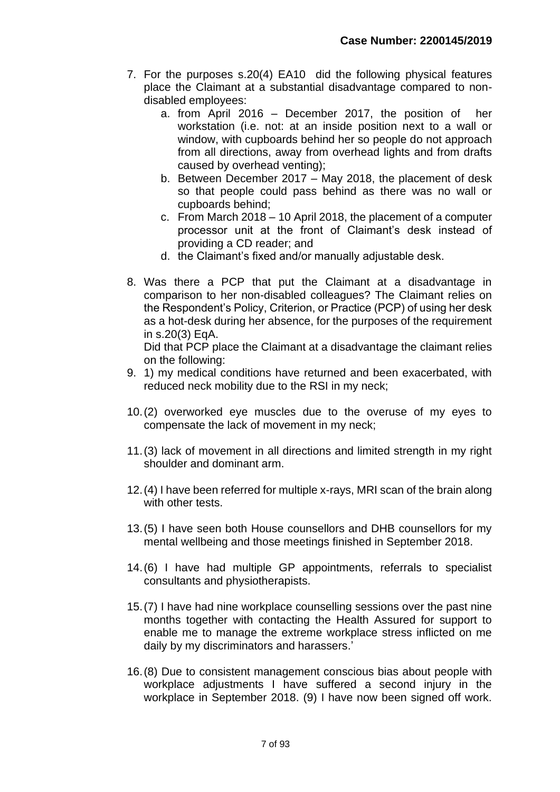- 7. For the purposes s.20(4) EA10 did the following physical features place the Claimant at a substantial disadvantage compared to nondisabled employees:
	- a. from April 2016 December 2017, the position of her workstation (i.e. not: at an inside position next to a wall or window, with cupboards behind her so people do not approach from all directions, away from overhead lights and from drafts caused by overhead venting);
	- b. Between December 2017 May 2018, the placement of desk so that people could pass behind as there was no wall or cupboards behind;
	- c. From March 2018 10 April 2018, the placement of a computer processor unit at the front of Claimant's desk instead of providing a CD reader; and
	- d. the Claimant's fixed and/or manually adjustable desk.
- 8. Was there a PCP that put the Claimant at a disadvantage in comparison to her non-disabled colleagues? The Claimant relies on the Respondent's Policy, Criterion, or Practice (PCP) of using her desk as a hot-desk during her absence, for the purposes of the requirement in s.20(3) EqA.

Did that PCP place the Claimant at a disadvantage the claimant relies on the following:

- 9. 1) my medical conditions have returned and been exacerbated, with reduced neck mobility due to the RSI in my neck;
- 10.(2) overworked eye muscles due to the overuse of my eyes to compensate the lack of movement in my neck;
- 11.(3) lack of movement in all directions and limited strength in my right shoulder and dominant arm.
- 12.(4) I have been referred for multiple x-rays, MRI scan of the brain along with other tests.
- 13.(5) I have seen both House counsellors and DHB counsellors for my mental wellbeing and those meetings finished in September 2018.
- 14.(6) I have had multiple GP appointments, referrals to specialist consultants and physiotherapists.
- 15.(7) I have had nine workplace counselling sessions over the past nine months together with contacting the Health Assured for support to enable me to manage the extreme workplace stress inflicted on me daily by my discriminators and harassers.'
- 16.(8) Due to consistent management conscious bias about people with workplace adjustments I have suffered a second injury in the workplace in September 2018. (9) I have now been signed off work.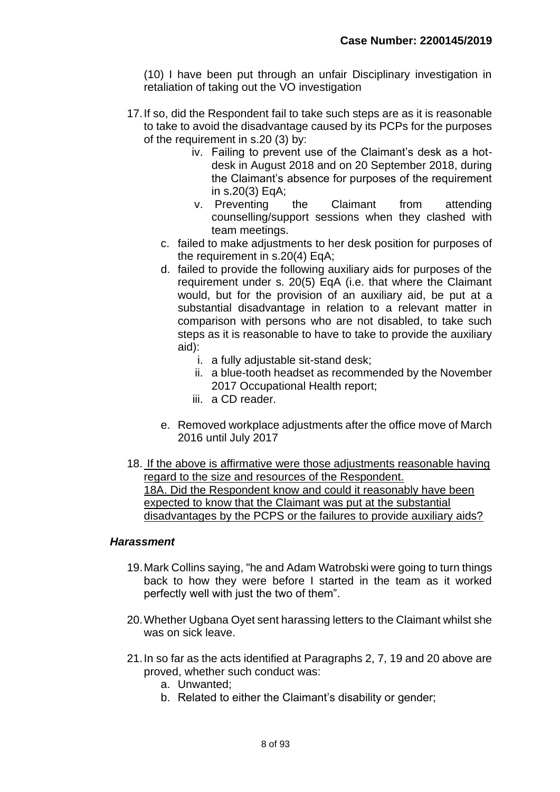(10) I have been put through an unfair Disciplinary investigation in retaliation of taking out the VO investigation

- 17.If so, did the Respondent fail to take such steps are as it is reasonable to take to avoid the disadvantage caused by its PCPs for the purposes of the requirement in s.20 (3) by:
	- iv. Failing to prevent use of the Claimant's desk as a hotdesk in August 2018 and on 20 September 2018, during the Claimant's absence for purposes of the requirement in s.20(3) EqA;
	- v. Preventing the Claimant from attending counselling/support sessions when they clashed with team meetings.
	- c. failed to make adjustments to her desk position for purposes of the requirement in s.20(4) EqA;
	- d. failed to provide the following auxiliary aids for purposes of the requirement under s. 20(5) EqA (i.e. that where the Claimant would, but for the provision of an auxiliary aid, be put at a substantial disadvantage in relation to a relevant matter in comparison with persons who are not disabled, to take such steps as it is reasonable to have to take to provide the auxiliary aid):
		- i. a fully adjustable sit-stand desk;
		- ii. a blue-tooth headset as recommended by the November 2017 Occupational Health report;
		- iii. a CD reader.
	- e. Removed workplace adjustments after the office move of March 2016 until July 2017
- 18. If the above is affirmative were those adjustments reasonable having regard to the size and resources of the Respondent. 18A. Did the Respondent know and could it reasonably have been expected to know that the Claimant was put at the substantial disadvantages by the PCPS or the failures to provide auxiliary aids?

#### *Harassment*

- 19.Mark Collins saying, "he and Adam Watrobski were going to turn things back to how they were before I started in the team as it worked perfectly well with just the two of them".
- 20.Whether Ugbana Oyet sent harassing letters to the Claimant whilst she was on sick leave.
- 21.In so far as the acts identified at Paragraphs 2, 7, 19 and 20 above are proved, whether such conduct was:
	- a. Unwanted;
	- b. Related to either the Claimant's disability or gender;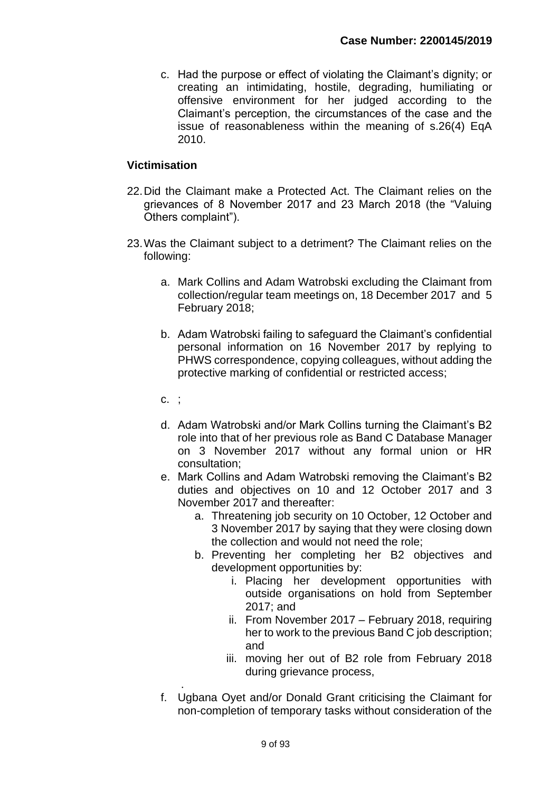c. Had the purpose or effect of violating the Claimant's dignity; or creating an intimidating, hostile, degrading, humiliating or offensive environment for her judged according to the Claimant's perception, the circumstances of the case and the issue of reasonableness within the meaning of s.26(4) EqA 2010.

# **Victimisation**

- 22.Did the Claimant make a Protected Act. The Claimant relies on the grievances of 8 November 2017 and 23 March 2018 (the "Valuing Others complaint").
- 23.Was the Claimant subject to a detriment? The Claimant relies on the following:
	- a. Mark Collins and Adam Watrobski excluding the Claimant from collection/regular team meetings on, 18 December 2017 and 5 February 2018;
	- b. Adam Watrobski failing to safeguard the Claimant's confidential personal information on 16 November 2017 by replying to PHWS correspondence, copying colleagues, without adding the protective marking of confidential or restricted access;
	- c. ;
	- d. Adam Watrobski and/or Mark Collins turning the Claimant's B2 role into that of her previous role as Band C Database Manager on 3 November 2017 without any formal union or HR consultation;
	- e. Mark Collins and Adam Watrobski removing the Claimant's B2 duties and objectives on 10 and 12 October 2017 and 3 November 2017 and thereafter:
		- a. Threatening job security on 10 October, 12 October and 3 November 2017 by saying that they were closing down the collection and would not need the role;
		- b. Preventing her completing her B2 objectives and development opportunities by:
			- i. Placing her development opportunities with outside organisations on hold from September 2017; and
			- ii. From November 2017 February 2018, requiring her to work to the previous Band C job description; and
			- iii. moving her out of B2 role from February 2018 during grievance process,
	- . f. Ugbana Oyet and/or Donald Grant criticising the Claimant for non-completion of temporary tasks without consideration of the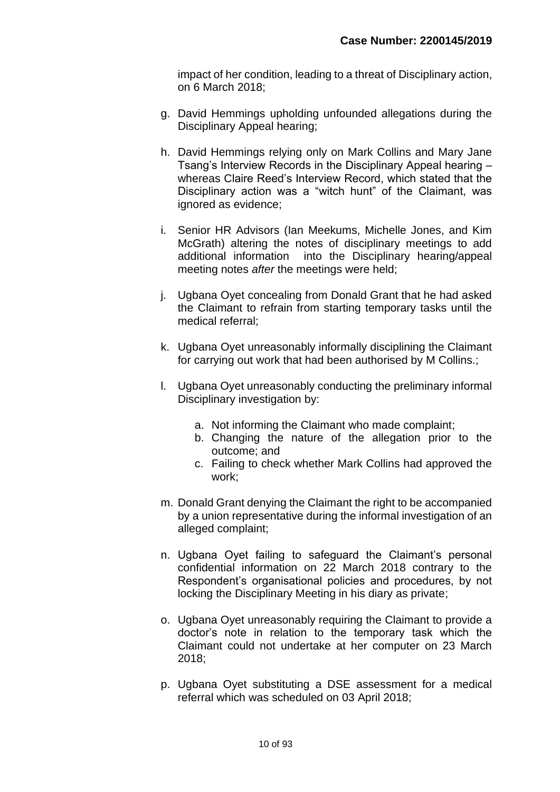impact of her condition, leading to a threat of Disciplinary action, on 6 March 2018;

- g. David Hemmings upholding unfounded allegations during the Disciplinary Appeal hearing;
- h. David Hemmings relying only on Mark Collins and Mary Jane Tsang's Interview Records in the Disciplinary Appeal hearing – whereas Claire Reed's Interview Record, which stated that the Disciplinary action was a "witch hunt" of the Claimant, was ignored as evidence;
- i. Senior HR Advisors (Ian Meekums, Michelle Jones, and Kim McGrath) altering the notes of disciplinary meetings to add additional information into the Disciplinary hearing/appeal meeting notes *after* the meetings were held;
- j. Ugbana Oyet concealing from Donald Grant that he had asked the Claimant to refrain from starting temporary tasks until the medical referral;
- k. Ugbana Oyet unreasonably informally disciplining the Claimant for carrying out work that had been authorised by M Collins.;
- l. Ugbana Oyet unreasonably conducting the preliminary informal Disciplinary investigation by:
	- a. Not informing the Claimant who made complaint;
	- b. Changing the nature of the allegation prior to the outcome; and
	- c. Failing to check whether Mark Collins had approved the work;
- m. Donald Grant denying the Claimant the right to be accompanied by a union representative during the informal investigation of an alleged complaint;
- n. Ugbana Oyet failing to safeguard the Claimant's personal confidential information on 22 March 2018 contrary to the Respondent's organisational policies and procedures, by not locking the Disciplinary Meeting in his diary as private;
- o. Ugbana Oyet unreasonably requiring the Claimant to provide a doctor's note in relation to the temporary task which the Claimant could not undertake at her computer on 23 March 2018;
- p. Ugbana Oyet substituting a DSE assessment for a medical referral which was scheduled on 03 April 2018;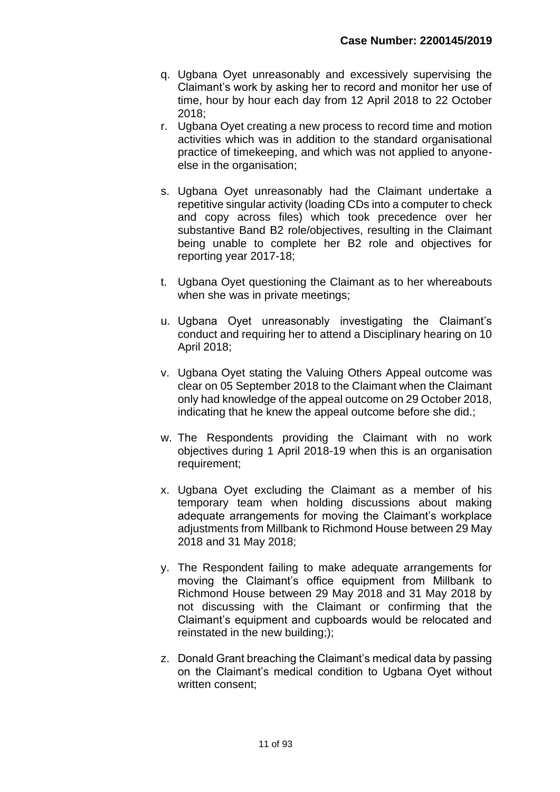- q. Ugbana Oyet unreasonably and excessively supervising the Claimant's work by asking her to record and monitor her use of time, hour by hour each day from 12 April 2018 to 22 October 2018;
- r. Ugbana Oyet creating a new process to record time and motion activities which was in addition to the standard organisational practice of timekeeping, and which was not applied to anyoneelse in the organisation;
- s. Ugbana Oyet unreasonably had the Claimant undertake a repetitive singular activity (loading CDs into a computer to check and copy across files) which took precedence over her substantive Band B2 role/objectives, resulting in the Claimant being unable to complete her B2 role and objectives for reporting year 2017-18;
- t. Ugbana Oyet questioning the Claimant as to her whereabouts when she was in private meetings;
- u. Ugbana Oyet unreasonably investigating the Claimant's conduct and requiring her to attend a Disciplinary hearing on 10 April 2018;
- v. Ugbana Oyet stating the Valuing Others Appeal outcome was clear on 05 September 2018 to the Claimant when the Claimant only had knowledge of the appeal outcome on 29 October 2018, indicating that he knew the appeal outcome before she did.;
- w. The Respondents providing the Claimant with no work objectives during 1 April 2018-19 when this is an organisation requirement;
- x. Ugbana Oyet excluding the Claimant as a member of his temporary team when holding discussions about making adequate arrangements for moving the Claimant's workplace adjustments from Millbank to Richmond House between 29 May 2018 and 31 May 2018;
- y. The Respondent failing to make adequate arrangements for moving the Claimant's office equipment from Millbank to Richmond House between 29 May 2018 and 31 May 2018 by not discussing with the Claimant or confirming that the Claimant's equipment and cupboards would be relocated and reinstated in the new building;);
- z. Donald Grant breaching the Claimant's medical data by passing on the Claimant's medical condition to Ugbana Oyet without written consent;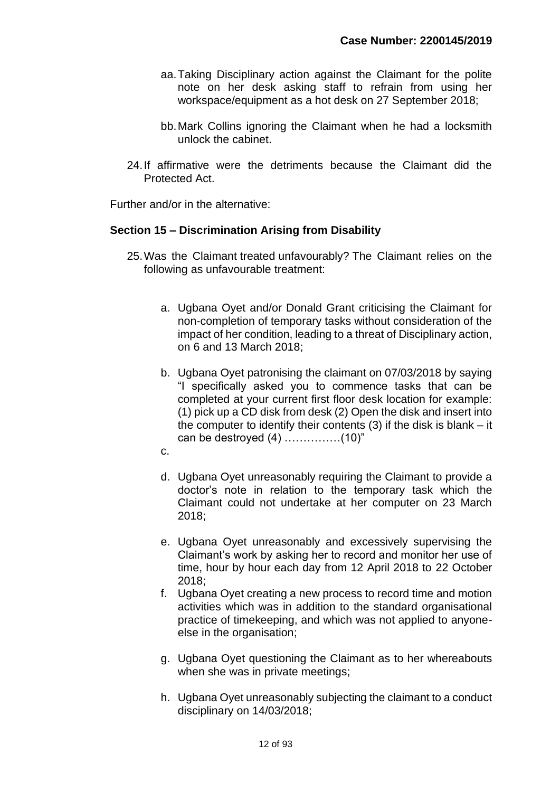- aa.Taking Disciplinary action against the Claimant for the polite note on her desk asking staff to refrain from using her workspace/equipment as a hot desk on 27 September 2018;
- bb.Mark Collins ignoring the Claimant when he had a locksmith unlock the cabinet.
- 24.If affirmative were the detriments because the Claimant did the Protected Act.

Further and/or in the alternative:

#### **Section 15 – Discrimination Arising from Disability**

- 25.Was the Claimant treated unfavourably? The Claimant relies on the following as unfavourable treatment:
	- a. Ugbana Oyet and/or Donald Grant criticising the Claimant for non-completion of temporary tasks without consideration of the impact of her condition, leading to a threat of Disciplinary action, on 6 and 13 March 2018;
	- b. Ugbana Oyet patronising the claimant on 07/03/2018 by saying "I specifically asked you to commence tasks that can be completed at your current first floor desk location for example: (1) pick up a CD disk from desk (2) Open the disk and insert into the computer to identify their contents (3) if the disk is blank – it can be destroyed (4) ……………(10)"
	- c.
	- d. Ugbana Oyet unreasonably requiring the Claimant to provide a doctor's note in relation to the temporary task which the Claimant could not undertake at her computer on 23 March 2018;
	- e. Ugbana Oyet unreasonably and excessively supervising the Claimant's work by asking her to record and monitor her use of time, hour by hour each day from 12 April 2018 to 22 October 2018;
	- f. Ugbana Oyet creating a new process to record time and motion activities which was in addition to the standard organisational practice of timekeeping, and which was not applied to anyoneelse in the organisation;
	- g. Ugbana Oyet questioning the Claimant as to her whereabouts when she was in private meetings;
	- h. Ugbana Oyet unreasonably subjecting the claimant to a conduct disciplinary on 14/03/2018;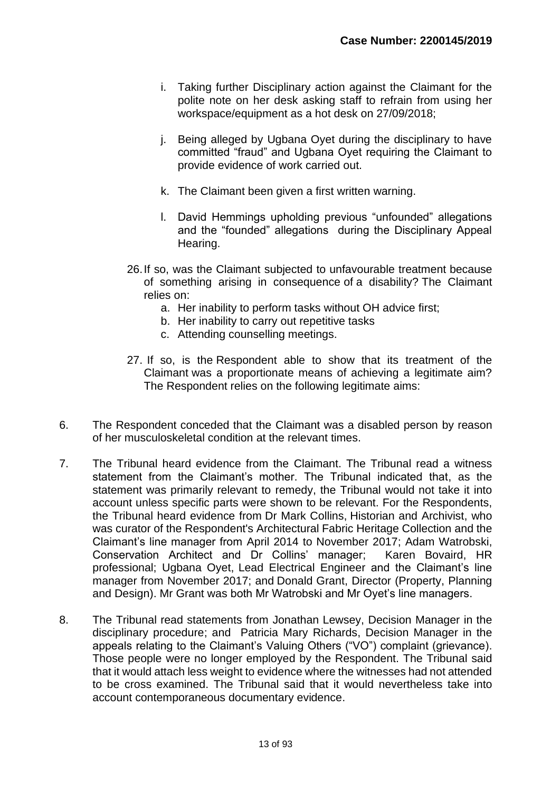- i. Taking further Disciplinary action against the Claimant for the polite note on her desk asking staff to refrain from using her workspace/equipment as a hot desk on 27/09/2018;
- j. Being alleged by Ugbana Oyet during the disciplinary to have committed "fraud" and Ugbana Oyet requiring the Claimant to provide evidence of work carried out.
- k. The Claimant been given a first written warning.
- l. David Hemmings upholding previous "unfounded" allegations and the "founded" allegations during the Disciplinary Appeal Hearing.
- 26.If so, was the Claimant subjected to unfavourable treatment because of something arising in consequence of a disability? The Claimant relies on:
	- a. Her inability to perform tasks without OH advice first;
	- b. Her inability to carry out repetitive tasks
	- c. Attending counselling meetings.
- 27. If so, is the Respondent able to show that its treatment of the Claimant was a proportionate means of achieving a legitimate aim? The Respondent relies on the following legitimate aims:
- 6. The Respondent conceded that the Claimant was a disabled person by reason of her musculoskeletal condition at the relevant times.
- 7. The Tribunal heard evidence from the Claimant. The Tribunal read a witness statement from the Claimant's mother. The Tribunal indicated that, as the statement was primarily relevant to remedy, the Tribunal would not take it into account unless specific parts were shown to be relevant. For the Respondents, the Tribunal heard evidence from Dr Mark Collins, Historian and Archivist, who was curator of the Respondent's Architectural Fabric Heritage Collection and the Claimant's line manager from April 2014 to November 2017; Adam Watrobski, Conservation Architect and Dr Collins' manager; Karen Bovaird, HR professional; Ugbana Oyet, Lead Electrical Engineer and the Claimant's line manager from November 2017; and Donald Grant, Director (Property, Planning and Design). Mr Grant was both Mr Watrobski and Mr Oyet's line managers.
- 8. The Tribunal read statements from Jonathan Lewsey, Decision Manager in the disciplinary procedure; and Patricia Mary Richards, Decision Manager in the appeals relating to the Claimant's Valuing Others ("VO") complaint (grievance). Those people were no longer employed by the Respondent. The Tribunal said that it would attach less weight to evidence where the witnesses had not attended to be cross examined. The Tribunal said that it would nevertheless take into account contemporaneous documentary evidence.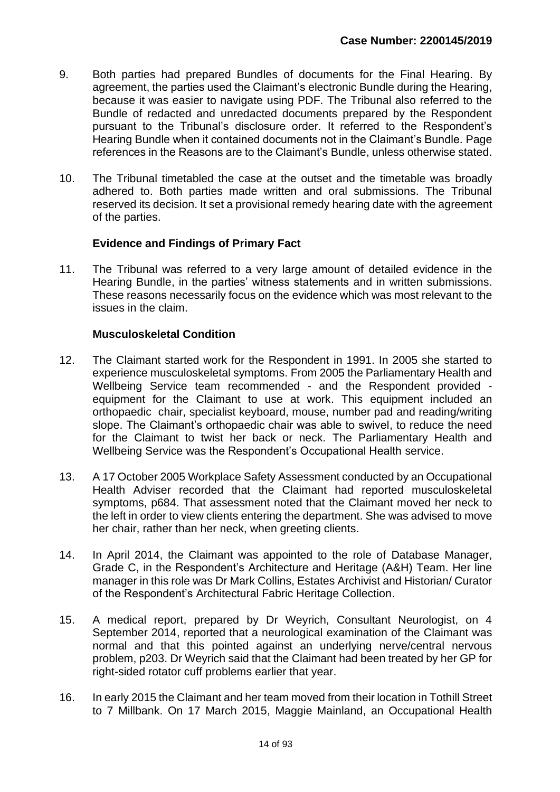- 9. Both parties had prepared Bundles of documents for the Final Hearing. By agreement, the parties used the Claimant's electronic Bundle during the Hearing, because it was easier to navigate using PDF. The Tribunal also referred to the Bundle of redacted and unredacted documents prepared by the Respondent pursuant to the Tribunal's disclosure order. It referred to the Respondent's Hearing Bundle when it contained documents not in the Claimant's Bundle. Page references in the Reasons are to the Claimant's Bundle, unless otherwise stated.
- 10. The Tribunal timetabled the case at the outset and the timetable was broadly adhered to. Both parties made written and oral submissions. The Tribunal reserved its decision. It set a provisional remedy hearing date with the agreement of the parties.

# **Evidence and Findings of Primary Fact**

11. The Tribunal was referred to a very large amount of detailed evidence in the Hearing Bundle, in the parties' witness statements and in written submissions. These reasons necessarily focus on the evidence which was most relevant to the issues in the claim.

#### **Musculoskeletal Condition**

- 12. The Claimant started work for the Respondent in 1991. In 2005 she started to experience musculoskeletal symptoms. From 2005 the Parliamentary Health and Wellbeing Service team recommended - and the Respondent provided equipment for the Claimant to use at work. This equipment included an orthopaedic chair, specialist keyboard, mouse, number pad and reading/writing slope. The Claimant's orthopaedic chair was able to swivel, to reduce the need for the Claimant to twist her back or neck. The Parliamentary Health and Wellbeing Service was the Respondent's Occupational Health service.
- 13. A 17 October 2005 Workplace Safety Assessment conducted by an Occupational Health Adviser recorded that the Claimant had reported musculoskeletal symptoms, p684. That assessment noted that the Claimant moved her neck to the left in order to view clients entering the department. She was advised to move her chair, rather than her neck, when greeting clients.
- 14. In April 2014, the Claimant was appointed to the role of Database Manager, Grade C, in the Respondent's Architecture and Heritage (A&H) Team. Her line manager in this role was Dr Mark Collins, Estates Archivist and Historian/ Curator of the Respondent's Architectural Fabric Heritage Collection.
- 15. A medical report, prepared by Dr Weyrich, Consultant Neurologist, on 4 September 2014, reported that a neurological examination of the Claimant was normal and that this pointed against an underlying nerve/central nervous problem, p203. Dr Weyrich said that the Claimant had been treated by her GP for right-sided rotator cuff problems earlier that year.
- 16. In early 2015 the Claimant and her team moved from their location in Tothill Street to 7 Millbank. On 17 March 2015, Maggie Mainland, an Occupational Health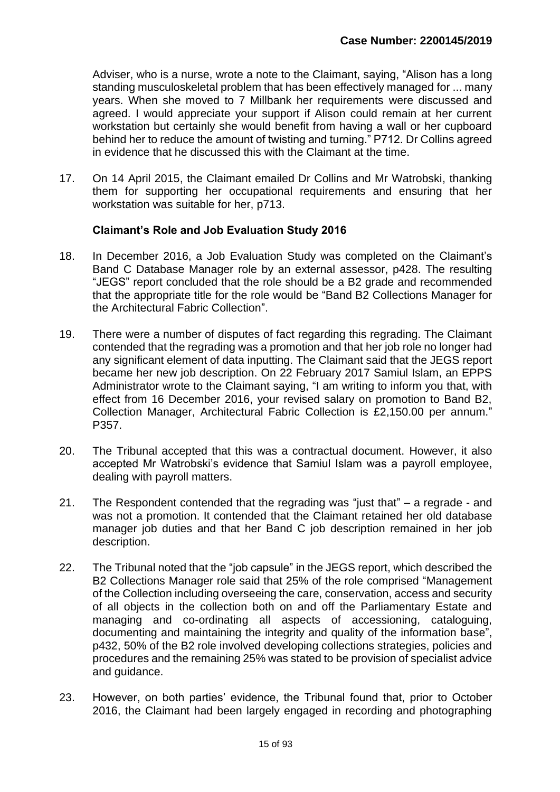Adviser, who is a nurse, wrote a note to the Claimant, saying, "Alison has a long standing musculoskeletal problem that has been effectively managed for ... many years. When she moved to 7 Millbank her requirements were discussed and agreed. I would appreciate your support if Alison could remain at her current workstation but certainly she would benefit from having a wall or her cupboard behind her to reduce the amount of twisting and turning." P712. Dr Collins agreed in evidence that he discussed this with the Claimant at the time.

17. On 14 April 2015, the Claimant emailed Dr Collins and Mr Watrobski, thanking them for supporting her occupational requirements and ensuring that her workstation was suitable for her, p713.

#### **Claimant's Role and Job Evaluation Study 2016**

- 18. In December 2016, a Job Evaluation Study was completed on the Claimant's Band C Database Manager role by an external assessor, p428. The resulting "JEGS" report concluded that the role should be a B2 grade and recommended that the appropriate title for the role would be "Band B2 Collections Manager for the Architectural Fabric Collection".
- 19. There were a number of disputes of fact regarding this regrading. The Claimant contended that the regrading was a promotion and that her job role no longer had any significant element of data inputting. The Claimant said that the JEGS report became her new job description. On 22 February 2017 Samiul Islam, an EPPS Administrator wrote to the Claimant saying, "I am writing to inform you that, with effect from 16 December 2016, your revised salary on promotion to Band B2, Collection Manager, Architectural Fabric Collection is £2,150.00 per annum." P357.
- 20. The Tribunal accepted that this was a contractual document. However, it also accepted Mr Watrobski's evidence that Samiul Islam was a payroll employee, dealing with payroll matters.
- 21. The Respondent contended that the regrading was "just that" a regrade and was not a promotion. It contended that the Claimant retained her old database manager job duties and that her Band C job description remained in her job description.
- 22. The Tribunal noted that the "job capsule" in the JEGS report, which described the B2 Collections Manager role said that 25% of the role comprised "Management of the Collection including overseeing the care, conservation, access and security of all objects in the collection both on and off the Parliamentary Estate and managing and co-ordinating all aspects of accessioning, cataloguing, documenting and maintaining the integrity and quality of the information base", p432, 50% of the B2 role involved developing collections strategies, policies and procedures and the remaining 25% was stated to be provision of specialist advice and guidance.
- 23. However, on both parties' evidence, the Tribunal found that, prior to October 2016, the Claimant had been largely engaged in recording and photographing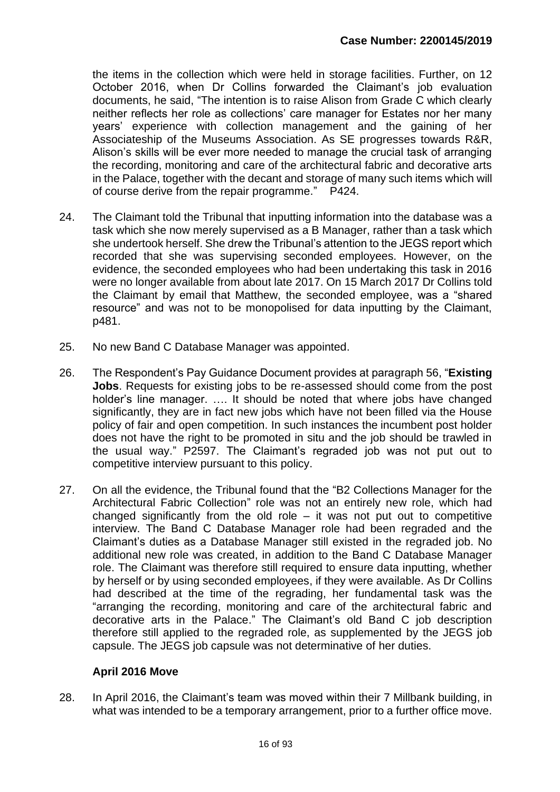the items in the collection which were held in storage facilities. Further, on 12 October 2016, when Dr Collins forwarded the Claimant's job evaluation documents, he said, "The intention is to raise Alison from Grade C which clearly neither reflects her role as collections' care manager for Estates nor her many years' experience with collection management and the gaining of her Associateship of the Museums Association. As SE progresses towards R&R, Alison's skills will be ever more needed to manage the crucial task of arranging the recording, monitoring and care of the architectural fabric and decorative arts in the Palace, together with the decant and storage of many such items which will of course derive from the repair programme." P424.

- 24. The Claimant told the Tribunal that inputting information into the database was a task which she now merely supervised as a B Manager, rather than a task which she undertook herself. She drew the Tribunal's attention to the JEGS report which recorded that she was supervising seconded employees. However, on the evidence, the seconded employees who had been undertaking this task in 2016 were no longer available from about late 2017. On 15 March 2017 Dr Collins told the Claimant by email that Matthew, the seconded employee, was a "shared resource" and was not to be monopolised for data inputting by the Claimant, p481.
- 25. No new Band C Database Manager was appointed.
- 26. The Respondent's Pay Guidance Document provides at paragraph 56, "**Existing Jobs**. Requests for existing jobs to be re-assessed should come from the post holder's line manager. …. It should be noted that where jobs have changed significantly, they are in fact new jobs which have not been filled via the House policy of fair and open competition. In such instances the incumbent post holder does not have the right to be promoted in situ and the job should be trawled in the usual way." P2597. The Claimant's regraded job was not put out to competitive interview pursuant to this policy.
- 27. On all the evidence, the Tribunal found that the "B2 Collections Manager for the Architectural Fabric Collection" role was not an entirely new role, which had changed significantly from the old role  $-$  it was not put out to competitive interview. The Band C Database Manager role had been regraded and the Claimant's duties as a Database Manager still existed in the regraded job. No additional new role was created, in addition to the Band C Database Manager role. The Claimant was therefore still required to ensure data inputting, whether by herself or by using seconded employees, if they were available. As Dr Collins had described at the time of the regrading, her fundamental task was the "arranging the recording, monitoring and care of the architectural fabric and decorative arts in the Palace." The Claimant's old Band C job description therefore still applied to the regraded role, as supplemented by the JEGS job capsule. The JEGS job capsule was not determinative of her duties.

#### **April 2016 Move**

28. In April 2016, the Claimant's team was moved within their 7 Millbank building, in what was intended to be a temporary arrangement, prior to a further office move.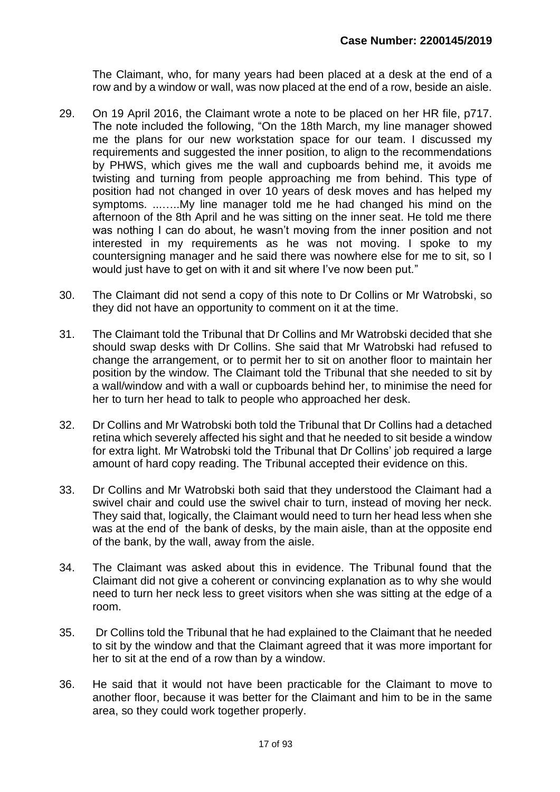The Claimant, who, for many years had been placed at a desk at the end of a row and by a window or wall, was now placed at the end of a row, beside an aisle.

- 29. On 19 April 2016, the Claimant wrote a note to be placed on her HR file, p717. The note included the following, "On the 18th March, my line manager showed me the plans for our new workstation space for our team. I discussed my requirements and suggested the inner position, to align to the recommendations by PHWS, which gives me the wall and cupboards behind me, it avoids me twisting and turning from people approaching me from behind. This type of position had not changed in over 10 years of desk moves and has helped my symptoms. ...…..My line manager told me he had changed his mind on the afternoon of the 8th April and he was sitting on the inner seat. He told me there was nothing I can do about, he wasn't moving from the inner position and not interested in my requirements as he was not moving. I spoke to my countersigning manager and he said there was nowhere else for me to sit, so I would just have to get on with it and sit where I've now been put."
- 30. The Claimant did not send a copy of this note to Dr Collins or Mr Watrobski, so they did not have an opportunity to comment on it at the time.
- 31. The Claimant told the Tribunal that Dr Collins and Mr Watrobski decided that she should swap desks with Dr Collins. She said that Mr Watrobski had refused to change the arrangement, or to permit her to sit on another floor to maintain her position by the window. The Claimant told the Tribunal that she needed to sit by a wall/window and with a wall or cupboards behind her, to minimise the need for her to turn her head to talk to people who approached her desk.
- 32. Dr Collins and Mr Watrobski both told the Tribunal that Dr Collins had a detached retina which severely affected his sight and that he needed to sit beside a window for extra light. Mr Watrobski told the Tribunal that Dr Collins' job required a large amount of hard copy reading. The Tribunal accepted their evidence on this.
- 33. Dr Collins and Mr Watrobski both said that they understood the Claimant had a swivel chair and could use the swivel chair to turn, instead of moving her neck. They said that, logically, the Claimant would need to turn her head less when she was at the end of the bank of desks, by the main aisle, than at the opposite end of the bank, by the wall, away from the aisle.
- 34. The Claimant was asked about this in evidence. The Tribunal found that the Claimant did not give a coherent or convincing explanation as to why she would need to turn her neck less to greet visitors when she was sitting at the edge of a room.
- 35. Dr Collins told the Tribunal that he had explained to the Claimant that he needed to sit by the window and that the Claimant agreed that it was more important for her to sit at the end of a row than by a window.
- 36. He said that it would not have been practicable for the Claimant to move to another floor, because it was better for the Claimant and him to be in the same area, so they could work together properly.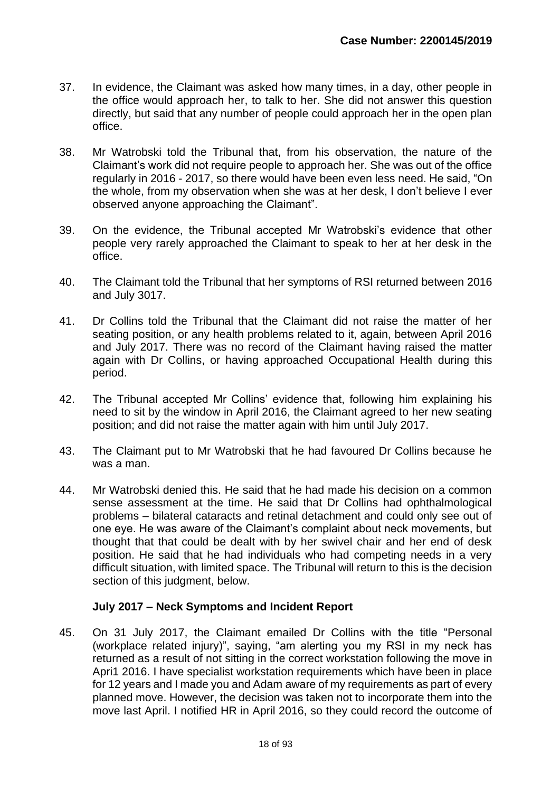- 37. In evidence, the Claimant was asked how many times, in a day, other people in the office would approach her, to talk to her. She did not answer this question directly, but said that any number of people could approach her in the open plan office.
- 38. Mr Watrobski told the Tribunal that, from his observation, the nature of the Claimant's work did not require people to approach her. She was out of the office regularly in 2016 - 2017, so there would have been even less need. He said, "On the whole, from my observation when she was at her desk, I don't believe I ever observed anyone approaching the Claimant".
- 39. On the evidence, the Tribunal accepted Mr Watrobski's evidence that other people very rarely approached the Claimant to speak to her at her desk in the office.
- 40. The Claimant told the Tribunal that her symptoms of RSI returned between 2016 and July 3017.
- 41. Dr Collins told the Tribunal that the Claimant did not raise the matter of her seating position, or any health problems related to it, again, between April 2016 and July 2017. There was no record of the Claimant having raised the matter again with Dr Collins, or having approached Occupational Health during this period.
- 42. The Tribunal accepted Mr Collins' evidence that, following him explaining his need to sit by the window in April 2016, the Claimant agreed to her new seating position; and did not raise the matter again with him until July 2017.
- 43. The Claimant put to Mr Watrobski that he had favoured Dr Collins because he was a man.
- 44. Mr Watrobski denied this. He said that he had made his decision on a common sense assessment at the time. He said that Dr Collins had ophthalmological problems – bilateral cataracts and retinal detachment and could only see out of one eye. He was aware of the Claimant's complaint about neck movements, but thought that that could be dealt with by her swivel chair and her end of desk position. He said that he had individuals who had competing needs in a very difficult situation, with limited space. The Tribunal will return to this is the decision section of this judgment, below.

#### **July 2017 – Neck Symptoms and Incident Report**

45. On 31 July 2017, the Claimant emailed Dr Collins with the title "Personal (workplace related injury)", saying, "am alerting you my RSI in my neck has returned as a result of not sitting in the correct workstation following the move in Apri1 2016. I have specialist workstation requirements which have been in place for 12 years and I made you and Adam aware of my requirements as part of every planned move. However, the decision was taken not to incorporate them into the move last April. I notified HR in April 2016, so they could record the outcome of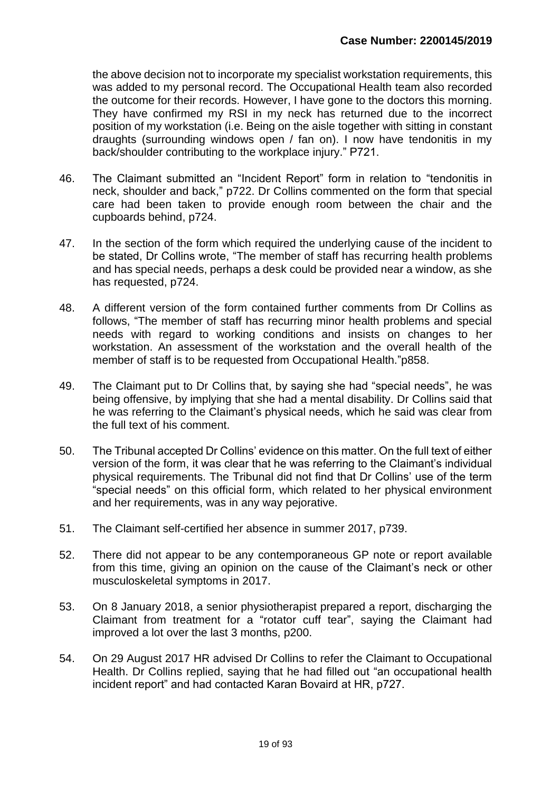the above decision not to incorporate my specialist workstation requirements, this was added to my personal record. The Occupational Health team also recorded the outcome for their records. However, I have gone to the doctors this morning. They have confirmed my RSI in my neck has returned due to the incorrect position of my workstation (i.e. Being on the aisle together with sitting in constant draughts (surrounding windows open / fan on). I now have tendonitis in my back/shoulder contributing to the workplace injury." P721.

- 46. The Claimant submitted an "Incident Report" form in relation to "tendonitis in neck, shoulder and back," p722. Dr Collins commented on the form that special care had been taken to provide enough room between the chair and the cupboards behind, p724.
- 47. In the section of the form which required the underlying cause of the incident to be stated, Dr Collins wrote, "The member of staff has recurring health problems and has special needs, perhaps a desk could be provided near a window, as she has requested, p724.
- 48. A different version of the form contained further comments from Dr Collins as follows, "The member of staff has recurring minor health problems and special needs with regard to working conditions and insists on changes to her workstation. An assessment of the workstation and the overall health of the member of staff is to be requested from Occupational Health."p858.
- 49. The Claimant put to Dr Collins that, by saying she had "special needs", he was being offensive, by implying that she had a mental disability. Dr Collins said that he was referring to the Claimant's physical needs, which he said was clear from the full text of his comment.
- 50. The Tribunal accepted Dr Collins' evidence on this matter. On the full text of either version of the form, it was clear that he was referring to the Claimant's individual physical requirements. The Tribunal did not find that Dr Collins' use of the term "special needs" on this official form, which related to her physical environment and her requirements, was in any way pejorative.
- 51. The Claimant self-certified her absence in summer 2017, p739.
- 52. There did not appear to be any contemporaneous GP note or report available from this time, giving an opinion on the cause of the Claimant's neck or other musculoskeletal symptoms in 2017.
- 53. On 8 January 2018, a senior physiotherapist prepared a report, discharging the Claimant from treatment for a "rotator cuff tear", saying the Claimant had improved a lot over the last 3 months, p200.
- 54. On 29 August 2017 HR advised Dr Collins to refer the Claimant to Occupational Health. Dr Collins replied, saying that he had filled out "an occupational health incident report" and had contacted Karan Bovaird at HR, p727.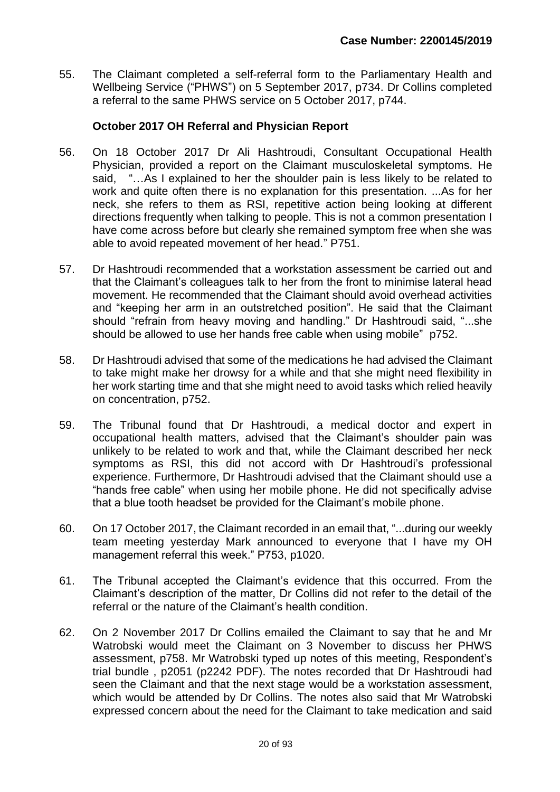55. The Claimant completed a self-referral form to the Parliamentary Health and Wellbeing Service ("PHWS") on 5 September 2017, p734. Dr Collins completed a referral to the same PHWS service on 5 October 2017, p744.

# **October 2017 OH Referral and Physician Report**

- 56. On 18 October 2017 Dr Ali Hashtroudi, Consultant Occupational Health Physician, provided a report on the Claimant musculoskeletal symptoms. He said, "…As I explained to her the shoulder pain is less likely to be related to work and quite often there is no explanation for this presentation. ...As for her neck, she refers to them as RSI, repetitive action being looking at different directions frequently when talking to people. This is not a common presentation I have come across before but clearly she remained symptom free when she was able to avoid repeated movement of her head." P751.
- 57. Dr Hashtroudi recommended that a workstation assessment be carried out and that the Claimant's colleagues talk to her from the front to minimise lateral head movement. He recommended that the Claimant should avoid overhead activities and "keeping her arm in an outstretched position". He said that the Claimant should "refrain from heavy moving and handling." Dr Hashtroudi said, "...she should be allowed to use her hands free cable when using mobile" p752.
- 58. Dr Hashtroudi advised that some of the medications he had advised the Claimant to take might make her drowsy for a while and that she might need flexibility in her work starting time and that she might need to avoid tasks which relied heavily on concentration, p752.
- 59. The Tribunal found that Dr Hashtroudi, a medical doctor and expert in occupational health matters, advised that the Claimant's shoulder pain was unlikely to be related to work and that, while the Claimant described her neck symptoms as RSI, this did not accord with Dr Hashtroudi's professional experience. Furthermore, Dr Hashtroudi advised that the Claimant should use a "hands free cable" when using her mobile phone. He did not specifically advise that a blue tooth headset be provided for the Claimant's mobile phone.
- 60. On 17 October 2017, the Claimant recorded in an email that, "...during our weekly team meeting yesterday Mark announced to everyone that I have my OH management referral this week." P753, p1020.
- 61. The Tribunal accepted the Claimant's evidence that this occurred. From the Claimant's description of the matter, Dr Collins did not refer to the detail of the referral or the nature of the Claimant's health condition.
- 62. On 2 November 2017 Dr Collins emailed the Claimant to say that he and Mr Watrobski would meet the Claimant on 3 November to discuss her PHWS assessment, p758. Mr Watrobski typed up notes of this meeting, Respondent's trial bundle , p2051 (p2242 PDF). The notes recorded that Dr Hashtroudi had seen the Claimant and that the next stage would be a workstation assessment, which would be attended by Dr Collins. The notes also said that Mr Watrobski expressed concern about the need for the Claimant to take medication and said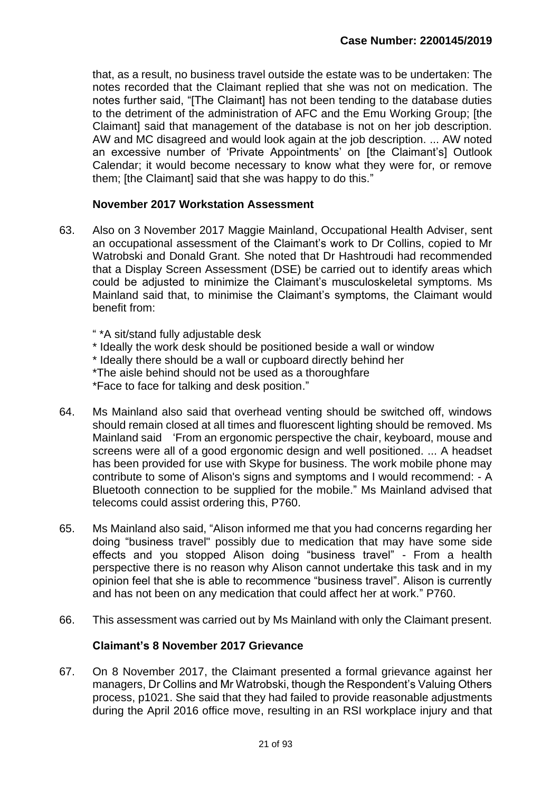that, as a result, no business travel outside the estate was to be undertaken: The notes recorded that the Claimant replied that she was not on medication. The notes further said, "[The Claimant] has not been tending to the database duties to the detriment of the administration of AFC and the Emu Working Group; [the Claimant] said that management of the database is not on her job description. AW and MC disagreed and would look again at the job description. ... AW noted an excessive number of 'Private Appointments' on [the Claimant's] Outlook Calendar; it would become necessary to know what they were for, or remove them; [the Claimant] said that she was happy to do this."

#### **November 2017 Workstation Assessment**

- 63. Also on 3 November 2017 Maggie Mainland, Occupational Health Adviser, sent an occupational assessment of the Claimant's work to Dr Collins, copied to Mr Watrobski and Donald Grant. She noted that Dr Hashtroudi had recommended that a Display Screen Assessment (DSE) be carried out to identify areas which could be adjusted to minimize the Claimant's musculoskeletal symptoms. Ms Mainland said that, to minimise the Claimant's symptoms, the Claimant would benefit from:
	- " \*A sit/stand fully adjustable desk
	- \* Ideally the work desk should be positioned beside a wall or window
	- \* Ideally there should be a wall or cupboard directly behind her
	- \*The aisle behind should not be used as a thoroughfare

\*Face to face for talking and desk position."

- 64. Ms Mainland also said that overhead venting should be switched off, windows should remain closed at all times and fluorescent lighting should be removed. Ms Mainland said 'From an ergonomic perspective the chair, keyboard, mouse and screens were all of a good ergonomic design and well positioned. ... A headset has been provided for use with Skype for business. The work mobile phone may contribute to some of Alison's signs and symptoms and I would recommend: - A Bluetooth connection to be supplied for the mobile." Ms Mainland advised that telecoms could assist ordering this, P760.
- 65. Ms Mainland also said, "Alison informed me that you had concerns regarding her doing "business travel" possibly due to medication that may have some side effects and you stopped Alison doing "business travel" - From a health perspective there is no reason why Alison cannot undertake this task and in my opinion feel that she is able to recommence "business travel". Alison is currently and has not been on any medication that could affect her at work." P760.
- 66. This assessment was carried out by Ms Mainland with only the Claimant present.

# **Claimant's 8 November 2017 Grievance**

67. On 8 November 2017, the Claimant presented a formal grievance against her managers, Dr Collins and Mr Watrobski, though the Respondent's Valuing Others process, p1021. She said that they had failed to provide reasonable adjustments during the April 2016 office move, resulting in an RSI workplace injury and that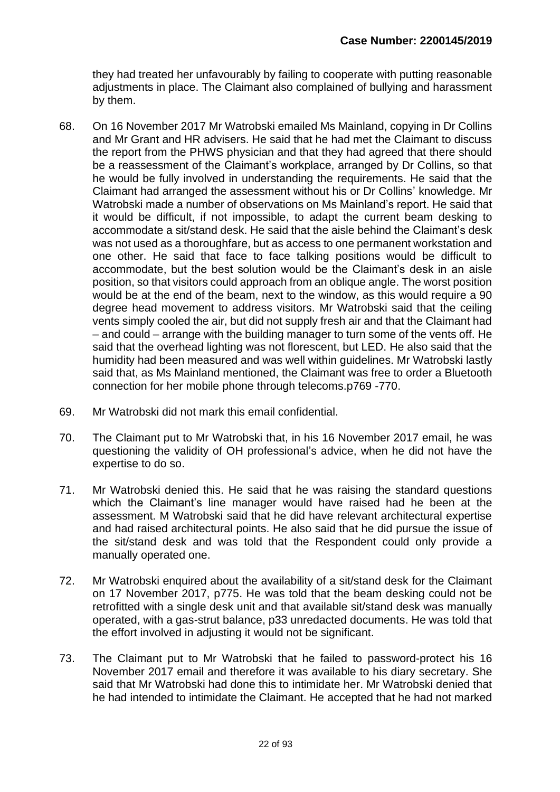they had treated her unfavourably by failing to cooperate with putting reasonable adjustments in place. The Claimant also complained of bullying and harassment by them.

- 68. On 16 November 2017 Mr Watrobski emailed Ms Mainland, copying in Dr Collins and Mr Grant and HR advisers. He said that he had met the Claimant to discuss the report from the PHWS physician and that they had agreed that there should be a reassessment of the Claimant's workplace, arranged by Dr Collins, so that he would be fully involved in understanding the requirements. He said that the Claimant had arranged the assessment without his or Dr Collins' knowledge. Mr Watrobski made a number of observations on Ms Mainland's report. He said that it would be difficult, if not impossible, to adapt the current beam desking to accommodate a sit/stand desk. He said that the aisle behind the Claimant's desk was not used as a thoroughfare, but as access to one permanent workstation and one other. He said that face to face talking positions would be difficult to accommodate, but the best solution would be the Claimant's desk in an aisle position, so that visitors could approach from an oblique angle. The worst position would be at the end of the beam, next to the window, as this would require a 90 degree head movement to address visitors. Mr Watrobski said that the ceiling vents simply cooled the air, but did not supply fresh air and that the Claimant had – and could – arrange with the building manager to turn some of the vents off. He said that the overhead lighting was not florescent, but LED. He also said that the humidity had been measured and was well within guidelines. Mr Watrobski lastly said that, as Ms Mainland mentioned, the Claimant was free to order a Bluetooth connection for her mobile phone through telecoms.p769 -770.
- 69. Mr Watrobski did not mark this email confidential.
- 70. The Claimant put to Mr Watrobski that, in his 16 November 2017 email, he was questioning the validity of OH professional's advice, when he did not have the expertise to do so.
- 71. Mr Watrobski denied this. He said that he was raising the standard questions which the Claimant's line manager would have raised had he been at the assessment. M Watrobski said that he did have relevant architectural expertise and had raised architectural points. He also said that he did pursue the issue of the sit/stand desk and was told that the Respondent could only provide a manually operated one.
- 72. Mr Watrobski enquired about the availability of a sit/stand desk for the Claimant on 17 November 2017, p775. He was told that the beam desking could not be retrofitted with a single desk unit and that available sit/stand desk was manually operated, with a gas-strut balance, p33 unredacted documents. He was told that the effort involved in adjusting it would not be significant.
- 73. The Claimant put to Mr Watrobski that he failed to password-protect his 16 November 2017 email and therefore it was available to his diary secretary. She said that Mr Watrobski had done this to intimidate her. Mr Watrobski denied that he had intended to intimidate the Claimant. He accepted that he had not marked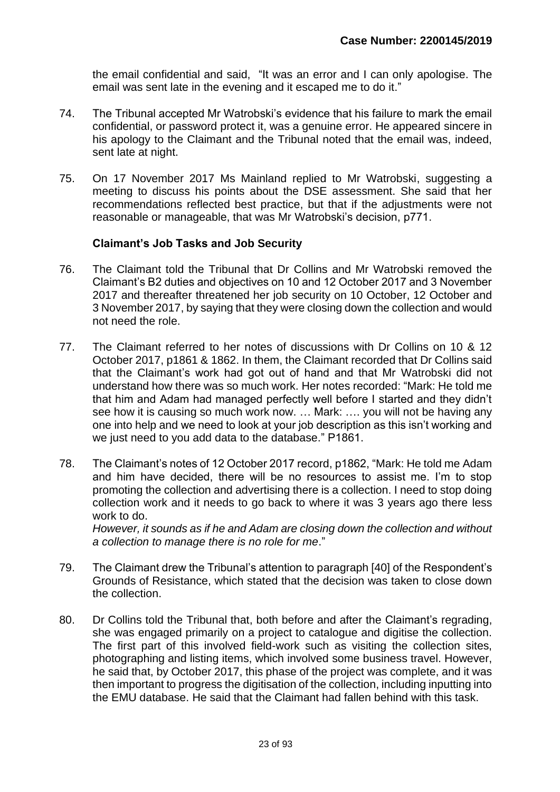the email confidential and said, "It was an error and I can only apologise. The email was sent late in the evening and it escaped me to do it."

- 74. The Tribunal accepted Mr Watrobski's evidence that his failure to mark the email confidential, or password protect it, was a genuine error. He appeared sincere in his apology to the Claimant and the Tribunal noted that the email was, indeed, sent late at night.
- 75. On 17 November 2017 Ms Mainland replied to Mr Watrobski, suggesting a meeting to discuss his points about the DSE assessment. She said that her recommendations reflected best practice, but that if the adjustments were not reasonable or manageable, that was Mr Watrobski's decision, p771.

# **Claimant's Job Tasks and Job Security**

- 76. The Claimant told the Tribunal that Dr Collins and Mr Watrobski removed the Claimant's B2 duties and objectives on 10 and 12 October 2017 and 3 November 2017 and thereafter threatened her job security on 10 October, 12 October and 3 November 2017, by saying that they were closing down the collection and would not need the role.
- 77. The Claimant referred to her notes of discussions with Dr Collins on 10 & 12 October 2017, p1861 & 1862. In them, the Claimant recorded that Dr Collins said that the Claimant's work had got out of hand and that Mr Watrobski did not understand how there was so much work. Her notes recorded: "Mark: He told me that him and Adam had managed perfectly well before I started and they didn't see how it is causing so much work now. … Mark: …. you will not be having any one into help and we need to look at your job description as this isn't working and we just need to you add data to the database." P1861.
- 78. The Claimant's notes of 12 October 2017 record, p1862, "Mark: He told me Adam and him have decided, there will be no resources to assist me. I'm to stop promoting the collection and advertising there is a collection. I need to stop doing collection work and it needs to go back to where it was 3 years ago there less work to do.

*However, it sounds as if he and Adam are closing down the collection and without a collection to manage there is no role for me*."

- 79. The Claimant drew the Tribunal's attention to paragraph [40] of the Respondent's Grounds of Resistance, which stated that the decision was taken to close down the collection.
- 80. Dr Collins told the Tribunal that, both before and after the Claimant's regrading, she was engaged primarily on a project to catalogue and digitise the collection. The first part of this involved field-work such as visiting the collection sites, photographing and listing items, which involved some business travel. However, he said that, by October 2017, this phase of the project was complete, and it was then important to progress the digitisation of the collection, including inputting into the EMU database. He said that the Claimant had fallen behind with this task.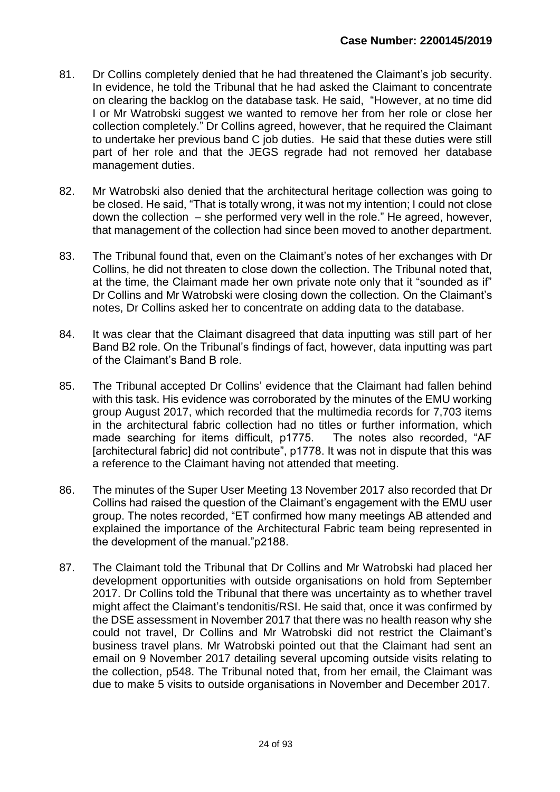- 81. Dr Collins completely denied that he had threatened the Claimant's job security. In evidence, he told the Tribunal that he had asked the Claimant to concentrate on clearing the backlog on the database task. He said, "However, at no time did I or Mr Watrobski suggest we wanted to remove her from her role or close her collection completely." Dr Collins agreed, however, that he required the Claimant to undertake her previous band C job duties. He said that these duties were still part of her role and that the JEGS regrade had not removed her database management duties.
- 82. Mr Watrobski also denied that the architectural heritage collection was going to be closed. He said, "That is totally wrong, it was not my intention; I could not close down the collection – she performed very well in the role." He agreed, however, that management of the collection had since been moved to another department.
- 83. The Tribunal found that, even on the Claimant's notes of her exchanges with Dr Collins, he did not threaten to close down the collection. The Tribunal noted that, at the time, the Claimant made her own private note only that it "sounded as if" Dr Collins and Mr Watrobski were closing down the collection. On the Claimant's notes, Dr Collins asked her to concentrate on adding data to the database.
- 84. It was clear that the Claimant disagreed that data inputting was still part of her Band B2 role. On the Tribunal's findings of fact, however, data inputting was part of the Claimant's Band B role.
- 85. The Tribunal accepted Dr Collins' evidence that the Claimant had fallen behind with this task. His evidence was corroborated by the minutes of the EMU working group August 2017, which recorded that the multimedia records for 7,703 items in the architectural fabric collection had no titles or further information, which made searching for items difficult, p1775. The notes also recorded, "AF [architectural fabric] did not contribute", p1778. It was not in dispute that this was a reference to the Claimant having not attended that meeting.
- 86. The minutes of the Super User Meeting 13 November 2017 also recorded that Dr Collins had raised the question of the Claimant's engagement with the EMU user group. The notes recorded, "ET confirmed how many meetings AB attended and explained the importance of the Architectural Fabric team being represented in the development of the manual."p2188.
- 87. The Claimant told the Tribunal that Dr Collins and Mr Watrobski had placed her development opportunities with outside organisations on hold from September 2017. Dr Collins told the Tribunal that there was uncertainty as to whether travel might affect the Claimant's tendonitis/RSI. He said that, once it was confirmed by the DSE assessment in November 2017 that there was no health reason why she could not travel, Dr Collins and Mr Watrobski did not restrict the Claimant's business travel plans. Mr Watrobski pointed out that the Claimant had sent an email on 9 November 2017 detailing several upcoming outside visits relating to the collection, p548. The Tribunal noted that, from her email, the Claimant was due to make 5 visits to outside organisations in November and December 2017.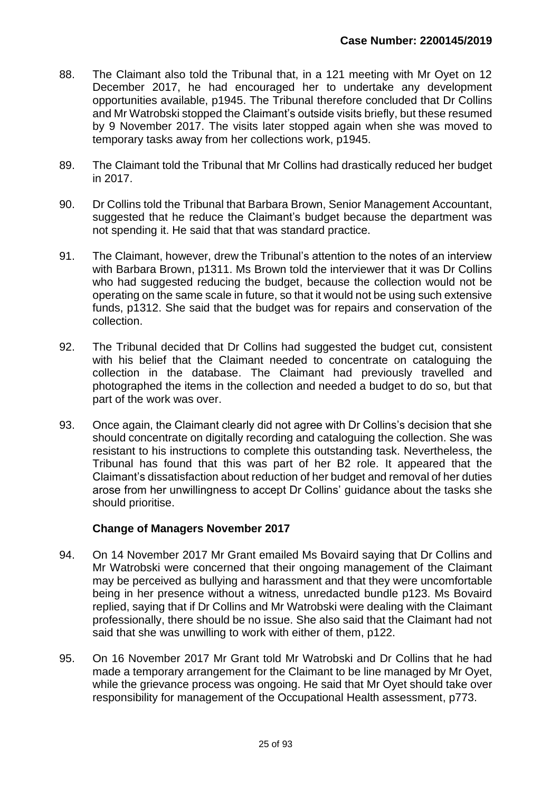- 88. The Claimant also told the Tribunal that, in a 121 meeting with Mr Oyet on 12 December 2017, he had encouraged her to undertake any development opportunities available, p1945. The Tribunal therefore concluded that Dr Collins and Mr Watrobski stopped the Claimant's outside visits briefly, but these resumed by 9 November 2017. The visits later stopped again when she was moved to temporary tasks away from her collections work, p1945.
- 89. The Claimant told the Tribunal that Mr Collins had drastically reduced her budget in 2017.
- 90. Dr Collins told the Tribunal that Barbara Brown, Senior Management Accountant, suggested that he reduce the Claimant's budget because the department was not spending it. He said that that was standard practice.
- 91. The Claimant, however, drew the Tribunal's attention to the notes of an interview with Barbara Brown, p1311. Ms Brown told the interviewer that it was Dr Collins who had suggested reducing the budget, because the collection would not be operating on the same scale in future, so that it would not be using such extensive funds, p1312. She said that the budget was for repairs and conservation of the collection.
- 92. The Tribunal decided that Dr Collins had suggested the budget cut, consistent with his belief that the Claimant needed to concentrate on cataloguing the collection in the database. The Claimant had previously travelled and photographed the items in the collection and needed a budget to do so, but that part of the work was over.
- 93. Once again, the Claimant clearly did not agree with Dr Collins's decision that she should concentrate on digitally recording and cataloguing the collection. She was resistant to his instructions to complete this outstanding task. Nevertheless, the Tribunal has found that this was part of her B2 role. It appeared that the Claimant's dissatisfaction about reduction of her budget and removal of her duties arose from her unwillingness to accept Dr Collins' guidance about the tasks she should prioritise.

#### **Change of Managers November 2017**

- 94. On 14 November 2017 Mr Grant emailed Ms Bovaird saying that Dr Collins and Mr Watrobski were concerned that their ongoing management of the Claimant may be perceived as bullying and harassment and that they were uncomfortable being in her presence without a witness, unredacted bundle p123. Ms Bovaird replied, saying that if Dr Collins and Mr Watrobski were dealing with the Claimant professionally, there should be no issue. She also said that the Claimant had not said that she was unwilling to work with either of them, p122.
- 95. On 16 November 2017 Mr Grant told Mr Watrobski and Dr Collins that he had made a temporary arrangement for the Claimant to be line managed by Mr Oyet, while the grievance process was ongoing. He said that Mr Oyet should take over responsibility for management of the Occupational Health assessment, p773.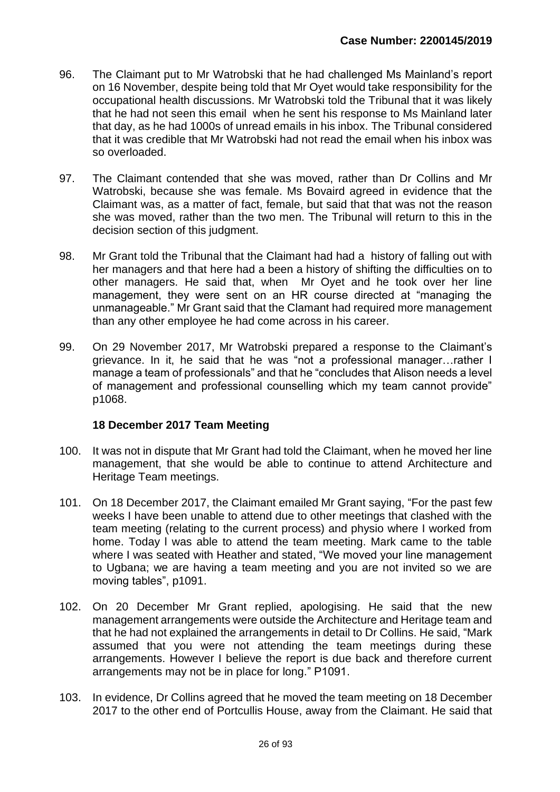- 96. The Claimant put to Mr Watrobski that he had challenged Ms Mainland's report on 16 November, despite being told that Mr Oyet would take responsibility for the occupational health discussions. Mr Watrobski told the Tribunal that it was likely that he had not seen this email when he sent his response to Ms Mainland later that day, as he had 1000s of unread emails in his inbox. The Tribunal considered that it was credible that Mr Watrobski had not read the email when his inbox was so overloaded.
- 97. The Claimant contended that she was moved, rather than Dr Collins and Mr Watrobski, because she was female. Ms Bovaird agreed in evidence that the Claimant was, as a matter of fact, female, but said that that was not the reason she was moved, rather than the two men. The Tribunal will return to this in the decision section of this judgment.
- 98. Mr Grant told the Tribunal that the Claimant had had a history of falling out with her managers and that here had a been a history of shifting the difficulties on to other managers. He said that, when Mr Oyet and he took over her line management, they were sent on an HR course directed at "managing the unmanageable." Mr Grant said that the Clamant had required more management than any other employee he had come across in his career.
- 99. On 29 November 2017, Mr Watrobski prepared a response to the Claimant's grievance. In it, he said that he was "not a professional manager…rather I manage a team of professionals" and that he "concludes that Alison needs a level of management and professional counselling which my team cannot provide" p1068.

# **18 December 2017 Team Meeting**

- 100. It was not in dispute that Mr Grant had told the Claimant, when he moved her line management, that she would be able to continue to attend Architecture and Heritage Team meetings.
- 101. On 18 December 2017, the Claimant emailed Mr Grant saying, "For the past few weeks I have been unable to attend due to other meetings that clashed with the team meeting (relating to the current process) and physio where I worked from home. Today l was able to attend the team meeting. Mark came to the table where I was seated with Heather and stated, "We moved your line management to Ugbana; we are having a team meeting and you are not invited so we are moving tables", p1091.
- 102. On 20 December Mr Grant replied, apologising. He said that the new management arrangements were outside the Architecture and Heritage team and that he had not explained the arrangements in detail to Dr Collins. He said, "Mark assumed that you were not attending the team meetings during these arrangements. However I believe the report is due back and therefore current arrangements may not be in place for long." P1091.
- 103. In evidence, Dr Collins agreed that he moved the team meeting on 18 December 2017 to the other end of Portcullis House, away from the Claimant. He said that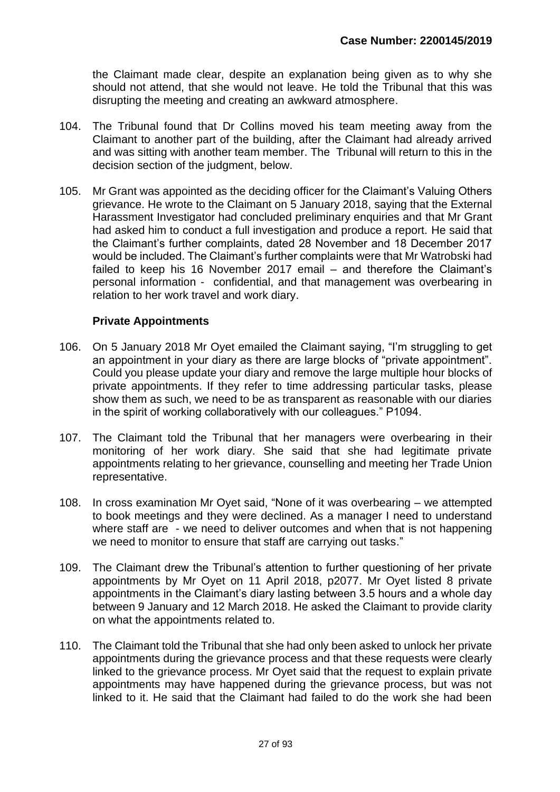the Claimant made clear, despite an explanation being given as to why she should not attend, that she would not leave. He told the Tribunal that this was disrupting the meeting and creating an awkward atmosphere.

- 104. The Tribunal found that Dr Collins moved his team meeting away from the Claimant to another part of the building, after the Claimant had already arrived and was sitting with another team member. The Tribunal will return to this in the decision section of the judgment, below.
- 105. Mr Grant was appointed as the deciding officer for the Claimant's Valuing Others grievance. He wrote to the Claimant on 5 January 2018, saying that the External Harassment Investigator had concluded preliminary enquiries and that Mr Grant had asked him to conduct a full investigation and produce a report. He said that the Claimant's further complaints, dated 28 November and 18 December 2017 would be included. The Claimant's further complaints were that Mr Watrobski had failed to keep his 16 November 2017 email – and therefore the Claimant's personal information - confidential, and that management was overbearing in relation to her work travel and work diary.

#### **Private Appointments**

- 106. On 5 January 2018 Mr Oyet emailed the Claimant saying, "I'm struggling to get an appointment in your diary as there are large blocks of "private appointment". Could you please update your diary and remove the large multiple hour blocks of private appointments. If they refer to time addressing particular tasks, please show them as such, we need to be as transparent as reasonable with our diaries in the spirit of working collaboratively with our colleagues." P1094.
- 107. The Claimant told the Tribunal that her managers were overbearing in their monitoring of her work diary. She said that she had legitimate private appointments relating to her grievance, counselling and meeting her Trade Union representative.
- 108. In cross examination Mr Oyet said, "None of it was overbearing we attempted to book meetings and they were declined. As a manager I need to understand where staff are - we need to deliver outcomes and when that is not happening we need to monitor to ensure that staff are carrying out tasks."
- 109. The Claimant drew the Tribunal's attention to further questioning of her private appointments by Mr Oyet on 11 April 2018, p2077. Mr Oyet listed 8 private appointments in the Claimant's diary lasting between 3.5 hours and a whole day between 9 January and 12 March 2018. He asked the Claimant to provide clarity on what the appointments related to.
- 110. The Claimant told the Tribunal that she had only been asked to unlock her private appointments during the grievance process and that these requests were clearly linked to the grievance process. Mr Oyet said that the request to explain private appointments may have happened during the grievance process, but was not linked to it. He said that the Claimant had failed to do the work she had been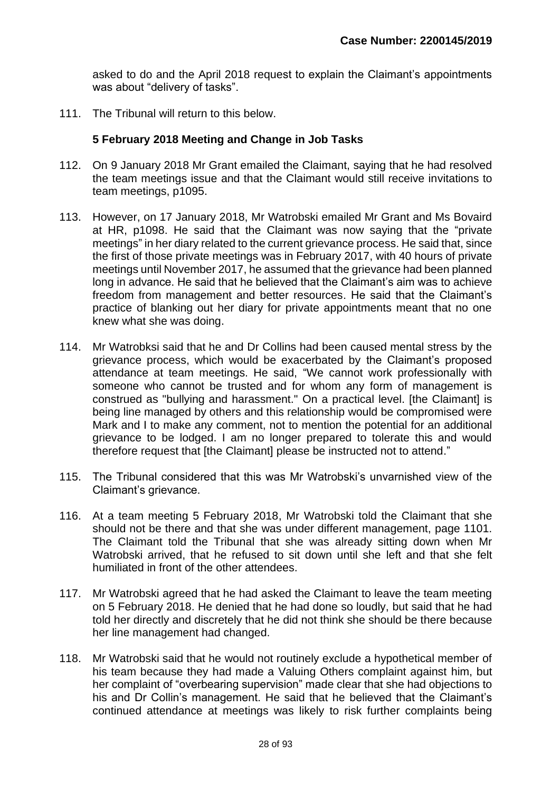asked to do and the April 2018 request to explain the Claimant's appointments was about "delivery of tasks".

111. The Tribunal will return to this below.

#### **5 February 2018 Meeting and Change in Job Tasks**

- 112. On 9 January 2018 Mr Grant emailed the Claimant, saying that he had resolved the team meetings issue and that the Claimant would still receive invitations to team meetings, p1095.
- 113. However, on 17 January 2018, Mr Watrobski emailed Mr Grant and Ms Bovaird at HR, p1098. He said that the Claimant was now saying that the "private meetings" in her diary related to the current grievance process. He said that, since the first of those private meetings was in February 2017, with 40 hours of private meetings until November 2017, he assumed that the grievance had been planned long in advance. He said that he believed that the Claimant's aim was to achieve freedom from management and better resources. He said that the Claimant's practice of blanking out her diary for private appointments meant that no one knew what she was doing.
- 114. Mr Watrobksi said that he and Dr Collins had been caused mental stress by the grievance process, which would be exacerbated by the Claimant's proposed attendance at team meetings. He said, "We cannot work professionally with someone who cannot be trusted and for whom any form of management is construed as "bullying and harassment." On a practical level. [the Claimant] is being line managed by others and this relationship would be compromised were Mark and I to make any comment, not to mention the potential for an additional grievance to be lodged. I am no longer prepared to tolerate this and would therefore request that [the Claimant] please be instructed not to attend."
- 115. The Tribunal considered that this was Mr Watrobski's unvarnished view of the Claimant's grievance.
- 116. At a team meeting 5 February 2018, Mr Watrobski told the Claimant that she should not be there and that she was under different management, page 1101. The Claimant told the Tribunal that she was already sitting down when Mr Watrobski arrived, that he refused to sit down until she left and that she felt humiliated in front of the other attendees.
- 117. Mr Watrobski agreed that he had asked the Claimant to leave the team meeting on 5 February 2018. He denied that he had done so loudly, but said that he had told her directly and discretely that he did not think she should be there because her line management had changed.
- 118. Mr Watrobski said that he would not routinely exclude a hypothetical member of his team because they had made a Valuing Others complaint against him, but her complaint of "overbearing supervision" made clear that she had objections to his and Dr Collin's management. He said that he believed that the Claimant's continued attendance at meetings was likely to risk further complaints being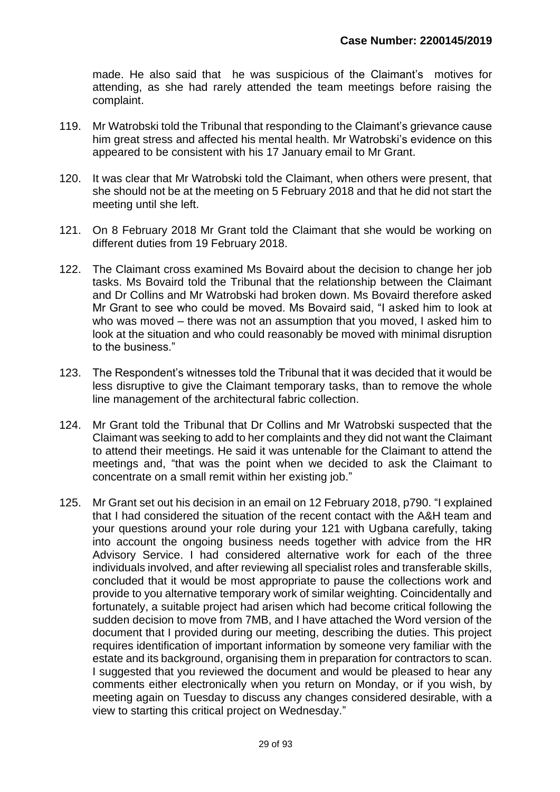made. He also said that he was suspicious of the Claimant's motives for attending, as she had rarely attended the team meetings before raising the complaint.

- 119. Mr Watrobski told the Tribunal that responding to the Claimant's grievance cause him great stress and affected his mental health. Mr Watrobski's evidence on this appeared to be consistent with his 17 January email to Mr Grant.
- 120. It was clear that Mr Watrobski told the Claimant, when others were present, that she should not be at the meeting on 5 February 2018 and that he did not start the meeting until she left.
- 121. On 8 February 2018 Mr Grant told the Claimant that she would be working on different duties from 19 February 2018.
- 122. The Claimant cross examined Ms Bovaird about the decision to change her job tasks. Ms Bovaird told the Tribunal that the relationship between the Claimant and Dr Collins and Mr Watrobski had broken down. Ms Bovaird therefore asked Mr Grant to see who could be moved. Ms Bovaird said, "I asked him to look at who was moved – there was not an assumption that you moved, I asked him to look at the situation and who could reasonably be moved with minimal disruption to the business."
- 123. The Respondent's witnesses told the Tribunal that it was decided that it would be less disruptive to give the Claimant temporary tasks, than to remove the whole line management of the architectural fabric collection.
- 124. Mr Grant told the Tribunal that Dr Collins and Mr Watrobski suspected that the Claimant was seeking to add to her complaints and they did not want the Claimant to attend their meetings. He said it was untenable for the Claimant to attend the meetings and, "that was the point when we decided to ask the Claimant to concentrate on a small remit within her existing job."
- 125. Mr Grant set out his decision in an email on 12 February 2018, p790. "I explained that I had considered the situation of the recent contact with the A&H team and your questions around your role during your 121 with Ugbana carefully, taking into account the ongoing business needs together with advice from the HR Advisory Service. I had considered alternative work for each of the three individuals involved, and after reviewing all specialist roles and transferable skills, concluded that it would be most appropriate to pause the collections work and provide to you alternative temporary work of similar weighting. Coincidentally and fortunately, a suitable project had arisen which had become critical following the sudden decision to move from 7MB, and I have attached the Word version of the document that I provided during our meeting, describing the duties. This project requires identification of important information by someone very familiar with the estate and its background, organising them in preparation for contractors to scan. I suggested that you reviewed the document and would be pleased to hear any comments either electronically when you return on Monday, or if you wish, by meeting again on Tuesday to discuss any changes considered desirable, with a view to starting this critical project on Wednesday."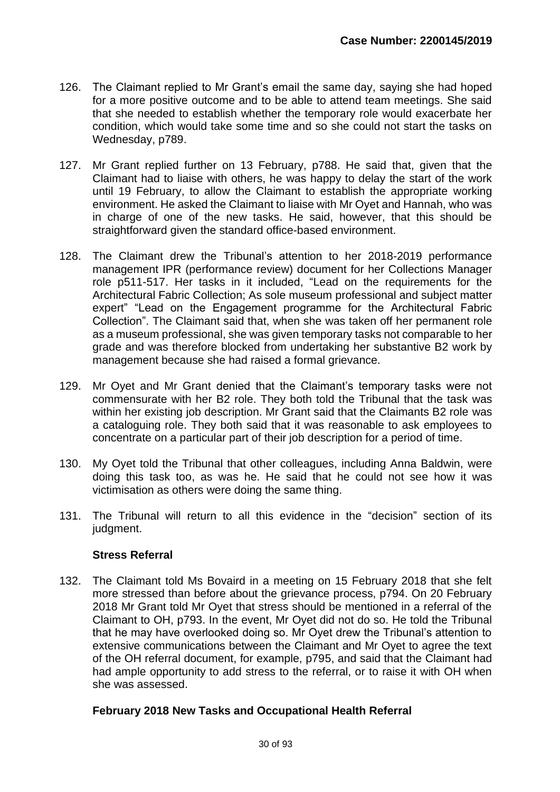- 126. The Claimant replied to Mr Grant's email the same day, saying she had hoped for a more positive outcome and to be able to attend team meetings. She said that she needed to establish whether the temporary role would exacerbate her condition, which would take some time and so she could not start the tasks on Wednesday, p789.
- 127. Mr Grant replied further on 13 February, p788. He said that, given that the Claimant had to liaise with others, he was happy to delay the start of the work until 19 February, to allow the Claimant to establish the appropriate working environment. He asked the Claimant to liaise with Mr Oyet and Hannah, who was in charge of one of the new tasks. He said, however, that this should be straightforward given the standard office-based environment.
- 128. The Claimant drew the Tribunal's attention to her 2018-2019 performance management IPR (performance review) document for her Collections Manager role p511-517. Her tasks in it included, "Lead on the requirements for the Architectural Fabric Collection; As sole museum professional and subject matter expert" "Lead on the Engagement programme for the Architectural Fabric Collection". The Claimant said that, when she was taken off her permanent role as a museum professional, she was given temporary tasks not comparable to her grade and was therefore blocked from undertaking her substantive B2 work by management because she had raised a formal grievance.
- 129. Mr Oyet and Mr Grant denied that the Claimant's temporary tasks were not commensurate with her B2 role. They both told the Tribunal that the task was within her existing job description. Mr Grant said that the Claimants B2 role was a cataloguing role. They both said that it was reasonable to ask employees to concentrate on a particular part of their job description for a period of time.
- 130. My Oyet told the Tribunal that other colleagues, including Anna Baldwin, were doing this task too, as was he. He said that he could not see how it was victimisation as others were doing the same thing.
- 131. The Tribunal will return to all this evidence in the "decision" section of its judgment.

# **Stress Referral**

132. The Claimant told Ms Bovaird in a meeting on 15 February 2018 that she felt more stressed than before about the grievance process, p794. On 20 February 2018 Mr Grant told Mr Oyet that stress should be mentioned in a referral of the Claimant to OH, p793. In the event, Mr Oyet did not do so. He told the Tribunal that he may have overlooked doing so. Mr Oyet drew the Tribunal's attention to extensive communications between the Claimant and Mr Oyet to agree the text of the OH referral document, for example, p795, and said that the Claimant had had ample opportunity to add stress to the referral, or to raise it with OH when she was assessed.

#### **February 2018 New Tasks and Occupational Health Referral**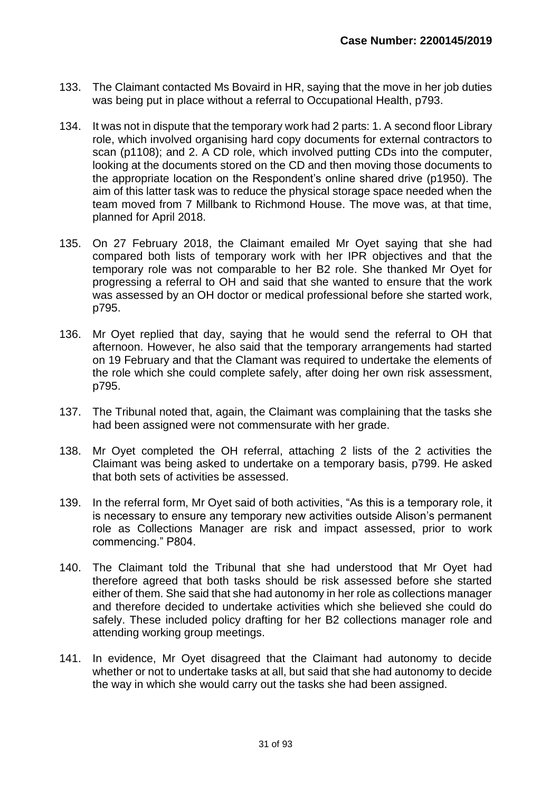- 133. The Claimant contacted Ms Bovaird in HR, saying that the move in her job duties was being put in place without a referral to Occupational Health, p793.
- 134. It was not in dispute that the temporary work had 2 parts: 1. A second floor Library role, which involved organising hard copy documents for external contractors to scan (p1108); and 2. A CD role, which involved putting CDs into the computer, looking at the documents stored on the CD and then moving those documents to the appropriate location on the Respondent's online shared drive (p1950). The aim of this latter task was to reduce the physical storage space needed when the team moved from 7 Millbank to Richmond House. The move was, at that time, planned for April 2018.
- 135. On 27 February 2018, the Claimant emailed Mr Oyet saying that she had compared both lists of temporary work with her IPR objectives and that the temporary role was not comparable to her B2 role. She thanked Mr Oyet for progressing a referral to OH and said that she wanted to ensure that the work was assessed by an OH doctor or medical professional before she started work, p795.
- 136. Mr Oyet replied that day, saying that he would send the referral to OH that afternoon. However, he also said that the temporary arrangements had started on 19 February and that the Clamant was required to undertake the elements of the role which she could complete safely, after doing her own risk assessment, p795.
- 137. The Tribunal noted that, again, the Claimant was complaining that the tasks she had been assigned were not commensurate with her grade.
- 138. Mr Oyet completed the OH referral, attaching 2 lists of the 2 activities the Claimant was being asked to undertake on a temporary basis, p799. He asked that both sets of activities be assessed.
- 139. In the referral form, Mr Oyet said of both activities, "As this is a temporary role, it is necessary to ensure any temporary new activities outside Alison's permanent role as Collections Manager are risk and impact assessed, prior to work commencing." P804.
- 140. The Claimant told the Tribunal that she had understood that Mr Oyet had therefore agreed that both tasks should be risk assessed before she started either of them. She said that she had autonomy in her role as collections manager and therefore decided to undertake activities which she believed she could do safely. These included policy drafting for her B2 collections manager role and attending working group meetings.
- 141. In evidence, Mr Oyet disagreed that the Claimant had autonomy to decide whether or not to undertake tasks at all, but said that she had autonomy to decide the way in which she would carry out the tasks she had been assigned.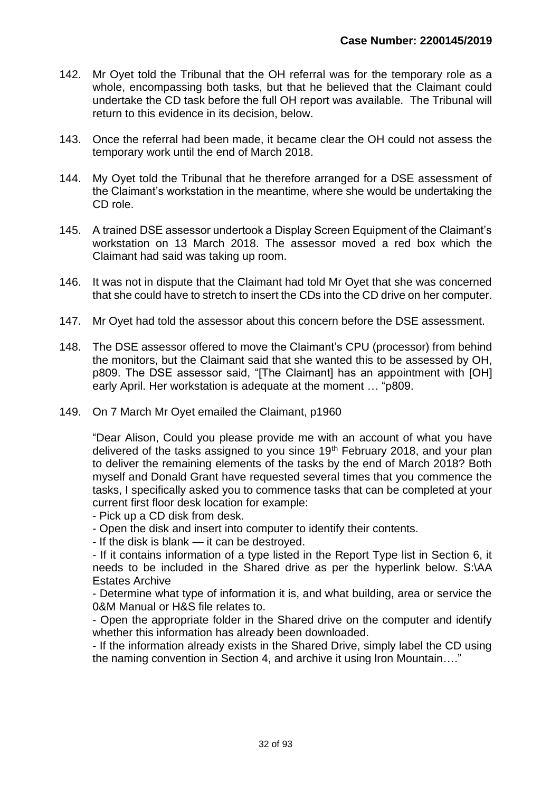- 142. Mr Oyet told the Tribunal that the OH referral was for the temporary role as a whole, encompassing both tasks, but that he believed that the Claimant could undertake the CD task before the full OH report was available. The Tribunal will return to this evidence in its decision, below.
- 143. Once the referral had been made, it became clear the OH could not assess the temporary work until the end of March 2018.
- 144. My Oyet told the Tribunal that he therefore arranged for a DSE assessment of the Claimant's workstation in the meantime, where she would be undertaking the CD role.
- 145. A trained DSE assessor undertook a Display Screen Equipment of the Claimant's workstation on 13 March 2018. The assessor moved a red box which the Claimant had said was taking up room.
- 146. It was not in dispute that the Claimant had told Mr Oyet that she was concerned that she could have to stretch to insert the CDs into the CD drive on her computer.
- 147. Mr Oyet had told the assessor about this concern before the DSE assessment.
- 148. The DSE assessor offered to move the Claimant's CPU (processor) from behind the monitors, but the Claimant said that she wanted this to be assessed by OH, p809. The DSE assessor said, "[The Claimant] has an appointment with [OH] early April. Her workstation is adequate at the moment … "p809.
- 149. On 7 March Mr Oyet emailed the Claimant, p1960

"Dear Alison, Could you please provide me with an account of what you have delivered of the tasks assigned to you since 19<sup>th</sup> February 2018, and your plan to deliver the remaining elements of the tasks by the end of March 2018? Both myself and Donald Grant have requested several times that you commence the tasks, I specifically asked you to commence tasks that can be completed at your current first floor desk location for example:

- Pick up a CD disk from desk.
- Open the disk and insert into computer to identify their contents.
- If the disk is blank it can be destroyed.

- If it contains information of a type listed in the Report Type list in Section 6, it needs to be included in the Shared drive as per the hyperlink below. S:\AA Estates Archive

- Determine what type of information it is, and what building, area or service the 0&M Manual or H&S file relates to.

- Open the appropriate folder in the Shared drive on the computer and identify whether this information has already been downloaded.

- If the information already exists in the Shared Drive, simply label the CD using the naming convention in Section 4, and archive it using lron Mountain…."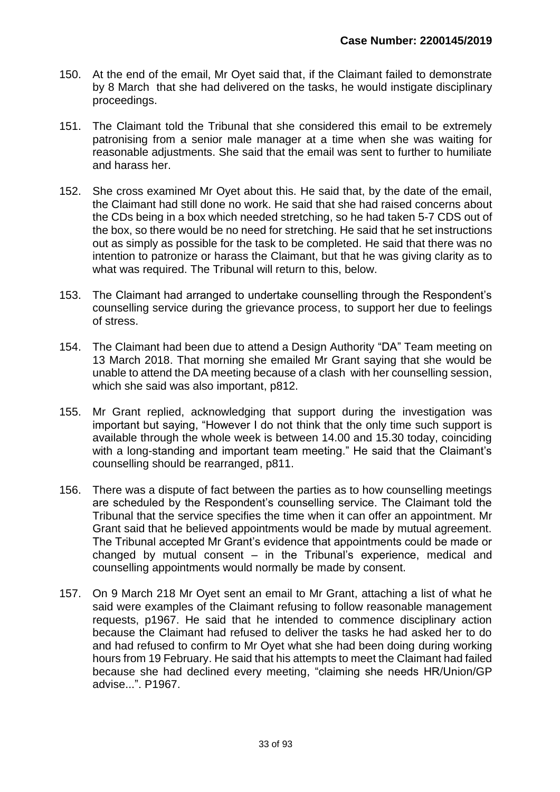- 150. At the end of the email, Mr Oyet said that, if the Claimant failed to demonstrate by 8 March that she had delivered on the tasks, he would instigate disciplinary proceedings.
- 151. The Claimant told the Tribunal that she considered this email to be extremely patronising from a senior male manager at a time when she was waiting for reasonable adjustments. She said that the email was sent to further to humiliate and harass her.
- 152. She cross examined Mr Oyet about this. He said that, by the date of the email, the Claimant had still done no work. He said that she had raised concerns about the CDs being in a box which needed stretching, so he had taken 5-7 CDS out of the box, so there would be no need for stretching. He said that he set instructions out as simply as possible for the task to be completed. He said that there was no intention to patronize or harass the Claimant, but that he was giving clarity as to what was required. The Tribunal will return to this, below.
- 153. The Claimant had arranged to undertake counselling through the Respondent's counselling service during the grievance process, to support her due to feelings of stress.
- 154. The Claimant had been due to attend a Design Authority "DA" Team meeting on 13 March 2018. That morning she emailed Mr Grant saying that she would be unable to attend the DA meeting because of a clash with her counselling session, which she said was also important, p812.
- 155. Mr Grant replied, acknowledging that support during the investigation was important but saying, "However I do not think that the only time such support is available through the whole week is between 14.00 and 15.30 today, coinciding with a long-standing and important team meeting." He said that the Claimant's counselling should be rearranged, p811.
- 156. There was a dispute of fact between the parties as to how counselling meetings are scheduled by the Respondent's counselling service. The Claimant told the Tribunal that the service specifies the time when it can offer an appointment. Mr Grant said that he believed appointments would be made by mutual agreement. The Tribunal accepted Mr Grant's evidence that appointments could be made or changed by mutual consent – in the Tribunal's experience, medical and counselling appointments would normally be made by consent.
- 157. On 9 March 218 Mr Oyet sent an email to Mr Grant, attaching a list of what he said were examples of the Claimant refusing to follow reasonable management requests, p1967. He said that he intended to commence disciplinary action because the Claimant had refused to deliver the tasks he had asked her to do and had refused to confirm to Mr Oyet what she had been doing during working hours from 19 February. He said that his attempts to meet the Claimant had failed because she had declined every meeting, "claiming she needs HR/Union/GP advise...". P1967.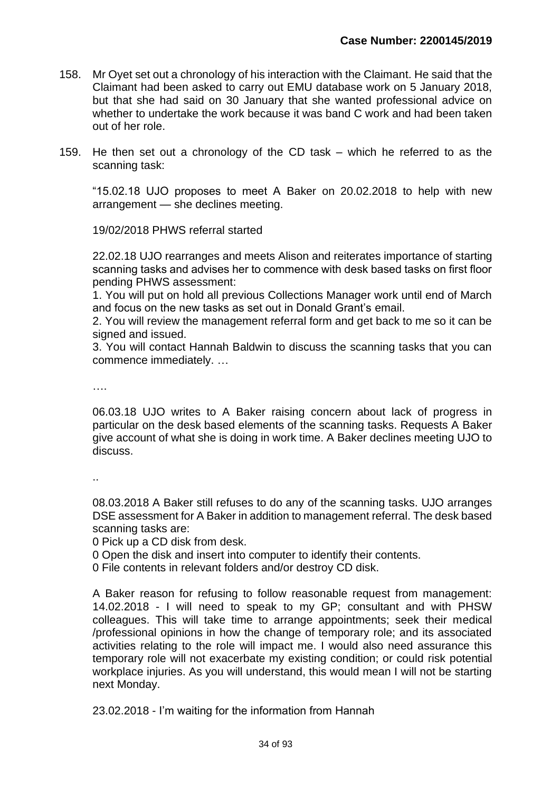- 158. Mr Oyet set out a chronology of his interaction with the Claimant. He said that the Claimant had been asked to carry out EMU database work on 5 January 2018, but that she had said on 30 January that she wanted professional advice on whether to undertake the work because it was band C work and had been taken out of her role.
- 159. He then set out a chronology of the CD task which he referred to as the scanning task:

"15.02.18 UJO proposes to meet A Baker on 20.02.2018 to help with new arrangement — she declines meeting.

19/02/2018 PHWS referral started

22.02.18 UJO rearranges and meets Alison and reiterates importance of starting scanning tasks and advises her to commence with desk based tasks on first floor pending PHWS assessment:

1. You will put on hold all previous Collections Manager work until end of March and focus on the new tasks as set out in Donald Grant's email.

2. You will review the management referral form and get back to me so it can be signed and issued.

3. You will contact Hannah Baldwin to discuss the scanning tasks that you can commence immediately. …

….

06.03.18 UJO writes to A Baker raising concern about lack of progress in particular on the desk based elements of the scanning tasks. Requests A Baker give account of what she is doing in work time. A Baker declines meeting UJO to discuss.

..

08.03.2018 A Baker still refuses to do any of the scanning tasks. UJO arranges DSE assessment for A Baker in addition to management referral. The desk based scanning tasks are:

0 Pick up a CD disk from desk.

0 Open the disk and insert into computer to identify their contents.

0 File contents in relevant folders and/or destroy CD disk.

A Baker reason for refusing to follow reasonable request from management: 14.02.2018 - I will need to speak to my GP; consultant and with PHSW colleagues. This will take time to arrange appointments; seek their medical /professional opinions in how the change of temporary role; and its associated activities relating to the role will impact me. I would also need assurance this temporary role will not exacerbate my existing condition; or could risk potential workplace injuries. As you will understand, this would mean I will not be starting next Monday.

23.02.2018 - I'm waiting for the information from Hannah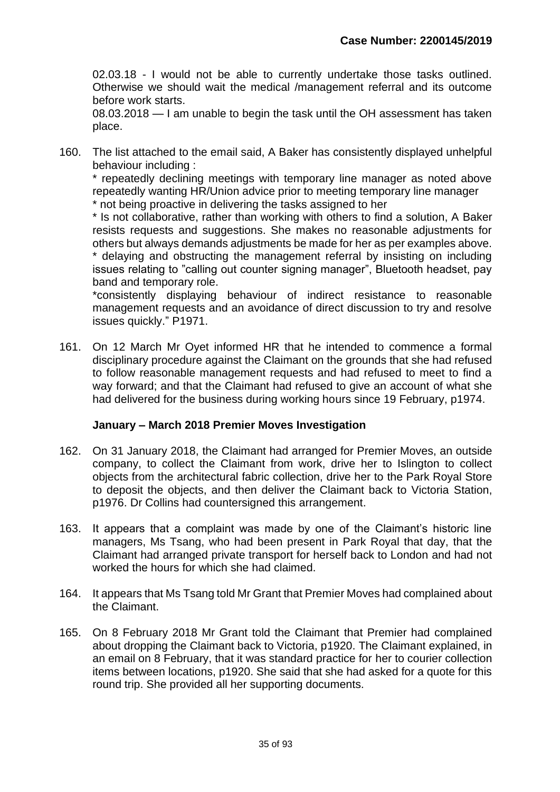02.03.18 - I would not be able to currently undertake those tasks outlined. Otherwise we should wait the medical /management referral and its outcome before work starts.

08.03.2018 — I am unable to begin the task until the OH assessment has taken place.

160. The list attached to the email said, A Baker has consistently displayed unhelpful behaviour including :

\* repeatedly declining meetings with temporary line manager as noted above repeatedly wanting HR/Union advice prior to meeting temporary line manager

\* not being proactive in delivering the tasks assigned to her

\* Is not collaborative, rather than working with others to find a solution, A Baker resists requests and suggestions. She makes no reasonable adjustments for others but always demands adjustments be made for her as per examples above. \* delaying and obstructing the management referral by insisting on including issues relating to "calling out counter signing manager", Bluetooth headset, pay band and temporary role.

\*consistently displaying behaviour of indirect resistance to reasonable management requests and an avoidance of direct discussion to try and resolve issues quickly." P1971.

161. On 12 March Mr Oyet informed HR that he intended to commence a formal disciplinary procedure against the Claimant on the grounds that she had refused to follow reasonable management requests and had refused to meet to find a way forward; and that the Claimant had refused to give an account of what she had delivered for the business during working hours since 19 February, p1974.

#### **January – March 2018 Premier Moves Investigation**

- 162. On 31 January 2018, the Claimant had arranged for Premier Moves, an outside company, to collect the Claimant from work, drive her to Islington to collect objects from the architectural fabric collection, drive her to the Park Royal Store to deposit the objects, and then deliver the Claimant back to Victoria Station, p1976. Dr Collins had countersigned this arrangement.
- 163. It appears that a complaint was made by one of the Claimant's historic line managers, Ms Tsang, who had been present in Park Royal that day, that the Claimant had arranged private transport for herself back to London and had not worked the hours for which she had claimed.
- 164. It appears that Ms Tsang told Mr Grant that Premier Moves had complained about the Claimant.
- 165. On 8 February 2018 Mr Grant told the Claimant that Premier had complained about dropping the Claimant back to Victoria, p1920. The Claimant explained, in an email on 8 February, that it was standard practice for her to courier collection items between locations, p1920. She said that she had asked for a quote for this round trip. She provided all her supporting documents.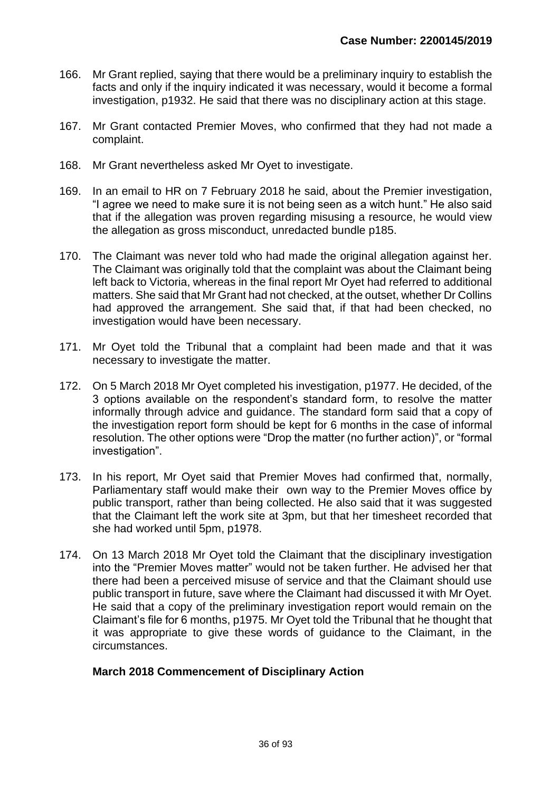- 166. Mr Grant replied, saying that there would be a preliminary inquiry to establish the facts and only if the inquiry indicated it was necessary, would it become a formal investigation, p1932. He said that there was no disciplinary action at this stage.
- 167. Mr Grant contacted Premier Moves, who confirmed that they had not made a complaint.
- 168. Mr Grant nevertheless asked Mr Oyet to investigate.
- 169. In an email to HR on 7 February 2018 he said, about the Premier investigation, "I agree we need to make sure it is not being seen as a witch hunt." He also said that if the allegation was proven regarding misusing a resource, he would view the allegation as gross misconduct, unredacted bundle p185.
- 170. The Claimant was never told who had made the original allegation against her. The Claimant was originally told that the complaint was about the Claimant being left back to Victoria, whereas in the final report Mr Oyet had referred to additional matters. She said that Mr Grant had not checked, at the outset, whether Dr Collins had approved the arrangement. She said that, if that had been checked, no investigation would have been necessary.
- 171. Mr Oyet told the Tribunal that a complaint had been made and that it was necessary to investigate the matter.
- 172. On 5 March 2018 Mr Oyet completed his investigation, p1977. He decided, of the 3 options available on the respondent's standard form, to resolve the matter informally through advice and guidance. The standard form said that a copy of the investigation report form should be kept for 6 months in the case of informal resolution. The other options were "Drop the matter (no further action)", or "formal investigation".
- 173. In his report, Mr Oyet said that Premier Moves had confirmed that, normally, Parliamentary staff would make their own way to the Premier Moves office by public transport, rather than being collected. He also said that it was suggested that the Claimant left the work site at 3pm, but that her timesheet recorded that she had worked until 5pm, p1978.
- 174. On 13 March 2018 Mr Oyet told the Claimant that the disciplinary investigation into the "Premier Moves matter" would not be taken further. He advised her that there had been a perceived misuse of service and that the Claimant should use public transport in future, save where the Claimant had discussed it with Mr Oyet. He said that a copy of the preliminary investigation report would remain on the Claimant's file for 6 months, p1975. Mr Oyet told the Tribunal that he thought that it was appropriate to give these words of guidance to the Claimant, in the circumstances.

#### **March 2018 Commencement of Disciplinary Action**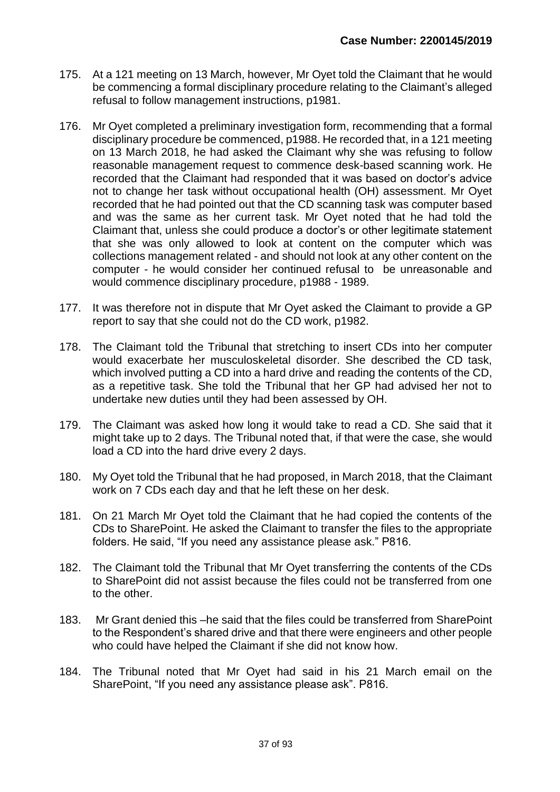- 175. At a 121 meeting on 13 March, however, Mr Oyet told the Claimant that he would be commencing a formal disciplinary procedure relating to the Claimant's alleged refusal to follow management instructions, p1981.
- 176. Mr Oyet completed a preliminary investigation form, recommending that a formal disciplinary procedure be commenced, p1988. He recorded that, in a 121 meeting on 13 March 2018, he had asked the Claimant why she was refusing to follow reasonable management request to commence desk-based scanning work. He recorded that the Claimant had responded that it was based on doctor's advice not to change her task without occupational health (OH) assessment. Mr Oyet recorded that he had pointed out that the CD scanning task was computer based and was the same as her current task. Mr Oyet noted that he had told the Claimant that, unless she could produce a doctor's or other legitimate statement that she was only allowed to look at content on the computer which was collections management related - and should not look at any other content on the computer - he would consider her continued refusal to be unreasonable and would commence disciplinary procedure, p1988 - 1989.
- 177. It was therefore not in dispute that Mr Oyet asked the Claimant to provide a GP report to say that she could not do the CD work, p1982.
- 178. The Claimant told the Tribunal that stretching to insert CDs into her computer would exacerbate her musculoskeletal disorder. She described the CD task, which involved putting a CD into a hard drive and reading the contents of the CD, as a repetitive task. She told the Tribunal that her GP had advised her not to undertake new duties until they had been assessed by OH.
- 179. The Claimant was asked how long it would take to read a CD. She said that it might take up to 2 days. The Tribunal noted that, if that were the case, she would load a CD into the hard drive every 2 days.
- 180. My Oyet told the Tribunal that he had proposed, in March 2018, that the Claimant work on 7 CDs each day and that he left these on her desk.
- 181. On 21 March Mr Oyet told the Claimant that he had copied the contents of the CDs to SharePoint. He asked the Claimant to transfer the files to the appropriate folders. He said, "If you need any assistance please ask." P816.
- 182. The Claimant told the Tribunal that Mr Oyet transferring the contents of the CDs to SharePoint did not assist because the files could not be transferred from one to the other.
- 183. Mr Grant denied this –he said that the files could be transferred from SharePoint to the Respondent's shared drive and that there were engineers and other people who could have helped the Claimant if she did not know how.
- 184. The Tribunal noted that Mr Oyet had said in his 21 March email on the SharePoint, "If you need any assistance please ask". P816.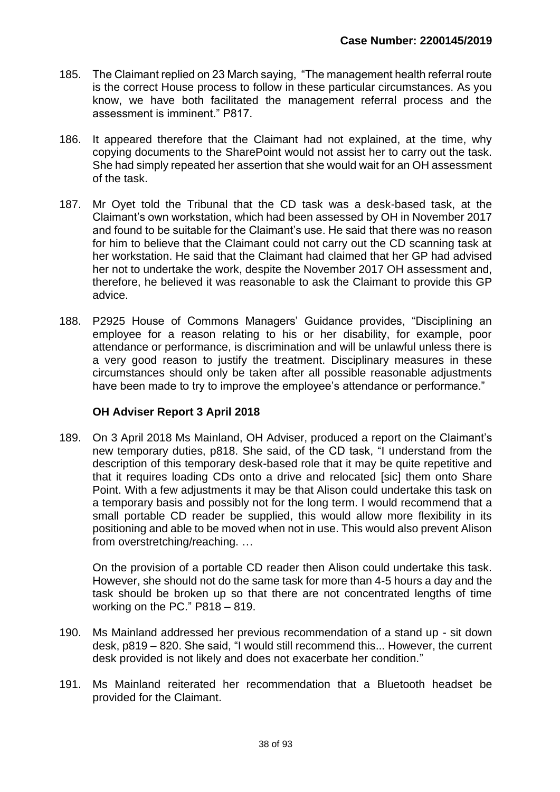- 185. The Claimant replied on 23 March saying, "The management health referral route is the correct House process to follow in these particular circumstances. As you know, we have both facilitated the management referral process and the assessment is imminent." P817.
- 186. It appeared therefore that the Claimant had not explained, at the time, why copying documents to the SharePoint would not assist her to carry out the task. She had simply repeated her assertion that she would wait for an OH assessment of the task.
- 187. Mr Oyet told the Tribunal that the CD task was a desk-based task, at the Claimant's own workstation, which had been assessed by OH in November 2017 and found to be suitable for the Claimant's use. He said that there was no reason for him to believe that the Claimant could not carry out the CD scanning task at her workstation. He said that the Claimant had claimed that her GP had advised her not to undertake the work, despite the November 2017 OH assessment and, therefore, he believed it was reasonable to ask the Claimant to provide this GP advice.
- 188. P2925 House of Commons Managers' Guidance provides, "Disciplining an employee for a reason relating to his or her disability, for example, poor attendance or performance, is discrimination and will be unlawful unless there is a very good reason to justify the treatment. Disciplinary measures in these circumstances should only be taken after all possible reasonable adjustments have been made to try to improve the employee's attendance or performance."

# **OH Adviser Report 3 April 2018**

189. On 3 April 2018 Ms Mainland, OH Adviser, produced a report on the Claimant's new temporary duties, p818. She said, of the CD task, "I understand from the description of this temporary desk-based role that it may be quite repetitive and that it requires loading CDs onto a drive and relocated [sic] them onto Share Point. With a few adjustments it may be that Alison could undertake this task on a temporary basis and possibly not for the long term. I would recommend that a small portable CD reader be supplied, this would allow more flexibility in its positioning and able to be moved when not in use. This would also prevent Alison from overstretching/reaching. …

On the provision of a portable CD reader then Alison could undertake this task. However, she should not do the same task for more than 4-5 hours a day and the task should be broken up so that there are not concentrated lengths of time working on the PC." P818 – 819.

- 190. Ms Mainland addressed her previous recommendation of a stand up sit down desk, p819 – 820. She said, "I would still recommend this... However, the current desk provided is not likely and does not exacerbate her condition."
- 191. Ms Mainland reiterated her recommendation that a Bluetooth headset be provided for the Claimant.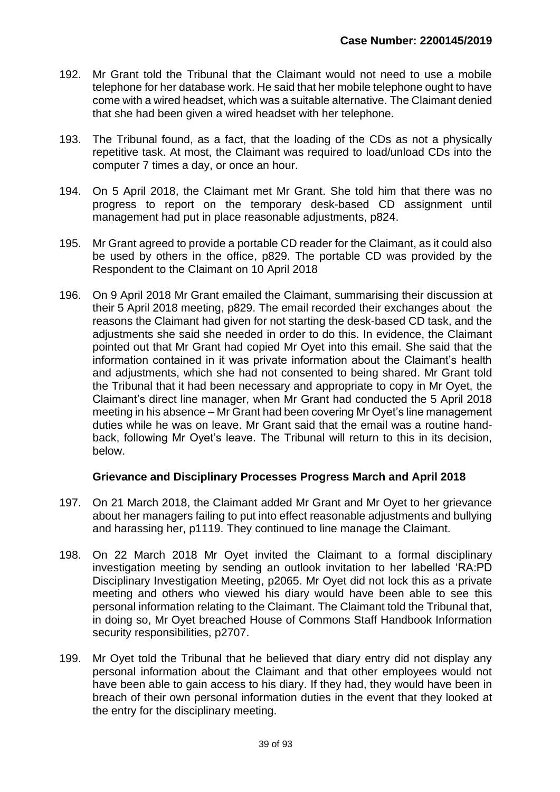- 192. Mr Grant told the Tribunal that the Claimant would not need to use a mobile telephone for her database work. He said that her mobile telephone ought to have come with a wired headset, which was a suitable alternative. The Claimant denied that she had been given a wired headset with her telephone.
- 193. The Tribunal found, as a fact, that the loading of the CDs as not a physically repetitive task. At most, the Claimant was required to load/unload CDs into the computer 7 times a day, or once an hour.
- 194. On 5 April 2018, the Claimant met Mr Grant. She told him that there was no progress to report on the temporary desk-based CD assignment until management had put in place reasonable adjustments, p824.
- 195. Mr Grant agreed to provide a portable CD reader for the Claimant, as it could also be used by others in the office, p829. The portable CD was provided by the Respondent to the Claimant on 10 April 2018
- 196. On 9 April 2018 Mr Grant emailed the Claimant, summarising their discussion at their 5 April 2018 meeting, p829. The email recorded their exchanges about the reasons the Claimant had given for not starting the desk-based CD task, and the adjustments she said she needed in order to do this. In evidence, the Claimant pointed out that Mr Grant had copied Mr Oyet into this email. She said that the information contained in it was private information about the Claimant's health and adjustments, which she had not consented to being shared. Mr Grant told the Tribunal that it had been necessary and appropriate to copy in Mr Oyet, the Claimant's direct line manager, when Mr Grant had conducted the 5 April 2018 meeting in his absence – Mr Grant had been covering Mr Oyet's line management duties while he was on leave. Mr Grant said that the email was a routine handback, following Mr Oyet's leave. The Tribunal will return to this in its decision, below.

# **Grievance and Disciplinary Processes Progress March and April 2018**

- 197. On 21 March 2018, the Claimant added Mr Grant and Mr Oyet to her grievance about her managers failing to put into effect reasonable adjustments and bullying and harassing her, p1119. They continued to line manage the Claimant.
- 198. On 22 March 2018 Mr Oyet invited the Claimant to a formal disciplinary investigation meeting by sending an outlook invitation to her labelled 'RA:PD Disciplinary Investigation Meeting, p2065. Mr Oyet did not lock this as a private meeting and others who viewed his diary would have been able to see this personal information relating to the Claimant. The Claimant told the Tribunal that, in doing so, Mr Oyet breached House of Commons Staff Handbook Information security responsibilities, p2707.
- 199. Mr Oyet told the Tribunal that he believed that diary entry did not display any personal information about the Claimant and that other employees would not have been able to gain access to his diary. If they had, they would have been in breach of their own personal information duties in the event that they looked at the entry for the disciplinary meeting.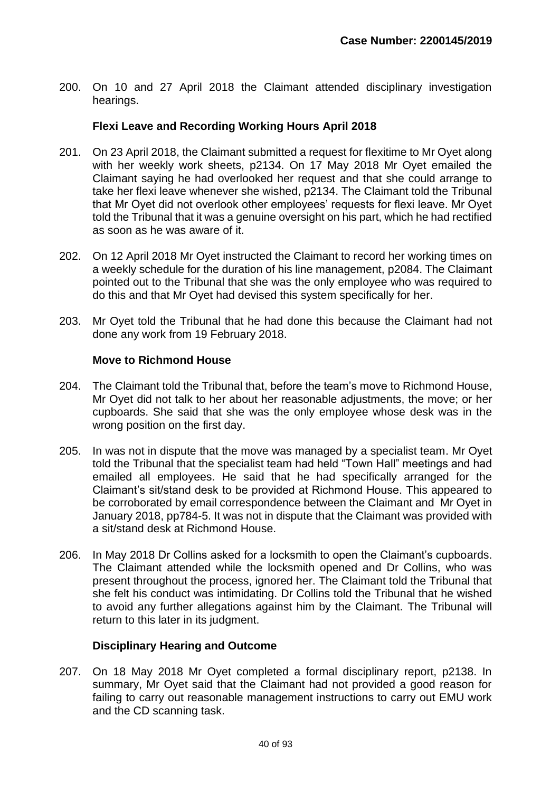200. On 10 and 27 April 2018 the Claimant attended disciplinary investigation hearings.

# **Flexi Leave and Recording Working Hours April 2018**

- 201. On 23 April 2018, the Claimant submitted a request for flexitime to Mr Oyet along with her weekly work sheets, p2134. On 17 May 2018 Mr Oyet emailed the Claimant saying he had overlooked her request and that she could arrange to take her flexi leave whenever she wished, p2134. The Claimant told the Tribunal that Mr Oyet did not overlook other employees' requests for flexi leave. Mr Oyet told the Tribunal that it was a genuine oversight on his part, which he had rectified as soon as he was aware of it.
- 202. On 12 April 2018 Mr Oyet instructed the Claimant to record her working times on a weekly schedule for the duration of his line management, p2084. The Claimant pointed out to the Tribunal that she was the only employee who was required to do this and that Mr Oyet had devised this system specifically for her.
- 203. Mr Oyet told the Tribunal that he had done this because the Claimant had not done any work from 19 February 2018.

# **Move to Richmond House**

- 204. The Claimant told the Tribunal that, before the team's move to Richmond House, Mr Oyet did not talk to her about her reasonable adjustments, the move; or her cupboards. She said that she was the only employee whose desk was in the wrong position on the first day.
- 205. In was not in dispute that the move was managed by a specialist team. Mr Oyet told the Tribunal that the specialist team had held "Town Hall" meetings and had emailed all employees. He said that he had specifically arranged for the Claimant's sit/stand desk to be provided at Richmond House. This appeared to be corroborated by email correspondence between the Claimant and Mr Oyet in January 2018, pp784-5. It was not in dispute that the Claimant was provided with a sit/stand desk at Richmond House.
- 206. In May 2018 Dr Collins asked for a locksmith to open the Claimant's cupboards. The Claimant attended while the locksmith opened and Dr Collins, who was present throughout the process, ignored her. The Claimant told the Tribunal that she felt his conduct was intimidating. Dr Collins told the Tribunal that he wished to avoid any further allegations against him by the Claimant. The Tribunal will return to this later in its judgment.

# **Disciplinary Hearing and Outcome**

207. On 18 May 2018 Mr Oyet completed a formal disciplinary report, p2138. In summary, Mr Oyet said that the Claimant had not provided a good reason for failing to carry out reasonable management instructions to carry out EMU work and the CD scanning task.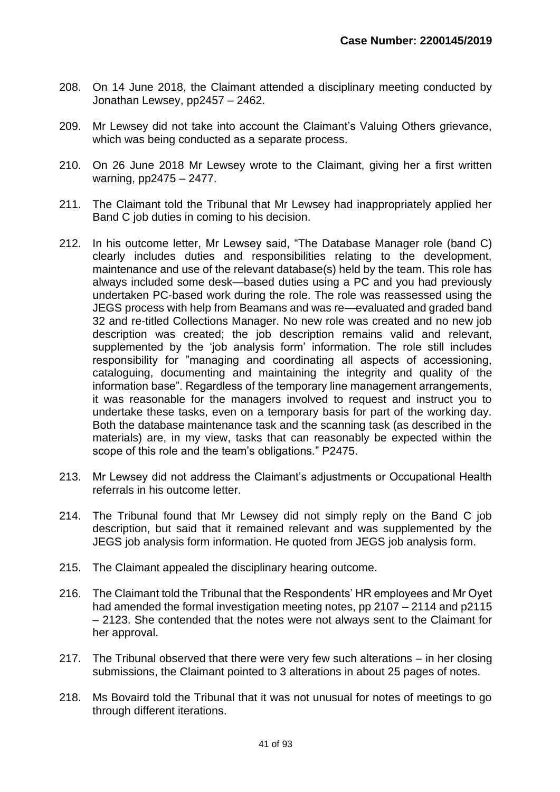- 208. On 14 June 2018, the Claimant attended a disciplinary meeting conducted by Jonathan Lewsey, pp2457 – 2462.
- 209. Mr Lewsey did not take into account the Claimant's Valuing Others grievance, which was being conducted as a separate process.
- 210. On 26 June 2018 Mr Lewsey wrote to the Claimant, giving her a first written warning, pp2475 – 2477.
- 211. The Claimant told the Tribunal that Mr Lewsey had inappropriately applied her Band C job duties in coming to his decision.
- 212. In his outcome letter, Mr Lewsey said, "The Database Manager role (band C) clearly includes duties and responsibilities relating to the development, maintenance and use of the relevant database(s) held by the team. This role has always included some desk—based duties using a PC and you had previously undertaken PC-based work during the role. The role was reassessed using the JEGS process with help from Beamans and was re—evaluated and graded band 32 and re-titled Collections Manager. No new role was created and no new job description was created; the job description remains valid and relevant, supplemented by the 'job analysis form' information. The role still includes responsibility for "managing and coordinating all aspects of accessioning, cataloguing, documenting and maintaining the integrity and quality of the information base". Regardless of the temporary line management arrangements, it was reasonable for the managers involved to request and instruct you to undertake these tasks, even on a temporary basis for part of the working day. Both the database maintenance task and the scanning task (as described in the materials) are, in my view, tasks that can reasonably be expected within the scope of this role and the team's obligations." P2475.
- 213. Mr Lewsey did not address the Claimant's adjustments or Occupational Health referrals in his outcome letter.
- 214. The Tribunal found that Mr Lewsey did not simply reply on the Band C job description, but said that it remained relevant and was supplemented by the JEGS job analysis form information. He quoted from JEGS job analysis form.
- 215. The Claimant appealed the disciplinary hearing outcome.
- 216. The Claimant told the Tribunal that the Respondents' HR employees and Mr Oyet had amended the formal investigation meeting notes, pp 2107 – 2114 and p2115 – 2123. She contended that the notes were not always sent to the Claimant for her approval.
- 217. The Tribunal observed that there were very few such alterations in her closing submissions, the Claimant pointed to 3 alterations in about 25 pages of notes.
- 218. Ms Bovaird told the Tribunal that it was not unusual for notes of meetings to go through different iterations.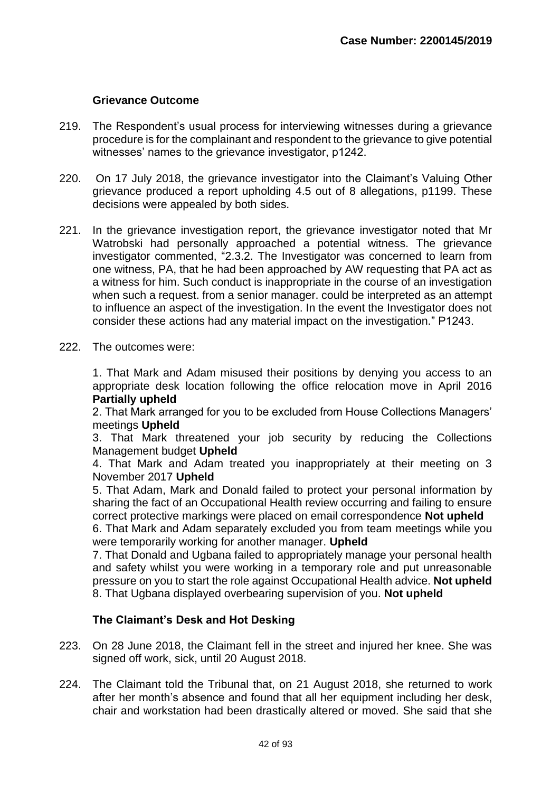## **Grievance Outcome**

- 219. The Respondent's usual process for interviewing witnesses during a grievance procedure is for the complainant and respondent to the grievance to give potential witnesses' names to the grievance investigator, p1242.
- 220. On 17 July 2018, the grievance investigator into the Claimant's Valuing Other grievance produced a report upholding 4.5 out of 8 allegations, p1199. These decisions were appealed by both sides.
- 221. In the grievance investigation report, the grievance investigator noted that Mr Watrobski had personally approached a potential witness. The grievance investigator commented, "2.3.2. The Investigator was concerned to learn from one witness, PA, that he had been approached by AW requesting that PA act as a witness for him. Such conduct is inappropriate in the course of an investigation when such a request. from a senior manager. could be interpreted as an attempt to influence an aspect of the investigation. In the event the Investigator does not consider these actions had any material impact on the investigation." P1243.
- 222. The outcomes were:

1. That Mark and Adam misused their positions by denying you access to an appropriate desk location following the office relocation move in April 2016 **Partially upheld**

2. That Mark arranged for you to be excluded from House Collections Managers' meetings **Upheld**

3. That Mark threatened your job security by reducing the Collections Management budget **Upheld**

4. That Mark and Adam treated you inappropriately at their meeting on 3 November 2017 **Upheld**

5. That Adam, Mark and Donald failed to protect your personal information by sharing the fact of an Occupational Health review occurring and failing to ensure correct protective markings were placed on email correspondence **Not upheld** 6. That Mark and Adam separately excluded you from team meetings while you

were temporarily working for another manager. **Upheld**

7. That Donald and Ugbana failed to appropriately manage your personal health and safety whilst you were working in a temporary role and put unreasonable pressure on you to start the role against Occupational Health advice. **Not upheld** 8. That Ugbana displayed overbearing supervision of you. **Not upheld**

# **The Claimant's Desk and Hot Desking**

- 223. On 28 June 2018, the Claimant fell in the street and injured her knee. She was signed off work, sick, until 20 August 2018.
- 224. The Claimant told the Tribunal that, on 21 August 2018, she returned to work after her month's absence and found that all her equipment including her desk, chair and workstation had been drastically altered or moved. She said that she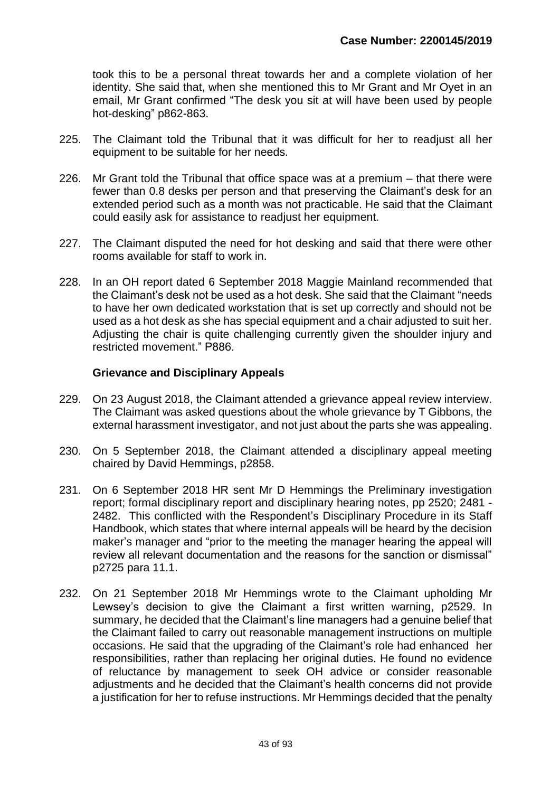took this to be a personal threat towards her and a complete violation of her identity. She said that, when she mentioned this to Mr Grant and Mr Oyet in an email, Mr Grant confirmed "The desk you sit at will have been used by people hot-desking" p862-863.

- 225. The Claimant told the Tribunal that it was difficult for her to readjust all her equipment to be suitable for her needs.
- 226. Mr Grant told the Tribunal that office space was at a premium that there were fewer than 0.8 desks per person and that preserving the Claimant's desk for an extended period such as a month was not practicable. He said that the Claimant could easily ask for assistance to readjust her equipment.
- 227. The Claimant disputed the need for hot desking and said that there were other rooms available for staff to work in.
- 228. In an OH report dated 6 September 2018 Maggie Mainland recommended that the Claimant's desk not be used as a hot desk. She said that the Claimant "needs to have her own dedicated workstation that is set up correctly and should not be used as a hot desk as she has special equipment and a chair adjusted to suit her. Adjusting the chair is quite challenging currently given the shoulder injury and restricted movement." P886.

### **Grievance and Disciplinary Appeals**

- 229. On 23 August 2018, the Claimant attended a grievance appeal review interview. The Claimant was asked questions about the whole grievance by T Gibbons, the external harassment investigator, and not just about the parts she was appealing.
- 230. On 5 September 2018, the Claimant attended a disciplinary appeal meeting chaired by David Hemmings, p2858.
- 231. On 6 September 2018 HR sent Mr D Hemmings the Preliminary investigation report; formal disciplinary report and disciplinary hearing notes, pp 2520; 2481 - 2482. This conflicted with the Respondent's Disciplinary Procedure in its Staff Handbook, which states that where internal appeals will be heard by the decision maker's manager and "prior to the meeting the manager hearing the appeal will review all relevant documentation and the reasons for the sanction or dismissal" p2725 para 11.1.
- 232. On 21 September 2018 Mr Hemmings wrote to the Claimant upholding Mr Lewsey's decision to give the Claimant a first written warning, p2529. In summary, he decided that the Claimant's line managers had a genuine belief that the Claimant failed to carry out reasonable management instructions on multiple occasions. He said that the upgrading of the Claimant's role had enhanced her responsibilities, rather than replacing her original duties. He found no evidence of reluctance by management to seek OH advice or consider reasonable adjustments and he decided that the Claimant's health concerns did not provide a justification for her to refuse instructions. Mr Hemmings decided that the penalty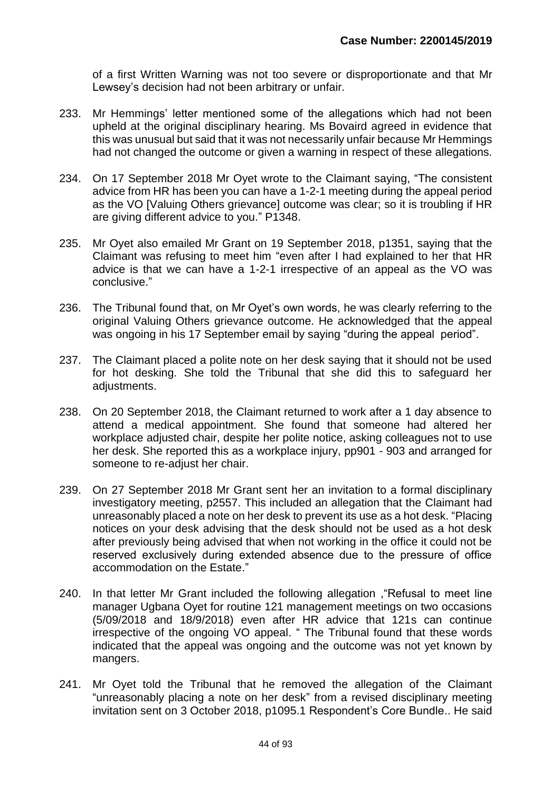of a first Written Warning was not too severe or disproportionate and that Mr Lewsey's decision had not been arbitrary or unfair.

- 233. Mr Hemmings' letter mentioned some of the allegations which had not been upheld at the original disciplinary hearing. Ms Bovaird agreed in evidence that this was unusual but said that it was not necessarily unfair because Mr Hemmings had not changed the outcome or given a warning in respect of these allegations.
- 234. On 17 September 2018 Mr Oyet wrote to the Claimant saying, "The consistent advice from HR has been you can have a 1-2-1 meeting during the appeal period as the VO [Valuing Others grievance] outcome was clear; so it is troubling if HR are giving different advice to you." P1348.
- 235. Mr Oyet also emailed Mr Grant on 19 September 2018, p1351, saying that the Claimant was refusing to meet him "even after I had explained to her that HR advice is that we can have a 1-2-1 irrespective of an appeal as the VO was conclusive."
- 236. The Tribunal found that, on Mr Oyet's own words, he was clearly referring to the original Valuing Others grievance outcome. He acknowledged that the appeal was ongoing in his 17 September email by saying "during the appeal period".
- 237. The Claimant placed a polite note on her desk saying that it should not be used for hot desking. She told the Tribunal that she did this to safeguard her adjustments.
- 238. On 20 September 2018, the Claimant returned to work after a 1 day absence to attend a medical appointment. She found that someone had altered her workplace adjusted chair, despite her polite notice, asking colleagues not to use her desk. She reported this as a workplace injury, pp901 - 903 and arranged for someone to re-adjust her chair.
- 239. On 27 September 2018 Mr Grant sent her an invitation to a formal disciplinary investigatory meeting, p2557. This included an allegation that the Claimant had unreasonably placed a note on her desk to prevent its use as a hot desk. "Placing notices on your desk advising that the desk should not be used as a hot desk after previously being advised that when not working in the office it could not be reserved exclusively during extended absence due to the pressure of office accommodation on the Estate."
- 240. In that letter Mr Grant included the following allegation ,"Refusal to meet line manager Ugbana Oyet for routine 121 management meetings on two occasions (5/09/2018 and 18/9/2018) even after HR advice that 121s can continue irrespective of the ongoing VO appeal. " The Tribunal found that these words indicated that the appeal was ongoing and the outcome was not yet known by mangers.
- 241. Mr Oyet told the Tribunal that he removed the allegation of the Claimant "unreasonably placing a note on her desk" from a revised disciplinary meeting invitation sent on 3 October 2018, p1095.1 Respondent's Core Bundle.. He said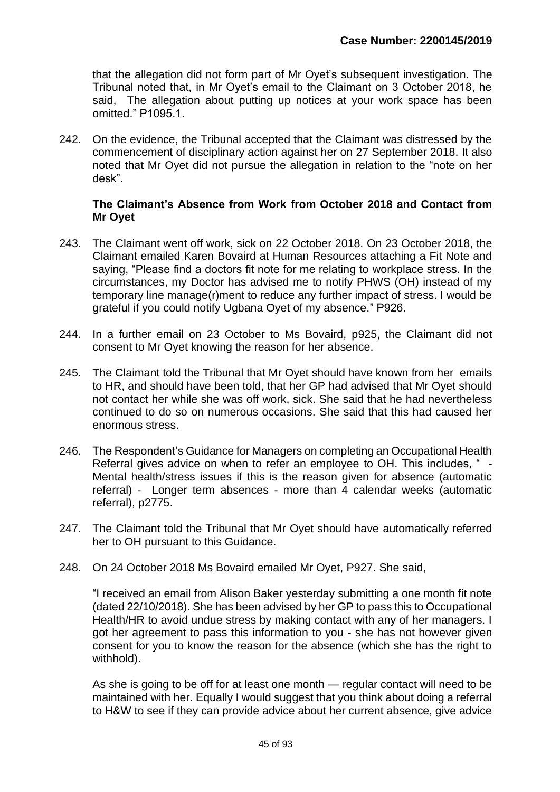that the allegation did not form part of Mr Oyet's subsequent investigation. The Tribunal noted that, in Mr Oyet's email to the Claimant on 3 October 2018, he said, The allegation about putting up notices at your work space has been omitted." P1095.1.

242. On the evidence, the Tribunal accepted that the Claimant was distressed by the commencement of disciplinary action against her on 27 September 2018. It also noted that Mr Oyet did not pursue the allegation in relation to the "note on her desk".

# **The Claimant's Absence from Work from October 2018 and Contact from Mr Oyet**

- 243. The Claimant went off work, sick on 22 October 2018. On 23 October 2018, the Claimant emailed Karen Bovaird at Human Resources attaching a Fit Note and saying, "Please find a doctors fit note for me relating to workplace stress. In the circumstances, my Doctor has advised me to notify PHWS (OH) instead of my temporary line manage(r)ment to reduce any further impact of stress. I would be grateful if you could notify Ugbana Oyet of my absence." P926.
- 244. In a further email on 23 October to Ms Bovaird, p925, the Claimant did not consent to Mr Oyet knowing the reason for her absence.
- 245. The Claimant told the Tribunal that Mr Oyet should have known from her emails to HR, and should have been told, that her GP had advised that Mr Oyet should not contact her while she was off work, sick. She said that he had nevertheless continued to do so on numerous occasions. She said that this had caused her enormous stress.
- 246. The Respondent's Guidance for Managers on completing an Occupational Health Referral gives advice on when to refer an employee to OH. This includes, " - Mental health/stress issues if this is the reason given for absence (automatic referral) - Longer term absences - more than 4 calendar weeks (automatic referral), p2775.
- 247. The Claimant told the Tribunal that Mr Oyet should have automatically referred her to OH pursuant to this Guidance.
- 248. On 24 October 2018 Ms Bovaird emailed Mr Oyet, P927. She said,

"I received an email from Alison Baker yesterday submitting a one month fit note (dated 22/10/2018). She has been advised by her GP to pass this to Occupational Health/HR to avoid undue stress by making contact with any of her managers. I got her agreement to pass this information to you - she has not however given consent for you to know the reason for the absence (which she has the right to withhold).

As she is going to be off for at least one month — regular contact will need to be maintained with her. Equally I would suggest that you think about doing a referral to H&W to see if they can provide advice about her current absence, give advice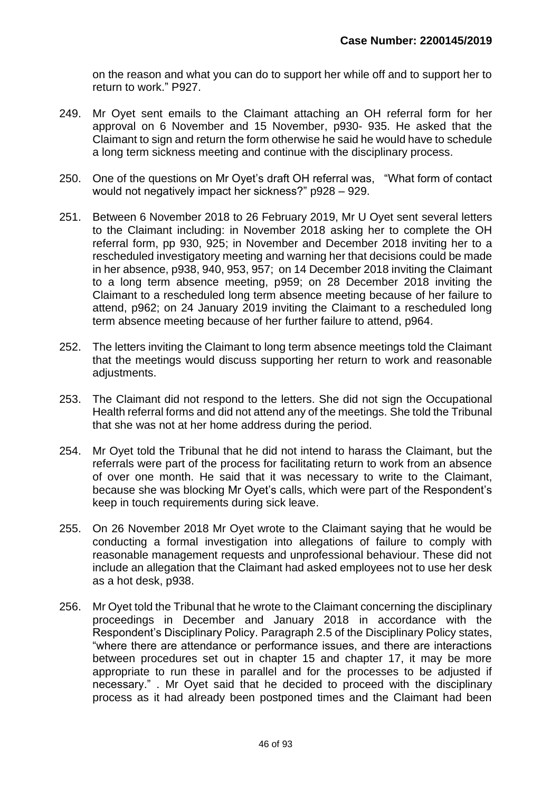on the reason and what you can do to support her while off and to support her to return to work." P927.

- 249. Mr Oyet sent emails to the Claimant attaching an OH referral form for her approval on 6 November and 15 November, p930- 935. He asked that the Claimant to sign and return the form otherwise he said he would have to schedule a long term sickness meeting and continue with the disciplinary process.
- 250. One of the questions on Mr Oyet's draft OH referral was, "What form of contact would not negatively impact her sickness?" p928 – 929.
- 251. Between 6 November 2018 to 26 February 2019, Mr U Oyet sent several letters to the Claimant including: in November 2018 asking her to complete the OH referral form, pp 930, 925; in November and December 2018 inviting her to a rescheduled investigatory meeting and warning her that decisions could be made in her absence, p938, 940, 953, 957; on 14 December 2018 inviting the Claimant to a long term absence meeting, p959; on 28 December 2018 inviting the Claimant to a rescheduled long term absence meeting because of her failure to attend, p962; on 24 January 2019 inviting the Claimant to a rescheduled long term absence meeting because of her further failure to attend, p964.
- 252. The letters inviting the Claimant to long term absence meetings told the Claimant that the meetings would discuss supporting her return to work and reasonable adjustments.
- 253. The Claimant did not respond to the letters. She did not sign the Occupational Health referral forms and did not attend any of the meetings. She told the Tribunal that she was not at her home address during the period.
- 254. Mr Oyet told the Tribunal that he did not intend to harass the Claimant, but the referrals were part of the process for facilitating return to work from an absence of over one month. He said that it was necessary to write to the Claimant, because she was blocking Mr Oyet's calls, which were part of the Respondent's keep in touch requirements during sick leave.
- 255. On 26 November 2018 Mr Oyet wrote to the Claimant saying that he would be conducting a formal investigation into allegations of failure to comply with reasonable management requests and unprofessional behaviour. These did not include an allegation that the Claimant had asked employees not to use her desk as a hot desk, p938.
- 256. Mr Oyet told the Tribunal that he wrote to the Claimant concerning the disciplinary proceedings in December and January 2018 in accordance with the Respondent's Disciplinary Policy. Paragraph 2.5 of the Disciplinary Policy states, "where there are attendance or performance issues, and there are interactions between procedures set out in chapter 15 and chapter 17, it may be more appropriate to run these in parallel and for the processes to be adjusted if necessary." . Mr Oyet said that he decided to proceed with the disciplinary process as it had already been postponed times and the Claimant had been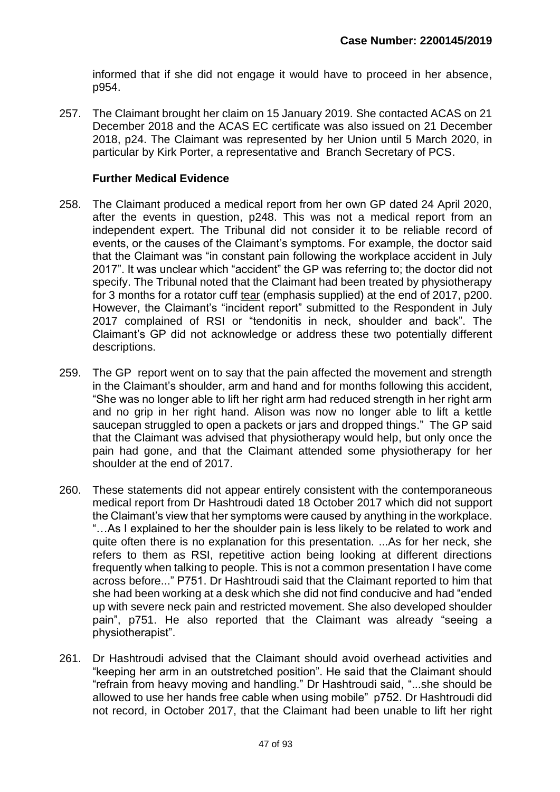informed that if she did not engage it would have to proceed in her absence, p954.

257. The Claimant brought her claim on 15 January 2019. She contacted ACAS on 21 December 2018 and the ACAS EC certificate was also issued on 21 December 2018, p24. The Claimant was represented by her Union until 5 March 2020, in particular by Kirk Porter, a representative and Branch Secretary of PCS.

# **Further Medical Evidence**

- 258. The Claimant produced a medical report from her own GP dated 24 April 2020, after the events in question, p248. This was not a medical report from an independent expert. The Tribunal did not consider it to be reliable record of events, or the causes of the Claimant's symptoms. For example, the doctor said that the Claimant was "in constant pain following the workplace accident in July 2017". It was unclear which "accident" the GP was referring to; the doctor did not specify. The Tribunal noted that the Claimant had been treated by physiotherapy for 3 months for a rotator cuff tear (emphasis supplied) at the end of 2017, p200. However, the Claimant's "incident report" submitted to the Respondent in July 2017 complained of RSI or "tendonitis in neck, shoulder and back". The Claimant's GP did not acknowledge or address these two potentially different descriptions.
- 259. The GP report went on to say that the pain affected the movement and strength in the Claimant's shoulder, arm and hand and for months following this accident, "She was no longer able to lift her right arm had reduced strength in her right arm and no grip in her right hand. Alison was now no longer able to lift a kettle saucepan struggled to open a packets or jars and dropped things." The GP said that the Claimant was advised that physiotherapy would help, but only once the pain had gone, and that the Claimant attended some physiotherapy for her shoulder at the end of 2017.
- 260. These statements did not appear entirely consistent with the contemporaneous medical report from Dr Hashtroudi dated 18 October 2017 which did not support the Claimant's view that her symptoms were caused by anything in the workplace. "…As I explained to her the shoulder pain is less likely to be related to work and quite often there is no explanation for this presentation. ...As for her neck, she refers to them as RSI, repetitive action being looking at different directions frequently when talking to people. This is not a common presentation I have come across before..." P751. Dr Hashtroudi said that the Claimant reported to him that she had been working at a desk which she did not find conducive and had "ended up with severe neck pain and restricted movement. She also developed shoulder pain", p751. He also reported that the Claimant was already "seeing a physiotherapist".
- 261. Dr Hashtroudi advised that the Claimant should avoid overhead activities and "keeping her arm in an outstretched position". He said that the Claimant should "refrain from heavy moving and handling." Dr Hashtroudi said, "...she should be allowed to use her hands free cable when using mobile" p752. Dr Hashtroudi did not record, in October 2017, that the Claimant had been unable to lift her right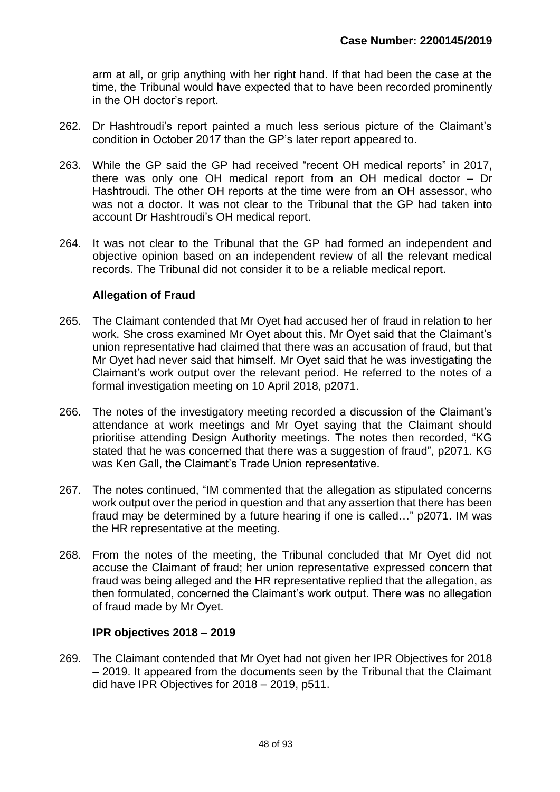arm at all, or grip anything with her right hand. If that had been the case at the time, the Tribunal would have expected that to have been recorded prominently in the OH doctor's report.

- 262. Dr Hashtroudi's report painted a much less serious picture of the Claimant's condition in October 2017 than the GP's later report appeared to.
- 263. While the GP said the GP had received "recent OH medical reports" in 2017, there was only one OH medical report from an OH medical doctor – Dr Hashtroudi. The other OH reports at the time were from an OH assessor, who was not a doctor. It was not clear to the Tribunal that the GP had taken into account Dr Hashtroudi's OH medical report.
- 264. It was not clear to the Tribunal that the GP had formed an independent and objective opinion based on an independent review of all the relevant medical records. The Tribunal did not consider it to be a reliable medical report.

# **Allegation of Fraud**

- 265. The Claimant contended that Mr Oyet had accused her of fraud in relation to her work. She cross examined Mr Oyet about this. Mr Oyet said that the Claimant's union representative had claimed that there was an accusation of fraud, but that Mr Oyet had never said that himself. Mr Oyet said that he was investigating the Claimant's work output over the relevant period. He referred to the notes of a formal investigation meeting on 10 April 2018, p2071.
- 266. The notes of the investigatory meeting recorded a discussion of the Claimant's attendance at work meetings and Mr Oyet saying that the Claimant should prioritise attending Design Authority meetings. The notes then recorded, "KG stated that he was concerned that there was a suggestion of fraud", p2071. KG was Ken Gall, the Claimant's Trade Union representative.
- 267. The notes continued, "IM commented that the allegation as stipulated concerns work output over the period in question and that any assertion that there has been fraud may be determined by a future hearing if one is called…" p2071. IM was the HR representative at the meeting.
- 268. From the notes of the meeting, the Tribunal concluded that Mr Oyet did not accuse the Claimant of fraud; her union representative expressed concern that fraud was being alleged and the HR representative replied that the allegation, as then formulated, concerned the Claimant's work output. There was no allegation of fraud made by Mr Oyet.

# **IPR objectives 2018 – 2019**

269. The Claimant contended that Mr Oyet had not given her IPR Objectives for 2018 – 2019. It appeared from the documents seen by the Tribunal that the Claimant did have IPR Objectives for 2018 – 2019, p511.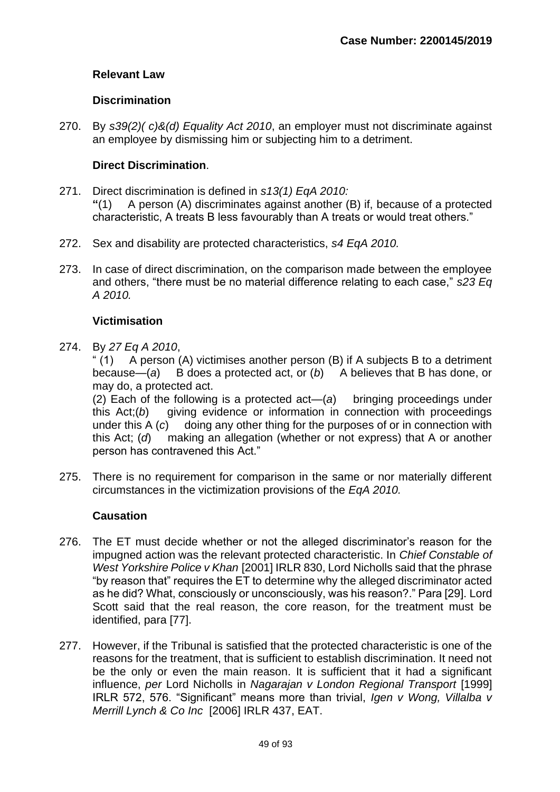# **Relevant Law**

## **Discrimination**

270. By *s39(2)( c)&(d) Equality Act 2010*, an employer must not discriminate against an employee by dismissing him or subjecting him to a detriment.

## **Direct Discrimination**.

- 271. Direct discrimination is defined in *s13(1) EqA 2010:* **"**(1) A person (A) discriminates against another (B) if, because of a protected characteristic, A treats B less favourably than A treats or would treat others."
- 272. Sex and disability are protected characteristics, *s4 EqA 2010.*
- 273. In case of direct discrimination, on the comparison made between the employee and others, "there must be no material difference relating to each case," *s23 Eq A 2010.*

### **Victimisation**

274. By *27 Eq A 2010*,

" (1) A person (A) victimises another person (B) if A subjects B to a detriment because—(*a*) B does a protected act, or (*b*) A believes that B has done, or may do, a protected act.

(2) Each of the following is a protected act—(*a*) bringing proceedings under this Act;(*b*) giving evidence or information in connection with proceedings under this A (*c*) doing any other thing for the purposes of or in connection with this Act; (*d*) making an allegation (whether or not express) that A or another person has contravened this Act."

275. There is no requirement for comparison in the same or nor materially different circumstances in the victimization provisions of the *EqA 2010.*

# **Causation**

- 276. The ET must decide whether or not the alleged discriminator's reason for the impugned action was the relevant protected characteristic. In *Chief Constable of West Yorkshire Police v Khan* [2001] IRLR 830, Lord Nicholls said that the phrase "by reason that" requires the ET to determine why the alleged discriminator acted as he did? What, consciously or unconsciously, was his reason?." Para [29]. Lord Scott said that the real reason, the core reason, for the treatment must be identified, para [77].
- 277. However, if the Tribunal is satisfied that the protected characteristic is one of the reasons for the treatment, that is sufficient to establish discrimination. It need not be the only or even the main reason. It is sufficient that it had a significant influence, *per* Lord Nicholls in *Nagarajan v London Regional Transport* [1999] IRLR 572, 576. "Significant" means more than trivial, *Igen v Wong, Villalba v Merrill Lynch & Co Inc* [2006] IRLR 437, EAT.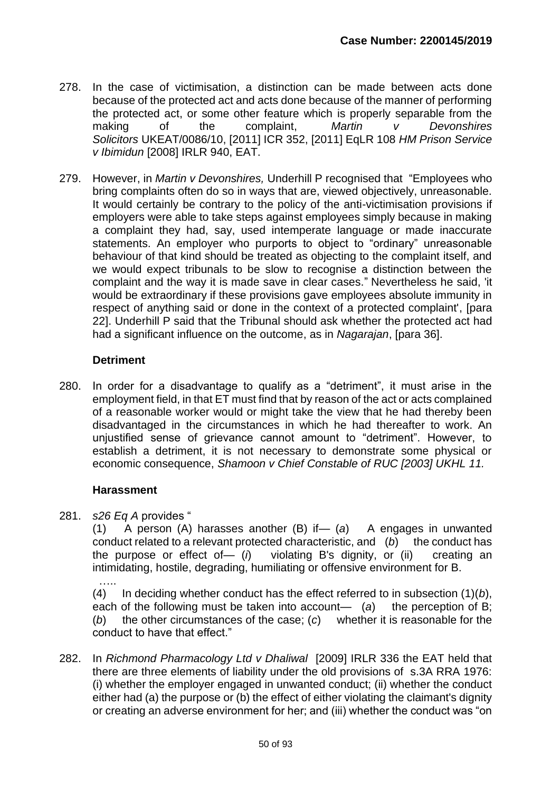- 278. In the case of victimisation, a distinction can be made between acts done because of the protected act and acts done because of the manner of performing the protected act, or some other feature which is properly separable from the making of the complaint, *Martin v Devonshires Solicitors* [UKEAT/0086/10,](https://www.lexisnexis.com/uk/legal/search/enhRunRemoteLink.do?linkInfo=F%23GB%23UKEAT%23sel1%2510%25year%2510%25page%250086%25&A=0.637524739698562&backKey=20_T463977638&service=citation&ersKey=23_T463977055&langcountry=GB) [\[2011\] ICR 352,](https://www.lexisnexis.com/uk/legal/search/enhRunRemoteLink.do?linkInfo=F%23GB%23ICR%23sel1%252011%25year%252011%25page%25352%25&A=0.5218923643039154&backKey=20_T463977638&service=citation&ersKey=23_T463977055&langcountry=GB) [2011] EqLR 108 *HM Prison Service v Ibimidun* [\[2008\] IRLR 940,](https://www.lexisnexis.com/uk/legal/search/enhRunRemoteLink.do?linkInfo=F%23GB%23IRLR%23sel1%252008%25year%252008%25page%25940%25&A=0.5609793771518148&backKey=20_T463977638&service=citation&ersKey=23_T463977055&langcountry=GB) EAT.
- 279. However, in *Martin v Devonshires,* Underhill P recognised that "Employees who bring complaints often do so in ways that are, viewed objectively, unreasonable. It would certainly be contrary to the policy of the anti-victimisation provisions if employers were able to take steps against employees simply because in making a complaint they had, say, used intemperate language or made inaccurate statements. An employer who purports to object to "ordinary" unreasonable behaviour of that kind should be treated as objecting to the complaint itself, and we would expect tribunals to be slow to recognise a distinction between the complaint and the way it is made save in clear cases." Nevertheless he said, 'it would be extraordinary if these provisions gave employees absolute immunity in respect of anything said or done in the context of a protected complaint', [para 22]. Underhill P said that the Tribunal should ask whether the protected act had had a significant influence on the outcome, as in *Nagarajan*, [para 36].

# **Detriment**

280. In order for a disadvantage to qualify as a "detriment", it must arise in the employment field, in that ET must find that by reason of the act or acts complained of a reasonable worker would or might take the view that he had thereby been disadvantaged in the circumstances in which he had thereafter to work. An unjustified sense of grievance cannot amount to "detriment". However, to establish a detriment, it is not necessary to demonstrate some physical or economic consequence, *Shamoon v Chief Constable of RUC [2003] UKHL 11.* 

# **Harassment**

281. *s26 Eq A* provides "

(1) A person (A) harasses another (B) if— (*a*) A engages in unwanted conduct related to a relevant protected characteristic, and (*b*) the conduct has the purpose or effect of— (*i*) violating B's dignity, or (ii) creating an intimidating, hostile, degrading, humiliating or offensive environment for B.

 ….. (4) In deciding whether conduct has the effect referred to in subsection (1)(*b*), each of the following must be taken into account— (*a*) the perception of B; (*b*) the other circumstances of the case; (*c*) whether it is reasonable for the conduct to have that effect."

282. In *Richmond Pharmacology Ltd v Dhaliwal* [2009] IRLR 336 the EAT held that there are three elements of liability under the old provisions of s.3A RRA 1976: (i) whether the employer engaged in unwanted conduct; (ii) whether the conduct either had (a) the purpose or (b) the effect of either violating the claimant's dignity or creating an adverse environment for her; and (iii) whether the conduct was "on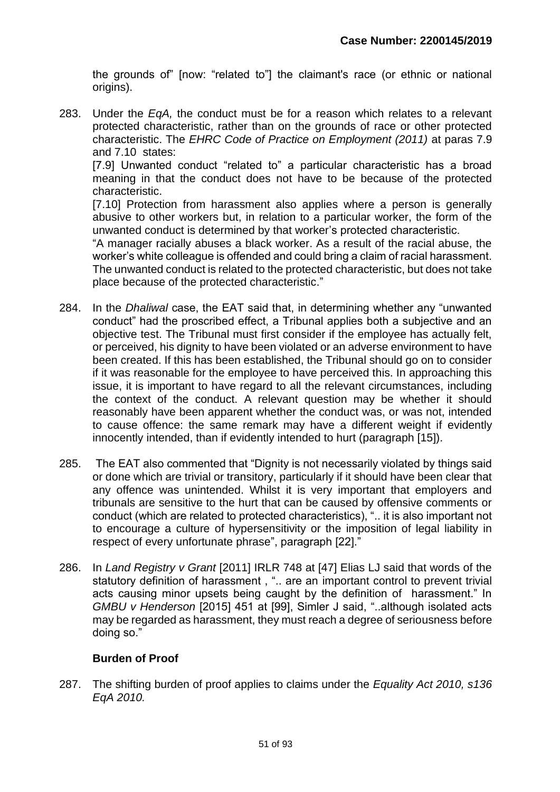the grounds of" [now: "related to"] the claimant's race (or ethnic or national origins).

283. Under the *EqA,* the conduct must be for a reason which relates to a relevant protected characteristic, rather than on the grounds of race or other protected characteristic. The *EHRC Code of Practice on Employment (2011)* at paras 7.9 and 7.10 states:

[7.9] Unwanted conduct "related to" a particular characteristic has a broad meaning in that the conduct does not have to be because of the protected characteristic.

[7.10] Protection from harassment also applies where a person is generally abusive to other workers but, in relation to a particular worker, the form of the unwanted conduct is determined by that worker's protected characteristic.

"A manager racially abuses a black worker. As a result of the racial abuse, the worker's white colleague is offended and could bring a claim of racial harassment. The unwanted conduct is related to the protected characteristic, but does not take place because of the protected characteristic."

- 284. In the *Dhaliwal* case, the EAT said that, in determining whether any "unwanted conduct" had the proscribed effect, a Tribunal applies both a subjective and an objective test. The Tribunal must first consider if the employee has actually felt, or perceived, his dignity to have been violated or an adverse environment to have been created. If this has been established, the Tribunal should go on to consider if it was reasonable for the employee to have perceived this. In approaching this issue, it is important to have regard to all the relevant circumstances, including the context of the conduct. A relevant question may be whether it should reasonably have been apparent whether the conduct was, or was not, intended to cause offence: the same remark may have a different weight if evidently innocently intended, than if evidently intended to hurt (paragraph [15]).
- 285. The EAT also commented that "Dignity is not necessarily violated by things said or done which are trivial or transitory, particularly if it should have been clear that any offence was unintended. Whilst it is very important that employers and tribunals are sensitive to the hurt that can be caused by offensive comments or conduct (which are related to protected characteristics), ".. it is also important not to encourage a culture of hypersensitivity or the imposition of legal liability in respect of every unfortunate phrase", paragraph [22]."
- 286. In *Land Registry v Grant* [2011] IRLR 748 at [47] Elias LJ said that words of the statutory definition of harassment , ".. are an important control to prevent trivial acts causing minor upsets being caught by the definition of harassment." In *GMBU v Henderson* [2015] 451 at [99], Simler J said, "..although isolated acts may be regarded as harassment, they must reach a degree of seriousness before doing so."

# **Burden of Proof**

287. The shifting burden of proof applies to claims under the *Equality Act 2010, s136 EqA 2010.*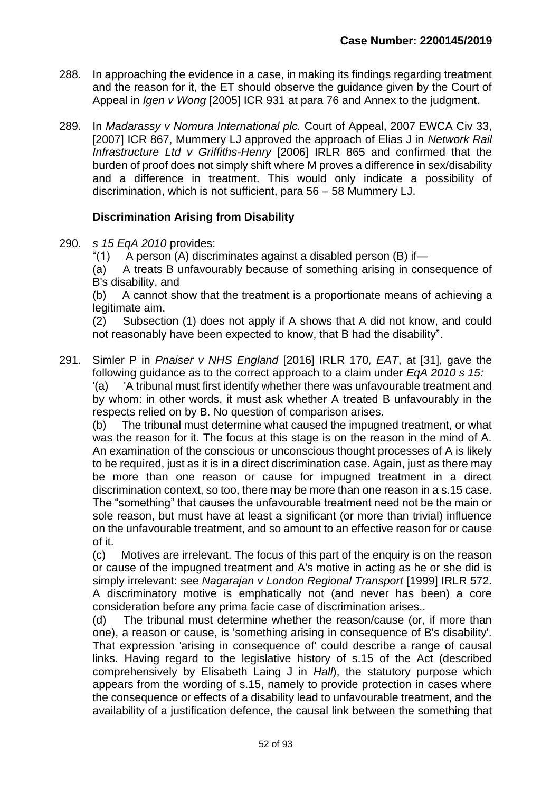- 288. In approaching the evidence in a case, in making its findings regarding treatment and the reason for it, the ET should observe the guidance given by the Court of Appeal in *Igen v Wong* [2005] ICR 931 at para 76 and Annex to the judgment.
- 289. In *Madarassy v Nomura International plc.* Court of Appeal, 2007 EWCA Civ 33, [2007] ICR 867, Mummery LJ approved the approach of Elias J in *Network Rail Infrastructure Ltd v Griffiths-Henry* [2006] IRLR 865 and confirmed that the burden of proof does not simply shift where M proves a difference in sex/disability and a difference in treatment. This would only indicate a possibility of discrimination, which is not sufficient, para 56 – 58 Mummery LJ.

# **Discrimination Arising from Disability**

- 290. *s 15 EqA 2010* provides:
	- "(1) A person (A) discriminates against a disabled person (B) if—

(a) A treats B unfavourably because of something arising in consequence of B's disability, and

(b) A cannot show that the treatment is a proportionate means of achieving a legitimate aim.

(2) Subsection (1) does not apply if A shows that A did not know, and could not reasonably have been expected to know, that B had the disability".

291. Simler P in *Pnaiser v NHS England* [\[2016\] IRLR 170](http://www.lexisnexis.com/uk/legal/search/enhRunRemoteLink.do?A=0.035712789361426966&service=citation&langcountry=GB&backKey=20_T24112317253&linkInfo=F%23GB%23IRLR%23sel1%252016%25page%25170%25year%252016%25&ersKey=23_T24112317251)*, EAT*, at [31], gave the following guidance as to the correct approach to a claim under *[EqA 2010 s 15:](http://www.lexisnexis.com/uk/legal/search/enhRunRemoteLink.do?A=0.7258820434088766&service=citation&langcountry=GB&backKey=20_T24112317253&linkInfo=F%23GB%23UK_ACTS%23num%252010_15a%25sect%2515%25section%2515%25&ersKey=23_T24112317251)*

'(a) 'A tribunal must first identify whether there was unfavourable treatment and by whom: in other words, it must ask whether A treated B unfavourably in the respects relied on by B. No question of comparison arises.

(b) The tribunal must determine what caused the impugned treatment, or what was the reason for it. The focus at this stage is on the reason in the mind of A. An examination of the conscious or unconscious thought processes of A is likely to be required, just as it is in a direct discrimination case. Again, just as there may be more than one reason or cause for impugned treatment in a direct discrimination context, so too, there may be more than one reason in a s.15 case. The "something" that causes the unfavourable treatment need not be the main or sole reason, but must have at least a significant (or more than trivial) influence on the unfavourable treatment, and so amount to an effective reason for or cause of it.

(c) Motives are irrelevant. The focus of this part of the enquiry is on the reason or cause of the impugned treatment and A's motive in acting as he or she did is simply irrelevant: see *Nagarajan v London Regional Transport* [\[1999\] IRLR 572.](http://www.lexisnexis.com/uk/legal/search/enhRunRemoteLink.do?A=0.5451280363761574&service=citation&langcountry=GB&backKey=20_T24112317253&linkInfo=F%23GB%23IRLR%23sel1%251999%25page%25572%25year%251999%25&ersKey=23_T24112317251) A discriminatory motive is emphatically not (and never has been) a core consideration before any prima facie case of discrimination arises..

(d) The tribunal must determine whether the reason/cause (or, if more than one), a reason or cause, is 'something arising in consequence of B's disability'. That expression 'arising in consequence of' could describe a range of causal links. Having regard to the legislative history of s.15 of the Act (described comprehensively by Elisabeth Laing J in *Hall*), the statutory purpose which appears from the wording of s.15, namely to provide protection in cases where the consequence or effects of a disability lead to unfavourable treatment, and the availability of a justification defence, the causal link between the something that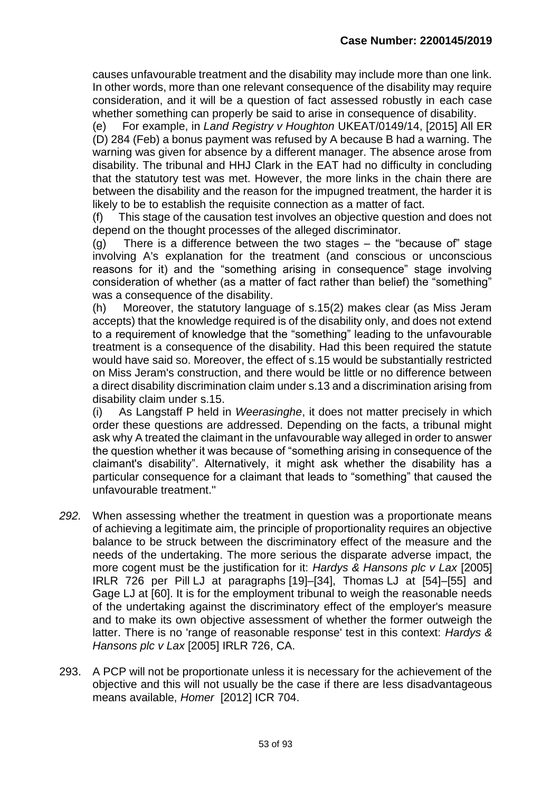causes unfavourable treatment and the disability may include more than one link. In other words, more than one relevant consequence of the disability may require consideration, and it will be a question of fact assessed robustly in each case whether something can properly be said to arise in consequence of disability.

(e) For example, in *Land Registry v Houghton* [UKEAT/0149/14,](http://www.lexisnexis.com/uk/legal/search/enhRunRemoteLink.do?A=0.758320898175122&service=citation&langcountry=GB&backKey=20_T24112317253&linkInfo=F%23GB%23UKEAT%23sel1%2514%25page%250149%25year%2514%25&ersKey=23_T24112317251) [\[2015\] All ER](http://www.lexisnexis.com/uk/legal/search/enhRunRemoteLink.do?A=0.05421337734880938&service=citation&langcountry=GB&backKey=20_T24112317253&linkInfo=F%23GB%23ALLERD%23vol%2502%25sel1%252015%25page%25284%25year%252015%25sel2%2502%25&ersKey=23_T24112317251)  [\(D\) 284 \(Feb\)](http://www.lexisnexis.com/uk/legal/search/enhRunRemoteLink.do?A=0.05421337734880938&service=citation&langcountry=GB&backKey=20_T24112317253&linkInfo=F%23GB%23ALLERD%23vol%2502%25sel1%252015%25page%25284%25year%252015%25sel2%2502%25&ersKey=23_T24112317251) a bonus payment was refused by A because B had a warning. The warning was given for absence by a different manager. The absence arose from disability. The tribunal and HHJ Clark in the EAT had no difficulty in concluding that the statutory test was met. However, the more links in the chain there are between the disability and the reason for the impugned treatment, the harder it is likely to be to establish the requisite connection as a matter of fact.

(f) This stage of the causation test involves an objective question and does not depend on the thought processes of the alleged discriminator.

(g) There is a difference between the two stages – the "because of" stage involving A's explanation for the treatment (and conscious or unconscious reasons for it) and the "something arising in consequence" stage involving consideration of whether (as a matter of fact rather than belief) the "something" was a consequence of the disability.

(h) Moreover, the statutory language of s.15(2) makes clear (as Miss Jeram accepts) that the knowledge required is of the disability only, and does not extend to a requirement of knowledge that the "something" leading to the unfavourable treatment is a consequence of the disability. Had this been required the statute would have said so. Moreover, the effect of s.15 would be substantially restricted on Miss Jeram's construction, and there would be little or no difference between a direct disability discrimination claim under s.13 and a discrimination arising from disability claim under s.15.

(i) As Langstaff P held in *Weerasinghe*, it does not matter precisely in which order these questions are addressed. Depending on the facts, a tribunal might ask why A treated the claimant in the unfavourable way alleged in order to answer the question whether it was because of "something arising in consequence of the claimant's disability". Alternatively, it might ask whether the disability has a particular consequence for a claimant that leads to "something" that caused the unfavourable treatment.''

- *292.* When assessing whether the treatment in question was a proportionate means of achieving a legitimate aim, the principle of proportionality requires an objective balance to be struck between the discriminatory effect of the measure and the needs of the undertaking. The more serious the disparate adverse impact, the more cogent must be the justification for it: *Hardys & Hansons plc v Lax* [\[2005\]](http://www.lexisnexis.com/uk/legal/search/runRemoteLink.do?langcountry=GB&linkInfo=F%23GB%23IRLR%23year%252005%25page%25726%25sel1%252005%25&risb=21_T17458595690&bct=A&service=citation&A=0.10026463922142659)  [IRLR 726](http://www.lexisnexis.com/uk/legal/search/runRemoteLink.do?langcountry=GB&linkInfo=F%23GB%23IRLR%23year%252005%25page%25726%25sel1%252005%25&risb=21_T17458595690&bct=A&service=citation&A=0.10026463922142659) per Pill LJ at paragraphs [19]–[34], Thomas LJ at [54]–[55] and Gage LJ at [60]. It is for the employment tribunal to weigh the reasonable needs of the undertaking against the discriminatory effect of the employer's measure and to make its own objective assessment of whether the former outweigh the latter. There is no 'range of reasonable response' test in this context: *Hardys & Hansons plc v Lax* [\[2005\] IRLR 726,](http://www.lexisnexis.com/uk/legal/search/runRemoteLink.do?langcountry=GB&linkInfo=F%23GB%23IRLR%23year%252005%25page%25726%25sel1%252005%25&risb=21_T17458595690&bct=A&service=citation&A=0.5623100348481086) CA.
- 293. A PCP will not be proportionate unless it is necessary for the achievement of the objective and this will not usually be the case if there are less disadvantageous means available, *Homer* [2012] ICR 704.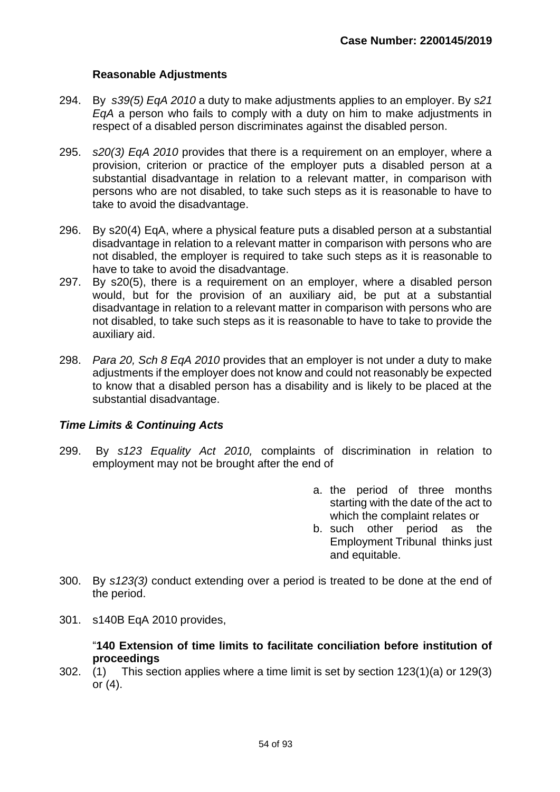# **Reasonable Adjustments**

- 294. By *s39(5) EqA 2010* a duty to make adjustments applies to an employer. By *s21 EqA* a person who fails to comply with a duty on him to make adjustments in respect of a disabled person discriminates against the disabled person.
- 295. *s20(3) EqA 2010* provides that there is a requirement on an employer, where a provision, criterion or practice of the employer puts a disabled person at a substantial disadvantage in relation to a relevant matter, in comparison with persons who are not disabled, to take such steps as it is reasonable to have to take to avoid the disadvantage.
- 296. By s20(4) EqA, where a physical feature puts a disabled person at a substantial disadvantage in relation to a relevant matter in comparison with persons who are not disabled, the employer is required to take such steps as it is reasonable to have to take to avoid the disadvantage.
- 297. By s20(5), there is a requirement on an employer, where a disabled person would, but for the provision of an auxiliary aid, be put at a substantial disadvantage in relation to a relevant matter in comparison with persons who are not disabled, to take such steps as it is reasonable to have to take to provide the auxiliary aid.
- 298. *Para 20, Sch 8 EqA 2010* provides that an employer is not under a duty to make adjustments if the employer does not know and could not reasonably be expected to know that a disabled person has a disability and is likely to be placed at the substantial disadvantage.

# *Time Limits & Continuing Acts*

- 299. By *s123 Equality Act 2010,* complaints of discrimination in relation to employment may not be brought after the end of
	- a. the period of three months starting with the date of the act to which the complaint relates or
	- b. such other period as the Employment Tribunal thinks just and equitable.
- 300. By *s123(3)* conduct extending over a period is treated to be done at the end of the period.
- 301. s140B EqA 2010 provides,

# "**140 Extension of time limits to facilitate conciliation before institution of proceedings**

302. (1) This section applies where a time limit is set by section 123(1)(a) or 129(3) or (4).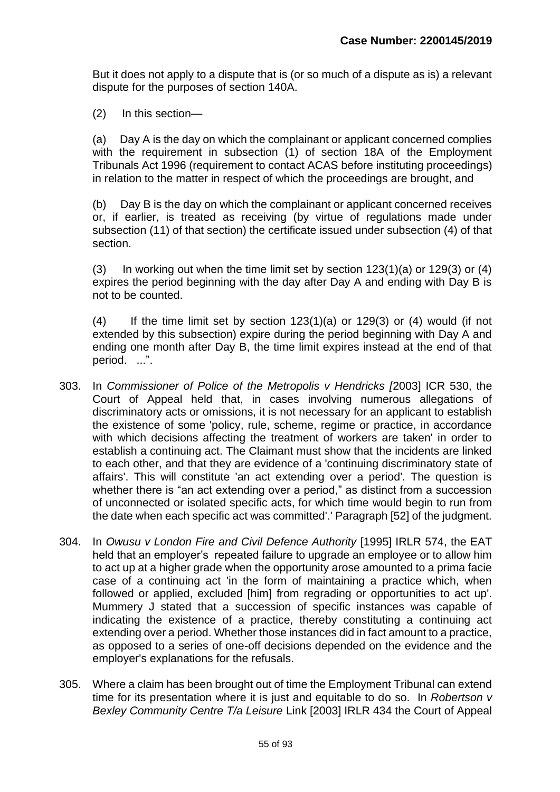But it does not apply to a dispute that is (or so much of a dispute as is) a relevant dispute for the purposes of section 140A.

(2) In this section—

(a) Day A is the day on which the complainant or applicant concerned complies with the requirement in subsection (1) of section 18A of the Employment Tribunals Act 1996 (requirement to contact ACAS before instituting proceedings) in relation to the matter in respect of which the proceedings are brought, and

(b) Day B is the day on which the complainant or applicant concerned receives or, if earlier, is treated as receiving (by virtue of regulations made under subsection (11) of that section) the certificate issued under subsection (4) of that section.

(3) In working out when the time limit set by section  $123(1)(a)$  or  $129(3)$  or  $(4)$ expires the period beginning with the day after Day A and ending with Day B is not to be counted.

 $(4)$  If the time limit set by section 123 $(1)(a)$  or 129 $(3)$  or  $(4)$  would (if not extended by this subsection) expire during the period beginning with Day A and ending one month after Day B, the time limit expires instead at the end of that period. ...".

- 303. In *Commissioner of Police of the Metropolis v Hendricks [*2003] ICR 530, the Court of Appeal held that, in cases involving numerous allegations of discriminatory acts or omissions, it is not necessary for an applicant to establish the existence of some 'policy, rule, scheme, regime or practice, in accordance with which decisions affecting the treatment of workers are taken' in order to establish a continuing act. The Claimant must show that the incidents are linked to each other, and that they are evidence of a 'continuing discriminatory state of affairs'. This will constitute 'an act extending over a period'. The question is whether there is "an act extending over a period," as distinct from a succession of unconnected or isolated specific acts, for which time would begin to run from the date when each specific act was committed'.' Paragraph [52] of the judgment.
- 304. In *Owusu v London Fire and Civil Defence Authority* [\[1995\] IRLR 574,](http://www.lexisnexis.com/uk/legal/search/enhRunRemoteLink.do?A=0.20371070220719778&service=citation&langcountry=GB&backKey=20_T19047247830&linkInfo=F%23GB%23IRLR%23sel1%251995%25page%25574%25year%251995%25&ersKey=23_T19047247828) the EAT held that an employer's repeated failure to upgrade an employee or to allow him to act up at a higher grade when the opportunity arose amounted to a prima facie case of a continuing act 'in the form of maintaining a practice which, when followed or applied, excluded [him] from regrading or opportunities to act up'. Mummery J stated that a succession of specific instances was capable of indicating the existence of a practice, thereby constituting a continuing act extending over a period. Whether those instances did in fact amount to a practice, as opposed to a series of one-off decisions depended on the evidence and the employer's explanations for the refusals.
- 305. Where a claim has been brought out of time the Employment Tribunal can extend time for its presentation where it is just and equitable to do so. In *Robertson v Bexley Community Centre T/a Leisure* Link [2003] IRLR 434 the Court of Appeal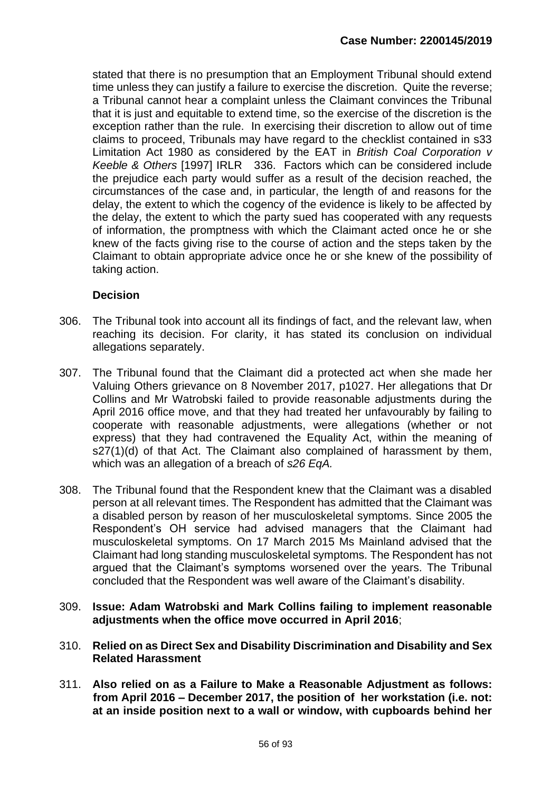stated that there is no presumption that an Employment Tribunal should extend time unless they can justify a failure to exercise the discretion. Quite the reverse; a Tribunal cannot hear a complaint unless the Claimant convinces the Tribunal that it is just and equitable to extend time, so the exercise of the discretion is the exception rather than the rule. In exercising their discretion to allow out of time claims to proceed, Tribunals may have regard to the checklist contained in s33 Limitation Act 1980 as considered by the EAT in *British Coal Corporation v Keeble & Others* [1997] IRLR 336. Factors which can be considered include the prejudice each party would suffer as a result of the decision reached, the circumstances of the case and, in particular, the length of and reasons for the delay, the extent to which the cogency of the evidence is likely to be affected by the delay, the extent to which the party sued has cooperated with any requests of information, the promptness with which the Claimant acted once he or she knew of the facts giving rise to the course of action and the steps taken by the Claimant to obtain appropriate advice once he or she knew of the possibility of taking action.

# **Decision**

- 306. The Tribunal took into account all its findings of fact, and the relevant law, when reaching its decision. For clarity, it has stated its conclusion on individual allegations separately.
- 307. The Tribunal found that the Claimant did a protected act when she made her Valuing Others grievance on 8 November 2017, p1027. Her allegations that Dr Collins and Mr Watrobski failed to provide reasonable adjustments during the April 2016 office move, and that they had treated her unfavourably by failing to cooperate with reasonable adjustments, were allegations (whether or not express) that they had contravened the Equality Act, within the meaning of s27(1)(d) of that Act. The Claimant also complained of harassment by them, which was an allegation of a breach of *s26 EqA.*
- 308. The Tribunal found that the Respondent knew that the Claimant was a disabled person at all relevant times. The Respondent has admitted that the Claimant was a disabled person by reason of her musculoskeletal symptoms. Since 2005 the Respondent's OH service had advised managers that the Claimant had musculoskeletal symptoms. On 17 March 2015 Ms Mainland advised that the Claimant had long standing musculoskeletal symptoms. The Respondent has not argued that the Claimant's symptoms worsened over the years. The Tribunal concluded that the Respondent was well aware of the Claimant's disability.
- 309. **Issue: Adam Watrobski and Mark Collins failing to implement reasonable adjustments when the office move occurred in April 2016**;
- 310. **Relied on as Direct Sex and Disability Discrimination and Disability and Sex Related Harassment**
- 311. **Also relied on as a Failure to Make a Reasonable Adjustment as follows: from April 2016 – December 2017, the position of her workstation (i.e. not: at an inside position next to a wall or window, with cupboards behind her**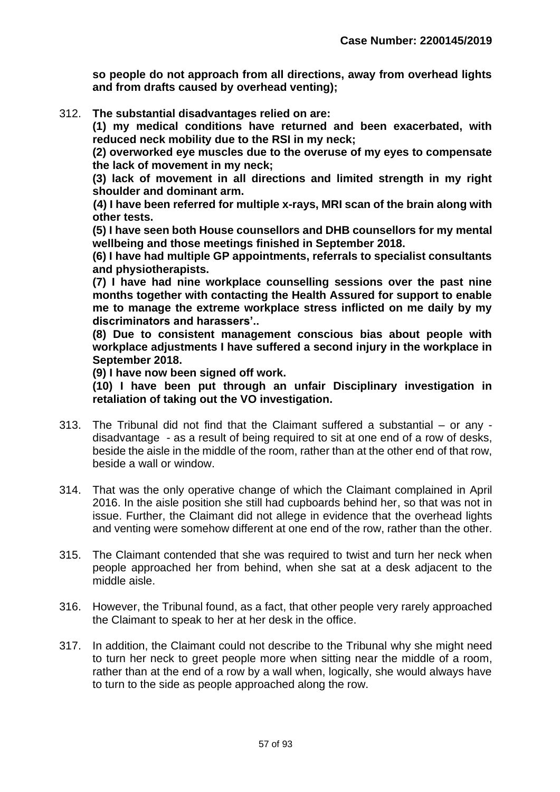**so people do not approach from all directions, away from overhead lights and from drafts caused by overhead venting);**

312. **The substantial disadvantages relied on are:**

**(1) my medical conditions have returned and been exacerbated, with reduced neck mobility due to the RSI in my neck;** 

**(2) overworked eye muscles due to the overuse of my eyes to compensate the lack of movement in my neck;** 

**(3) lack of movement in all directions and limited strength in my right shoulder and dominant arm.** 

**(4) I have been referred for multiple x-rays, MRI scan of the brain along with other tests.** 

**(5) I have seen both House counsellors and DHB counsellors for my mental wellbeing and those meetings finished in September 2018.** 

**(6) I have had multiple GP appointments, referrals to specialist consultants and physiotherapists.**

**(7) I have had nine workplace counselling sessions over the past nine months together with contacting the Health Assured for support to enable me to manage the extreme workplace stress inflicted on me daily by my discriminators and harassers'..**

**(8) Due to consistent management conscious bias about people with workplace adjustments I have suffered a second injury in the workplace in September 2018.** 

**(9) I have now been signed off work.** 

**(10) I have been put through an unfair Disciplinary investigation in retaliation of taking out the VO investigation.** 

- 313. The Tribunal did not find that the Claimant suffered a substantial or any disadvantage - as a result of being required to sit at one end of a row of desks, beside the aisle in the middle of the room, rather than at the other end of that row, beside a wall or window.
- 314. That was the only operative change of which the Claimant complained in April 2016. In the aisle position she still had cupboards behind her, so that was not in issue. Further, the Claimant did not allege in evidence that the overhead lights and venting were somehow different at one end of the row, rather than the other.
- 315. The Claimant contended that she was required to twist and turn her neck when people approached her from behind, when she sat at a desk adjacent to the middle aisle.
- 316. However, the Tribunal found, as a fact, that other people very rarely approached the Claimant to speak to her at her desk in the office.
- 317. In addition, the Claimant could not describe to the Tribunal why she might need to turn her neck to greet people more when sitting near the middle of a room, rather than at the end of a row by a wall when, logically, she would always have to turn to the side as people approached along the row.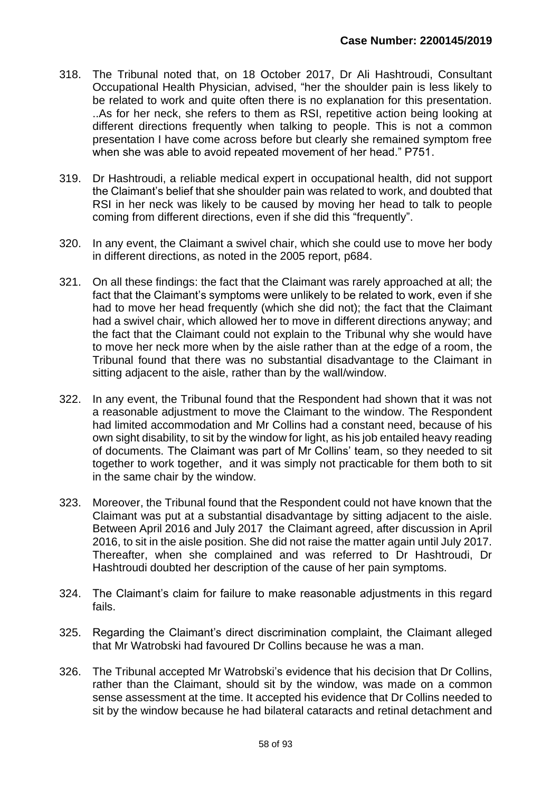- 318. The Tribunal noted that, on 18 October 2017, Dr Ali Hashtroudi, Consultant Occupational Health Physician, advised, "her the shoulder pain is less likely to be related to work and quite often there is no explanation for this presentation. ..As for her neck, she refers to them as RSI, repetitive action being looking at different directions frequently when talking to people. This is not a common presentation I have come across before but clearly she remained symptom free when she was able to avoid repeated movement of her head." P751.
- 319. Dr Hashtroudi, a reliable medical expert in occupational health, did not support the Claimant's belief that she shoulder pain was related to work, and doubted that RSI in her neck was likely to be caused by moving her head to talk to people coming from different directions, even if she did this "frequently".
- 320. In any event, the Claimant a swivel chair, which she could use to move her body in different directions, as noted in the 2005 report, p684.
- 321. On all these findings: the fact that the Claimant was rarely approached at all; the fact that the Claimant's symptoms were unlikely to be related to work, even if she had to move her head frequently (which she did not); the fact that the Claimant had a swivel chair, which allowed her to move in different directions anyway; and the fact that the Claimant could not explain to the Tribunal why she would have to move her neck more when by the aisle rather than at the edge of a room, the Tribunal found that there was no substantial disadvantage to the Claimant in sitting adjacent to the aisle, rather than by the wall/window.
- 322. In any event, the Tribunal found that the Respondent had shown that it was not a reasonable adjustment to move the Claimant to the window. The Respondent had limited accommodation and Mr Collins had a constant need, because of his own sight disability, to sit by the window for light, as his job entailed heavy reading of documents. The Claimant was part of Mr Collins' team, so they needed to sit together to work together, and it was simply not practicable for them both to sit in the same chair by the window.
- 323. Moreover, the Tribunal found that the Respondent could not have known that the Claimant was put at a substantial disadvantage by sitting adjacent to the aisle. Between April 2016 and July 2017 the Claimant agreed, after discussion in April 2016, to sit in the aisle position. She did not raise the matter again until July 2017. Thereafter, when she complained and was referred to Dr Hashtroudi, Dr Hashtroudi doubted her description of the cause of her pain symptoms.
- 324. The Claimant's claim for failure to make reasonable adjustments in this regard fails.
- 325. Regarding the Claimant's direct discrimination complaint, the Claimant alleged that Mr Watrobski had favoured Dr Collins because he was a man.
- 326. The Tribunal accepted Mr Watrobski's evidence that his decision that Dr Collins, rather than the Claimant, should sit by the window, was made on a common sense assessment at the time. It accepted his evidence that Dr Collins needed to sit by the window because he had bilateral cataracts and retinal detachment and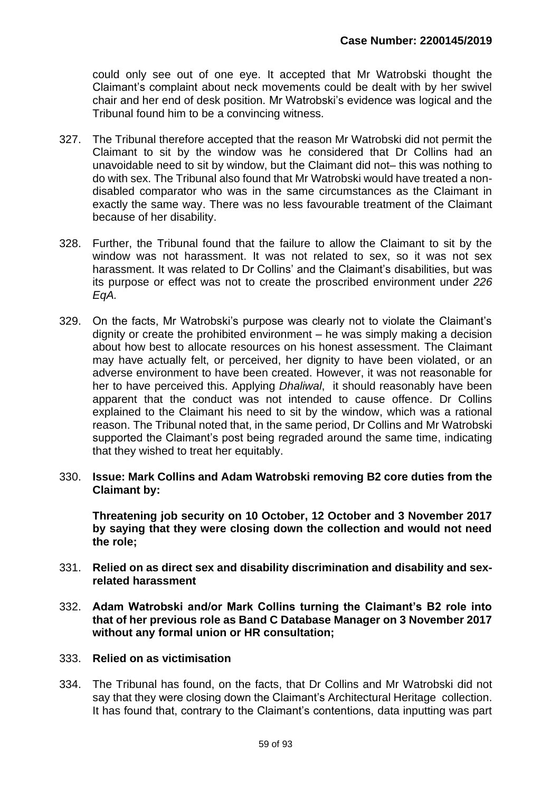could only see out of one eye. It accepted that Mr Watrobski thought the Claimant's complaint about neck movements could be dealt with by her swivel chair and her end of desk position. Mr Watrobski's evidence was logical and the Tribunal found him to be a convincing witness.

- 327. The Tribunal therefore accepted that the reason Mr Watrobski did not permit the Claimant to sit by the window was he considered that Dr Collins had an unavoidable need to sit by window, but the Claimant did not– this was nothing to do with sex. The Tribunal also found that Mr Watrobski would have treated a nondisabled comparator who was in the same circumstances as the Claimant in exactly the same way. There was no less favourable treatment of the Claimant because of her disability.
- 328. Further, the Tribunal found that the failure to allow the Claimant to sit by the window was not harassment. It was not related to sex, so it was not sex harassment. It was related to Dr Collins' and the Claimant's disabilities, but was its purpose or effect was not to create the proscribed environment under *226 EqA.*
- 329. On the facts, Mr Watrobski's purpose was clearly not to violate the Claimant's dignity or create the prohibited environment – he was simply making a decision about how best to allocate resources on his honest assessment. The Claimant may have actually felt, or perceived, her dignity to have been violated, or an adverse environment to have been created. However, it was not reasonable for her to have perceived this. Applying *Dhaliwal*, it should reasonably have been apparent that the conduct was not intended to cause offence. Dr Collins explained to the Claimant his need to sit by the window, which was a rational reason. The Tribunal noted that, in the same period, Dr Collins and Mr Watrobski supported the Claimant's post being regraded around the same time, indicating that they wished to treat her equitably.
- 330. **Issue: Mark Collins and Adam Watrobski removing B2 core duties from the Claimant by:**

**Threatening job security on 10 October, 12 October and 3 November 2017 by saying that they were closing down the collection and would not need the role;**

- 331. **Relied on as direct sex and disability discrimination and disability and sexrelated harassment**
- 332. **Adam Watrobski and/or Mark Collins turning the Claimant's B2 role into that of her previous role as Band C Database Manager on 3 November 2017 without any formal union or HR consultation;**

# 333. **Relied on as victimisation**

334. The Tribunal has found, on the facts, that Dr Collins and Mr Watrobski did not say that they were closing down the Claimant's Architectural Heritage collection. It has found that, contrary to the Claimant's contentions, data inputting was part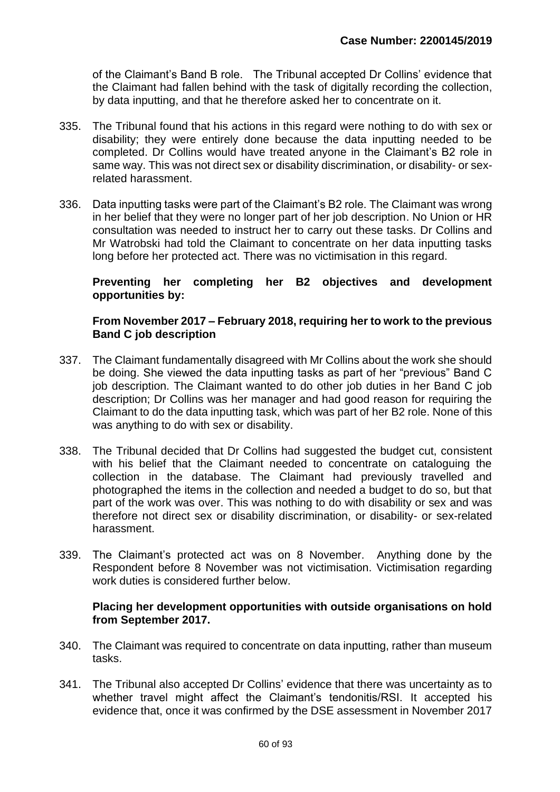of the Claimant's Band B role. The Tribunal accepted Dr Collins' evidence that the Claimant had fallen behind with the task of digitally recording the collection, by data inputting, and that he therefore asked her to concentrate on it.

- 335. The Tribunal found that his actions in this regard were nothing to do with sex or disability; they were entirely done because the data inputting needed to be completed. Dr Collins would have treated anyone in the Claimant's B2 role in same way. This was not direct sex or disability discrimination, or disability- or sexrelated harassment.
- 336. Data inputting tasks were part of the Claimant's B2 role. The Claimant was wrong in her belief that they were no longer part of her job description. No Union or HR consultation was needed to instruct her to carry out these tasks. Dr Collins and Mr Watrobski had told the Claimant to concentrate on her data inputting tasks long before her protected act. There was no victimisation in this regard.

# **Preventing her completing her B2 objectives and development opportunities by:**

# **From November 2017 – February 2018, requiring her to work to the previous Band C job description**

- 337. The Claimant fundamentally disagreed with Mr Collins about the work she should be doing. She viewed the data inputting tasks as part of her "previous" Band C job description. The Claimant wanted to do other job duties in her Band C job description; Dr Collins was her manager and had good reason for requiring the Claimant to do the data inputting task, which was part of her B2 role. None of this was anything to do with sex or disability.
- 338. The Tribunal decided that Dr Collins had suggested the budget cut, consistent with his belief that the Claimant needed to concentrate on cataloguing the collection in the database. The Claimant had previously travelled and photographed the items in the collection and needed a budget to do so, but that part of the work was over. This was nothing to do with disability or sex and was therefore not direct sex or disability discrimination, or disability- or sex-related harassment.
- 339. The Claimant's protected act was on 8 November. Anything done by the Respondent before 8 November was not victimisation. Victimisation regarding work duties is considered further below.

### **Placing her development opportunities with outside organisations on hold from September 2017.**

- 340. The Claimant was required to concentrate on data inputting, rather than museum tasks.
- 341. The Tribunal also accepted Dr Collins' evidence that there was uncertainty as to whether travel might affect the Claimant's tendonitis/RSI. It accepted his evidence that, once it was confirmed by the DSE assessment in November 2017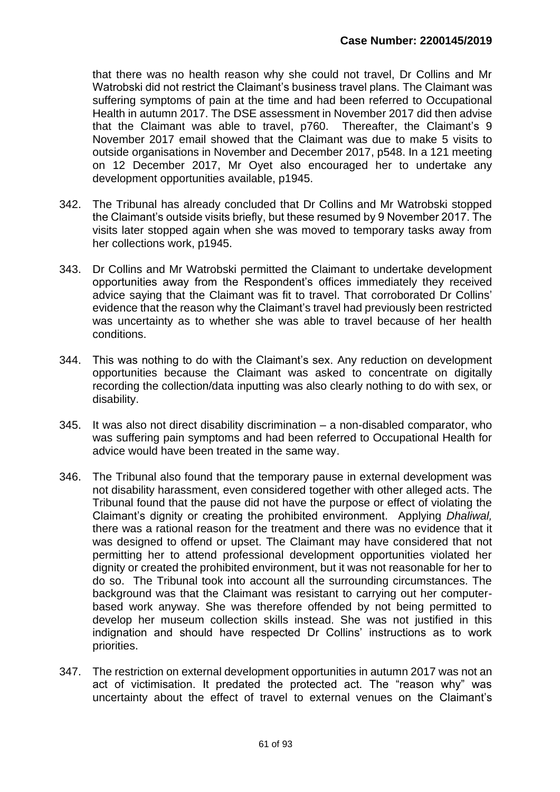that there was no health reason why she could not travel, Dr Collins and Mr Watrobski did not restrict the Claimant's business travel plans. The Claimant was suffering symptoms of pain at the time and had been referred to Occupational Health in autumn 2017. The DSE assessment in November 2017 did then advise that the Claimant was able to travel, p760. Thereafter, the Claimant's 9 November 2017 email showed that the Claimant was due to make 5 visits to outside organisations in November and December 2017, p548. In a 121 meeting on 12 December 2017, Mr Oyet also encouraged her to undertake any development opportunities available, p1945.

- 342. The Tribunal has already concluded that Dr Collins and Mr Watrobski stopped the Claimant's outside visits briefly, but these resumed by 9 November 2017. The visits later stopped again when she was moved to temporary tasks away from her collections work, p1945.
- 343. Dr Collins and Mr Watrobski permitted the Claimant to undertake development opportunities away from the Respondent's offices immediately they received advice saying that the Claimant was fit to travel. That corroborated Dr Collins' evidence that the reason why the Claimant's travel had previously been restricted was uncertainty as to whether she was able to travel because of her health conditions.
- 344. This was nothing to do with the Claimant's sex. Any reduction on development opportunities because the Claimant was asked to concentrate on digitally recording the collection/data inputting was also clearly nothing to do with sex, or disability.
- 345. It was also not direct disability discrimination a non-disabled comparator, who was suffering pain symptoms and had been referred to Occupational Health for advice would have been treated in the same way.
- 346. The Tribunal also found that the temporary pause in external development was not disability harassment, even considered together with other alleged acts. The Tribunal found that the pause did not have the purpose or effect of violating the Claimant's dignity or creating the prohibited environment. Applying *Dhaliwal,*  there was a rational reason for the treatment and there was no evidence that it was designed to offend or upset. The Claimant may have considered that not permitting her to attend professional development opportunities violated her dignity or created the prohibited environment, but it was not reasonable for her to do so. The Tribunal took into account all the surrounding circumstances. The background was that the Claimant was resistant to carrying out her computerbased work anyway. She was therefore offended by not being permitted to develop her museum collection skills instead. She was not justified in this indignation and should have respected Dr Collins' instructions as to work priorities.
- 347. The restriction on external development opportunities in autumn 2017 was not an act of victimisation. It predated the protected act. The "reason why" was uncertainty about the effect of travel to external venues on the Claimant's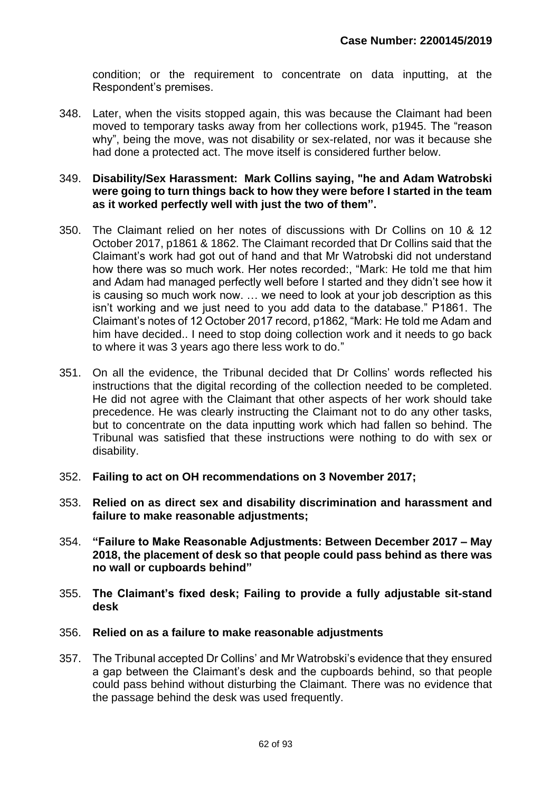condition; or the requirement to concentrate on data inputting, at the Respondent's premises.

348. Later, when the visits stopped again, this was because the Claimant had been moved to temporary tasks away from her collections work, p1945. The "reason why", being the move, was not disability or sex-related, nor was it because she had done a protected act. The move itself is considered further below.

### 349. **Disability/Sex Harassment: Mark Collins saying, "he and Adam Watrobski were going to turn things back to how they were before I started in the team as it worked perfectly well with just the two of them".**

- 350. The Claimant relied on her notes of discussions with Dr Collins on 10 & 12 October 2017, p1861 & 1862. The Claimant recorded that Dr Collins said that the Claimant's work had got out of hand and that Mr Watrobski did not understand how there was so much work. Her notes recorded:, "Mark: He told me that him and Adam had managed perfectly well before I started and they didn't see how it is causing so much work now. … we need to look at your job description as this isn't working and we just need to you add data to the database." P1861. The Claimant's notes of 12 October 2017 record, p1862, "Mark: He told me Adam and him have decided.. I need to stop doing collection work and it needs to go back to where it was 3 years ago there less work to do."
- 351. On all the evidence, the Tribunal decided that Dr Collins' words reflected his instructions that the digital recording of the collection needed to be completed. He did not agree with the Claimant that other aspects of her work should take precedence. He was clearly instructing the Claimant not to do any other tasks, but to concentrate on the data inputting work which had fallen so behind. The Tribunal was satisfied that these instructions were nothing to do with sex or disability.
- 352. **Failing to act on OH recommendations on 3 November 2017;**
- 353. **Relied on as direct sex and disability discrimination and harassment and failure to make reasonable adjustments;**
- 354. **"Failure to Make Reasonable Adjustments: Between December 2017 – May 2018, the placement of desk so that people could pass behind as there was no wall or cupboards behind"**
- 355. **The Claimant's fixed desk; Failing to provide a fully adjustable sit-stand desk**

#### 356. **Relied on as a failure to make reasonable adjustments**

357. The Tribunal accepted Dr Collins' and Mr Watrobski's evidence that they ensured a gap between the Claimant's desk and the cupboards behind, so that people could pass behind without disturbing the Claimant. There was no evidence that the passage behind the desk was used frequently.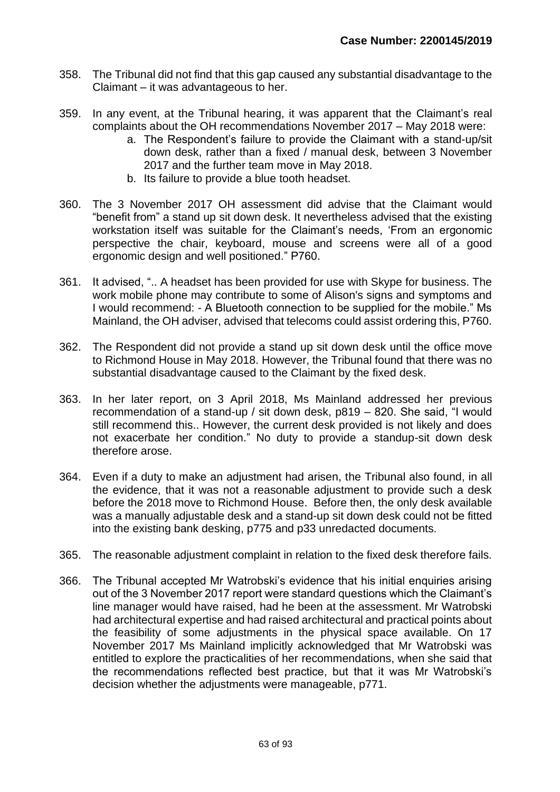- 358. The Tribunal did not find that this gap caused any substantial disadvantage to the Claimant – it was advantageous to her.
- 359. In any event, at the Tribunal hearing, it was apparent that the Claimant's real complaints about the OH recommendations November 2017 – May 2018 were:
	- a. The Respondent's failure to provide the Claimant with a stand-up/sit down desk, rather than a fixed / manual desk, between 3 November 2017 and the further team move in May 2018.
	- b. Its failure to provide a blue tooth headset.
- 360. The 3 November 2017 OH assessment did advise that the Claimant would "benefit from" a stand up sit down desk. It nevertheless advised that the existing workstation itself was suitable for the Claimant's needs, 'From an ergonomic perspective the chair, keyboard, mouse and screens were all of a good ergonomic design and well positioned." P760.
- 361. It advised, ".. A headset has been provided for use with Skype for business. The work mobile phone may contribute to some of Alison's signs and symptoms and I would recommend: - A Bluetooth connection to be supplied for the mobile." Ms Mainland, the OH adviser, advised that telecoms could assist ordering this, P760.
- 362. The Respondent did not provide a stand up sit down desk until the office move to Richmond House in May 2018. However, the Tribunal found that there was no substantial disadvantage caused to the Claimant by the fixed desk.
- 363. In her later report, on 3 April 2018, Ms Mainland addressed her previous recommendation of a stand-up / sit down desk, p819 – 820. She said, "I would still recommend this.. However, the current desk provided is not likely and does not exacerbate her condition." No duty to provide a standup-sit down desk therefore arose.
- 364. Even if a duty to make an adjustment had arisen, the Tribunal also found, in all the evidence, that it was not a reasonable adjustment to provide such a desk before the 2018 move to Richmond House. Before then, the only desk available was a manually adjustable desk and a stand-up sit down desk could not be fitted into the existing bank desking, p775 and p33 unredacted documents.
- 365. The reasonable adjustment complaint in relation to the fixed desk therefore fails.
- 366. The Tribunal accepted Mr Watrobski's evidence that his initial enquiries arising out of the 3 November 2017 report were standard questions which the Claimant's line manager would have raised, had he been at the assessment. Mr Watrobski had architectural expertise and had raised architectural and practical points about the feasibility of some adjustments in the physical space available. On 17 November 2017 Ms Mainland implicitly acknowledged that Mr Watrobski was entitled to explore the practicalities of her recommendations, when she said that the recommendations reflected best practice, but that it was Mr Watrobski's decision whether the adjustments were manageable, p771.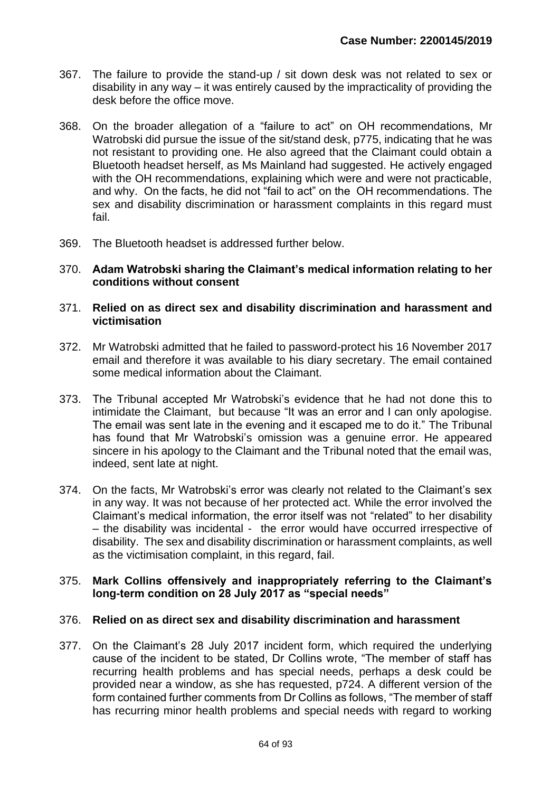- 367. The failure to provide the stand-up / sit down desk was not related to sex or disability in any way – it was entirely caused by the impracticality of providing the desk before the office move.
- 368. On the broader allegation of a "failure to act" on OH recommendations, Mr Watrobski did pursue the issue of the sit/stand desk, p775, indicating that he was not resistant to providing one. He also agreed that the Claimant could obtain a Bluetooth headset herself, as Ms Mainland had suggested. He actively engaged with the OH recommendations, explaining which were and were not practicable, and why. On the facts, he did not "fail to act" on the OH recommendations. The sex and disability discrimination or harassment complaints in this regard must fail.
- 369. The Bluetooth headset is addressed further below.

## 370. **Adam Watrobski sharing the Claimant's medical information relating to her conditions without consent**

## 371. **Relied on as direct sex and disability discrimination and harassment and victimisation**

- 372. Mr Watrobski admitted that he failed to password-protect his 16 November 2017 email and therefore it was available to his diary secretary. The email contained some medical information about the Claimant.
- 373. The Tribunal accepted Mr Watrobski's evidence that he had not done this to intimidate the Claimant, but because "It was an error and I can only apologise. The email was sent late in the evening and it escaped me to do it." The Tribunal has found that Mr Watrobski's omission was a genuine error. He appeared sincere in his apology to the Claimant and the Tribunal noted that the email was, indeed, sent late at night.
- 374. On the facts, Mr Watrobski's error was clearly not related to the Claimant's sex in any way. It was not because of her protected act. While the error involved the Claimant's medical information, the error itself was not "related" to her disability – the disability was incidental - the error would have occurred irrespective of disability. The sex and disability discrimination or harassment complaints, as well as the victimisation complaint, in this regard, fail.

### 375. **Mark Collins offensively and inappropriately referring to the Claimant's long-term condition on 28 July 2017 as "special needs"**

#### 376. **Relied on as direct sex and disability discrimination and harassment**

377. On the Claimant's 28 July 2017 incident form, which required the underlying cause of the incident to be stated, Dr Collins wrote, "The member of staff has recurring health problems and has special needs, perhaps a desk could be provided near a window, as she has requested, p724. A different version of the form contained further comments from Dr Collins as follows, "The member of staff has recurring minor health problems and special needs with regard to working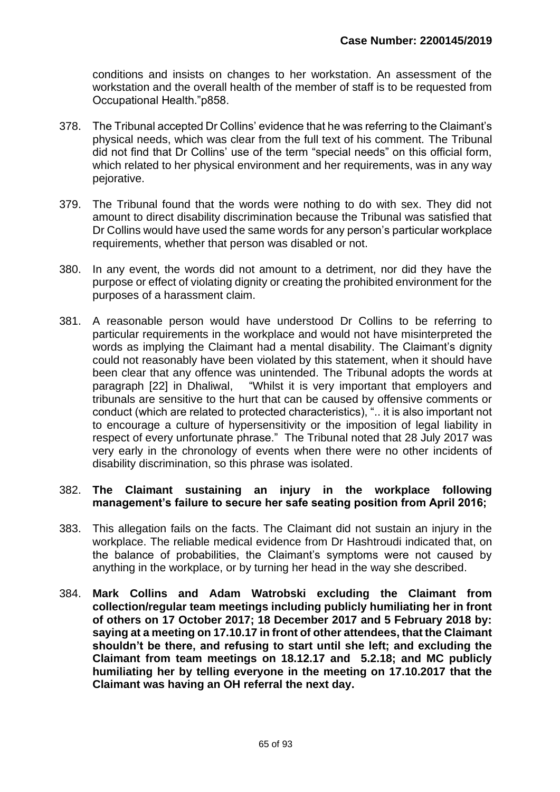conditions and insists on changes to her workstation. An assessment of the workstation and the overall health of the member of staff is to be requested from Occupational Health."p858.

- 378. The Tribunal accepted Dr Collins' evidence that he was referring to the Claimant's physical needs, which was clear from the full text of his comment. The Tribunal did not find that Dr Collins' use of the term "special needs" on this official form, which related to her physical environment and her requirements, was in any way pejorative.
- 379. The Tribunal found that the words were nothing to do with sex. They did not amount to direct disability discrimination because the Tribunal was satisfied that Dr Collins would have used the same words for any person's particular workplace requirements, whether that person was disabled or not.
- 380. In any event, the words did not amount to a detriment, nor did they have the purpose or effect of violating dignity or creating the prohibited environment for the purposes of a harassment claim.
- 381. A reasonable person would have understood Dr Collins to be referring to particular requirements in the workplace and would not have misinterpreted the words as implying the Claimant had a mental disability. The Claimant's dignity could not reasonably have been violated by this statement, when it should have been clear that any offence was unintended. The Tribunal adopts the words at paragraph [22] in Dhaliwal, "Whilst it is very important that employers and tribunals are sensitive to the hurt that can be caused by offensive comments or conduct (which are related to protected characteristics), ".. it is also important not to encourage a culture of hypersensitivity or the imposition of legal liability in respect of every unfortunate phrase." The Tribunal noted that 28 July 2017 was very early in the chronology of events when there were no other incidents of disability discrimination, so this phrase was isolated.

# 382. **The Claimant sustaining an injury in the workplace following management's failure to secure her safe seating position from April 2016;**

- 383. This allegation fails on the facts. The Claimant did not sustain an injury in the workplace. The reliable medical evidence from Dr Hashtroudi indicated that, on the balance of probabilities, the Claimant's symptoms were not caused by anything in the workplace, or by turning her head in the way she described.
- 384. **Mark Collins and Adam Watrobski excluding the Claimant from collection/regular team meetings including publicly humiliating her in front of others on 17 October 2017; 18 December 2017 and 5 February 2018 by: saying at a meeting on 17.10.17 in front of other attendees, that the Claimant shouldn't be there, and refusing to start until she left; and excluding the Claimant from team meetings on 18.12.17 and 5.2.18; and MC publicly humiliating her by telling everyone in the meeting on 17.10.2017 that the Claimant was having an OH referral the next day.**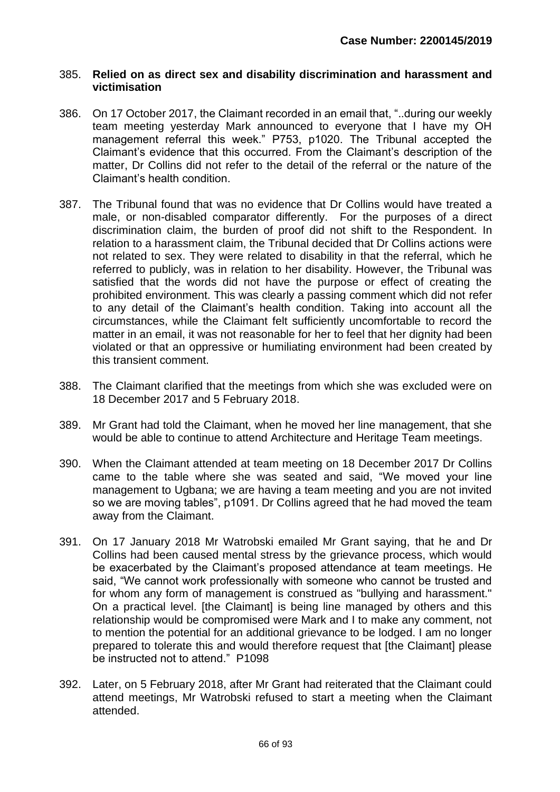## 385. **Relied on as direct sex and disability discrimination and harassment and victimisation**

- 386. On 17 October 2017, the Claimant recorded in an email that, "..during our weekly team meeting yesterday Mark announced to everyone that I have my OH management referral this week." P753, p1020. The Tribunal accepted the Claimant's evidence that this occurred. From the Claimant's description of the matter, Dr Collins did not refer to the detail of the referral or the nature of the Claimant's health condition.
- 387. The Tribunal found that was no evidence that Dr Collins would have treated a male, or non-disabled comparator differently. For the purposes of a direct discrimination claim, the burden of proof did not shift to the Respondent. In relation to a harassment claim, the Tribunal decided that Dr Collins actions were not related to sex. They were related to disability in that the referral, which he referred to publicly, was in relation to her disability. However, the Tribunal was satisfied that the words did not have the purpose or effect of creating the prohibited environment. This was clearly a passing comment which did not refer to any detail of the Claimant's health condition. Taking into account all the circumstances, while the Claimant felt sufficiently uncomfortable to record the matter in an email, it was not reasonable for her to feel that her dignity had been violated or that an oppressive or humiliating environment had been created by this transient comment.
- 388. The Claimant clarified that the meetings from which she was excluded were on 18 December 2017 and 5 February 2018.
- 389. Mr Grant had told the Claimant, when he moved her line management, that she would be able to continue to attend Architecture and Heritage Team meetings.
- 390. When the Claimant attended at team meeting on 18 December 2017 Dr Collins came to the table where she was seated and said, "We moved your line management to Ugbana; we are having a team meeting and you are not invited so we are moving tables", p1091. Dr Collins agreed that he had moved the team away from the Claimant.
- 391. On 17 January 2018 Mr Watrobski emailed Mr Grant saying, that he and Dr Collins had been caused mental stress by the grievance process, which would be exacerbated by the Claimant's proposed attendance at team meetings. He said, "We cannot work professionally with someone who cannot be trusted and for whom any form of management is construed as "bullying and harassment." On a practical level. [the Claimant] is being line managed by others and this relationship would be compromised were Mark and I to make any comment, not to mention the potential for an additional grievance to be lodged. I am no longer prepared to tolerate this and would therefore request that [the Claimant] please be instructed not to attend." P1098
- 392. Later, on 5 February 2018, after Mr Grant had reiterated that the Claimant could attend meetings, Mr Watrobski refused to start a meeting when the Claimant attended.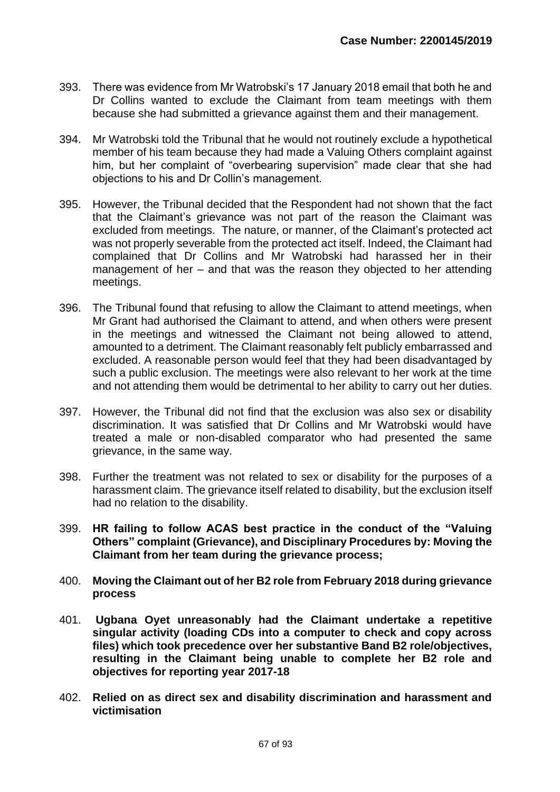- 393. There was evidence from Mr Watrobski's 17 January 2018 email that both he and Dr Collins wanted to exclude the Claimant from team meetings with them because she had submitted a grievance against them and their management.
- 394. Mr Watrobski told the Tribunal that he would not routinely exclude a hypothetical member of his team because they had made a Valuing Others complaint against him, but her complaint of "overbearing supervision" made clear that she had objections to his and Dr Collin's management.
- 395. However, the Tribunal decided that the Respondent had not shown that the fact that the Claimant's grievance was not part of the reason the Claimant was excluded from meetings. The nature, or manner, of the Claimant's protected act was not properly severable from the protected act itself. Indeed, the Claimant had complained that Dr Collins and Mr Watrobski had harassed her in their management of her – and that was the reason they objected to her attending meetings.
- 396. The Tribunal found that refusing to allow the Claimant to attend meetings, when Mr Grant had authorised the Claimant to attend, and when others were present in the meetings and witnessed the Claimant not being allowed to attend, amounted to a detriment. The Claimant reasonably felt publicly embarrassed and excluded. A reasonable person would feel that they had been disadvantaged by such a public exclusion. The meetings were also relevant to her work at the time and not attending them would be detrimental to her ability to carry out her duties.
- 397. However, the Tribunal did not find that the exclusion was also sex or disability discrimination. It was satisfied that Dr Collins and Mr Watrobski would have treated a male or non-disabled comparator who had presented the same grievance, in the same way.
- 398. Further the treatment was not related to sex or disability for the purposes of a harassment claim. The grievance itself related to disability, but the exclusion itself had no relation to the disability.
- 399. **HR failing to follow ACAS best practice in the conduct of the "Valuing Others" complaint (Grievance), and Disciplinary Procedures by: Moving the Claimant from her team during the grievance process;**
- 400. **Moving the Claimant out of her B2 role from February 2018 during grievance process**
- 401. **Ugbana Oyet unreasonably had the Claimant undertake a repetitive singular activity (loading CDs into a computer to check and copy across files) which took precedence over her substantive Band B2 role/objectives, resulting in the Claimant being unable to complete her B2 role and objectives for reporting year 2017-18**
- 402. **Relied on as direct sex and disability discrimination and harassment and victimisation**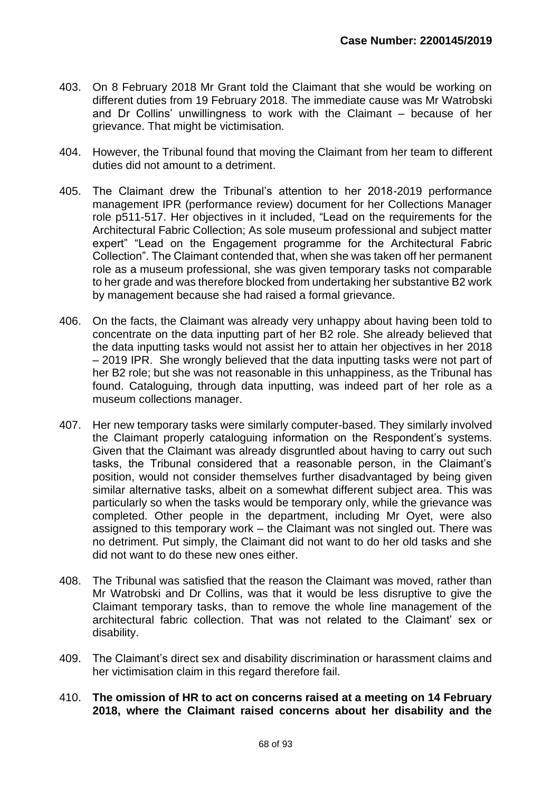- 403. On 8 February 2018 Mr Grant told the Claimant that she would be working on different duties from 19 February 2018. The immediate cause was Mr Watrobski and Dr Collins' unwillingness to work with the Claimant – because of her grievance. That might be victimisation.
- 404. However, the Tribunal found that moving the Claimant from her team to different duties did not amount to a detriment.
- 405. The Claimant drew the Tribunal's attention to her 2018-2019 performance management IPR (performance review) document for her Collections Manager role p511-517. Her objectives in it included, "Lead on the requirements for the Architectural Fabric Collection; As sole museum professional and subject matter expert" "Lead on the Engagement programme for the Architectural Fabric Collection". The Claimant contended that, when she was taken off her permanent role as a museum professional, she was given temporary tasks not comparable to her grade and was therefore blocked from undertaking her substantive B2 work by management because she had raised a formal grievance.
- 406. On the facts, the Claimant was already very unhappy about having been told to concentrate on the data inputting part of her B2 role. She already believed that the data inputting tasks would not assist her to attain her objectives in her 2018 – 2019 IPR. She wrongly believed that the data inputting tasks were not part of her B2 role; but she was not reasonable in this unhappiness, as the Tribunal has found. Cataloguing, through data inputting, was indeed part of her role as a museum collections manager.
- 407. Her new temporary tasks were similarly computer-based. They similarly involved the Claimant properly cataloguing information on the Respondent's systems. Given that the Claimant was already disgruntled about having to carry out such tasks, the Tribunal considered that a reasonable person, in the Claimant's position, would not consider themselves further disadvantaged by being given similar alternative tasks, albeit on a somewhat different subject area. This was particularly so when the tasks would be temporary only, while the grievance was completed. Other people in the department, including Mr Oyet, were also assigned to this temporary work – the Claimant was not singled out. There was no detriment. Put simply, the Claimant did not want to do her old tasks and she did not want to do these new ones either.
- 408. The Tribunal was satisfied that the reason the Claimant was moved, rather than Mr Watrobski and Dr Collins, was that it would be less disruptive to give the Claimant temporary tasks, than to remove the whole line management of the architectural fabric collection. That was not related to the Claimant' sex or disability.
- 409. The Claimant's direct sex and disability discrimination or harassment claims and her victimisation claim in this regard therefore fail.
- 410. **The omission of HR to act on concerns raised at a meeting on 14 February 2018, where the Claimant raised concerns about her disability and the**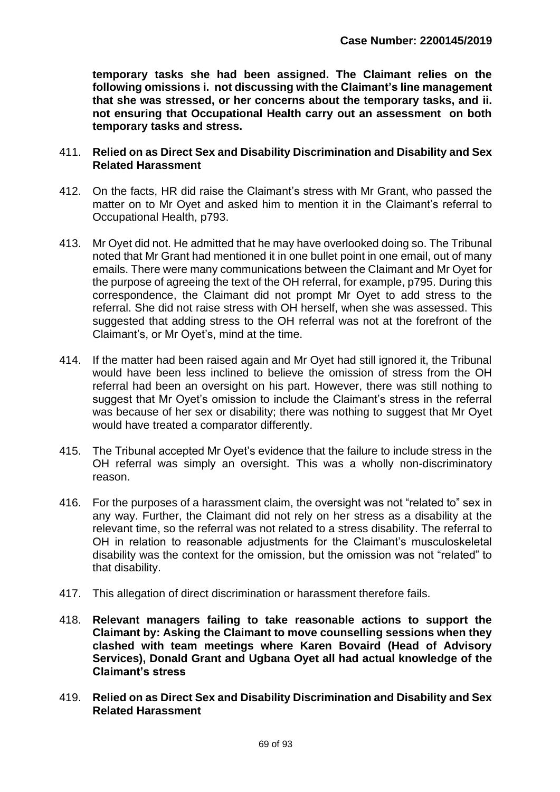**temporary tasks she had been assigned. The Claimant relies on the following omissions i. not discussing with the Claimant's line management that she was stressed, or her concerns about the temporary tasks, and ii. not ensuring that Occupational Health carry out an assessment on both temporary tasks and stress.**

### 411. **Relied on as Direct Sex and Disability Discrimination and Disability and Sex Related Harassment**

- 412. On the facts, HR did raise the Claimant's stress with Mr Grant, who passed the matter on to Mr Oyet and asked him to mention it in the Claimant's referral to Occupational Health, p793.
- 413. Mr Oyet did not. He admitted that he may have overlooked doing so. The Tribunal noted that Mr Grant had mentioned it in one bullet point in one email, out of many emails. There were many communications between the Claimant and Mr Oyet for the purpose of agreeing the text of the OH referral, for example, p795. During this correspondence, the Claimant did not prompt Mr Oyet to add stress to the referral. She did not raise stress with OH herself, when she was assessed. This suggested that adding stress to the OH referral was not at the forefront of the Claimant's, or Mr Oyet's, mind at the time.
- 414. If the matter had been raised again and Mr Oyet had still ignored it, the Tribunal would have been less inclined to believe the omission of stress from the OH referral had been an oversight on his part. However, there was still nothing to suggest that Mr Oyet's omission to include the Claimant's stress in the referral was because of her sex or disability; there was nothing to suggest that Mr Oyet would have treated a comparator differently.
- 415. The Tribunal accepted Mr Oyet's evidence that the failure to include stress in the OH referral was simply an oversight. This was a wholly non-discriminatory reason.
- 416. For the purposes of a harassment claim, the oversight was not "related to" sex in any way. Further, the Claimant did not rely on her stress as a disability at the relevant time, so the referral was not related to a stress disability. The referral to OH in relation to reasonable adjustments for the Claimant's musculoskeletal disability was the context for the omission, but the omission was not "related" to that disability.
- 417. This allegation of direct discrimination or harassment therefore fails.
- 418. **Relevant managers failing to take reasonable actions to support the Claimant by: Asking the Claimant to move counselling sessions when they clashed with team meetings where Karen Bovaird (Head of Advisory Services), Donald Grant and Ugbana Oyet all had actual knowledge of the Claimant's stress**
- 419. **Relied on as Direct Sex and Disability Discrimination and Disability and Sex Related Harassment**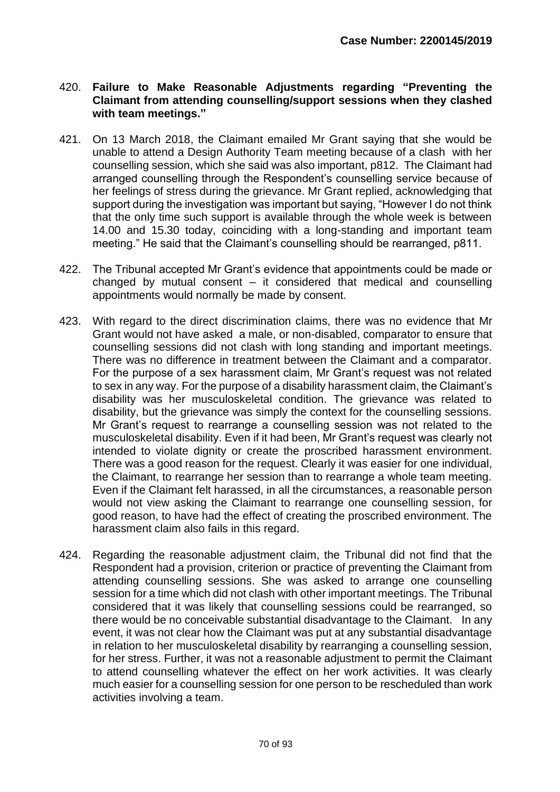# 420. **Failure to Make Reasonable Adjustments regarding "Preventing the Claimant from attending counselling/support sessions when they clashed with team meetings."**

- 421. On 13 March 2018, the Claimant emailed Mr Grant saying that she would be unable to attend a Design Authority Team meeting because of a clash with her counselling session, which she said was also important, p812. The Claimant had arranged counselling through the Respondent's counselling service because of her feelings of stress during the grievance. Mr Grant replied, acknowledging that support during the investigation was important but saying, "However I do not think that the only time such support is available through the whole week is between 14.00 and 15.30 today, coinciding with a long-standing and important team meeting." He said that the Claimant's counselling should be rearranged, p811.
- 422. The Tribunal accepted Mr Grant's evidence that appointments could be made or changed by mutual consent – it considered that medical and counselling appointments would normally be made by consent.
- 423. With regard to the direct discrimination claims, there was no evidence that Mr Grant would not have asked a male, or non-disabled, comparator to ensure that counselling sessions did not clash with long standing and important meetings. There was no difference in treatment between the Claimant and a comparator. For the purpose of a sex harassment claim, Mr Grant's request was not related to sex in any way. For the purpose of a disability harassment claim, the Claimant's disability was her musculoskeletal condition. The grievance was related to disability, but the grievance was simply the context for the counselling sessions. Mr Grant's request to rearrange a counselling session was not related to the musculoskeletal disability. Even if it had been, Mr Grant's request was clearly not intended to violate dignity or create the proscribed harassment environment. There was a good reason for the request. Clearly it was easier for one individual, the Claimant, to rearrange her session than to rearrange a whole team meeting. Even if the Claimant felt harassed, in all the circumstances, a reasonable person would not view asking the Claimant to rearrange one counselling session, for good reason, to have had the effect of creating the proscribed environment. The harassment claim also fails in this regard.
- 424. Regarding the reasonable adjustment claim, the Tribunal did not find that the Respondent had a provision, criterion or practice of preventing the Claimant from attending counselling sessions. She was asked to arrange one counselling session for a time which did not clash with other important meetings. The Tribunal considered that it was likely that counselling sessions could be rearranged, so there would be no conceivable substantial disadvantage to the Claimant. In any event, it was not clear how the Claimant was put at any substantial disadvantage in relation to her musculoskeletal disability by rearranging a counselling session, for her stress. Further, it was not a reasonable adjustment to permit the Claimant to attend counselling whatever the effect on her work activities. It was clearly much easier for a counselling session for one person to be rescheduled than work activities involving a team.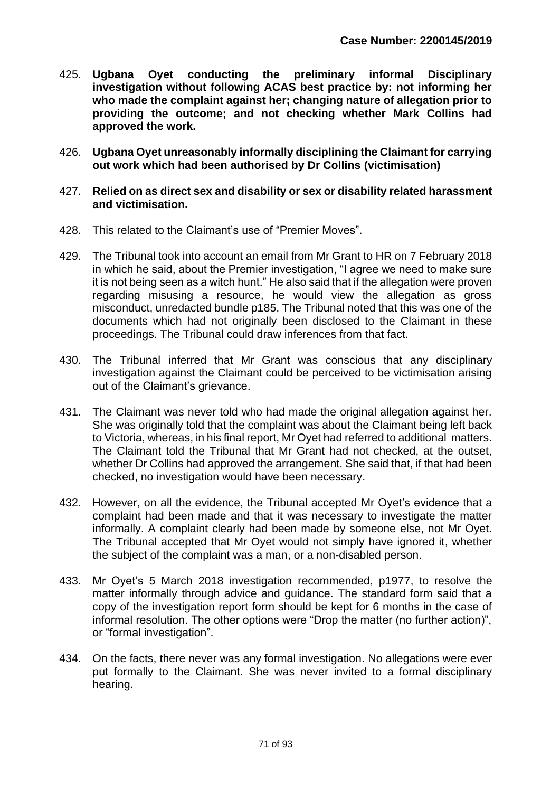- 425. **Ugbana Oyet conducting the preliminary informal Disciplinary investigation without following ACAS best practice by: not informing her who made the complaint against her; changing nature of allegation prior to providing the outcome; and not checking whether Mark Collins had approved the work.**
- 426. **Ugbana Oyet unreasonably informally disciplining the Claimant for carrying out work which had been authorised by Dr Collins (victimisation)**
- 427. **Relied on as direct sex and disability or sex or disability related harassment and victimisation.**
- 428. This related to the Claimant's use of "Premier Moves".
- 429. The Tribunal took into account an email from Mr Grant to HR on 7 February 2018 in which he said, about the Premier investigation, "I agree we need to make sure it is not being seen as a witch hunt." He also said that if the allegation were proven regarding misusing a resource, he would view the allegation as gross misconduct, unredacted bundle p185. The Tribunal noted that this was one of the documents which had not originally been disclosed to the Claimant in these proceedings. The Tribunal could draw inferences from that fact.
- 430. The Tribunal inferred that Mr Grant was conscious that any disciplinary investigation against the Claimant could be perceived to be victimisation arising out of the Claimant's grievance.
- 431. The Claimant was never told who had made the original allegation against her. She was originally told that the complaint was about the Claimant being left back to Victoria, whereas, in his final report, Mr Oyet had referred to additional matters. The Claimant told the Tribunal that Mr Grant had not checked, at the outset, whether Dr Collins had approved the arrangement. She said that, if that had been checked, no investigation would have been necessary.
- 432. However, on all the evidence, the Tribunal accepted Mr Oyet's evidence that a complaint had been made and that it was necessary to investigate the matter informally. A complaint clearly had been made by someone else, not Mr Oyet. The Tribunal accepted that Mr Oyet would not simply have ignored it, whether the subject of the complaint was a man, or a non-disabled person.
- 433. Mr Oyet's 5 March 2018 investigation recommended, p1977, to resolve the matter informally through advice and guidance. The standard form said that a copy of the investigation report form should be kept for 6 months in the case of informal resolution. The other options were "Drop the matter (no further action)", or "formal investigation".
- 434. On the facts, there never was any formal investigation. No allegations were ever put formally to the Claimant. She was never invited to a formal disciplinary hearing.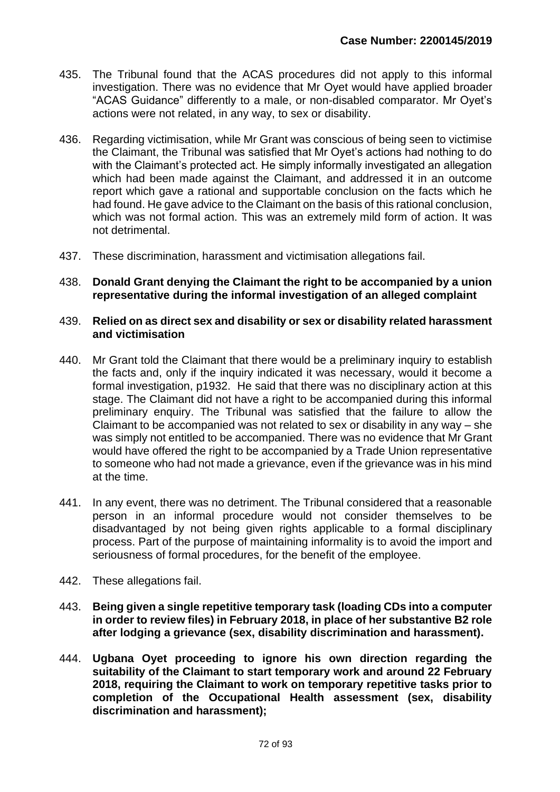- 435. The Tribunal found that the ACAS procedures did not apply to this informal investigation. There was no evidence that Mr Oyet would have applied broader "ACAS Guidance" differently to a male, or non-disabled comparator. Mr Oyet's actions were not related, in any way, to sex or disability.
- 436. Regarding victimisation, while Mr Grant was conscious of being seen to victimise the Claimant, the Tribunal was satisfied that Mr Oyet's actions had nothing to do with the Claimant's protected act. He simply informally investigated an allegation which had been made against the Claimant, and addressed it in an outcome report which gave a rational and supportable conclusion on the facts which he had found. He gave advice to the Claimant on the basis of this rational conclusion, which was not formal action. This was an extremely mild form of action. It was not detrimental.
- 437. These discrimination, harassment and victimisation allegations fail.
- 438. **Donald Grant denying the Claimant the right to be accompanied by a union representative during the informal investigation of an alleged complaint**

#### 439. **Relied on as direct sex and disability or sex or disability related harassment and victimisation**

- 440. Mr Grant told the Claimant that there would be a preliminary inquiry to establish the facts and, only if the inquiry indicated it was necessary, would it become a formal investigation, p1932. He said that there was no disciplinary action at this stage. The Claimant did not have a right to be accompanied during this informal preliminary enquiry. The Tribunal was satisfied that the failure to allow the Claimant to be accompanied was not related to sex or disability in any way – she was simply not entitled to be accompanied. There was no evidence that Mr Grant would have offered the right to be accompanied by a Trade Union representative to someone who had not made a grievance, even if the grievance was in his mind at the time.
- 441. In any event, there was no detriment. The Tribunal considered that a reasonable person in an informal procedure would not consider themselves to be disadvantaged by not being given rights applicable to a formal disciplinary process. Part of the purpose of maintaining informality is to avoid the import and seriousness of formal procedures, for the benefit of the employee.
- 442. These allegations fail.
- 443. **Being given a single repetitive temporary task (loading CDs into a computer in order to review files) in February 2018, in place of her substantive B2 role after lodging a grievance (sex, disability discrimination and harassment).**
- 444. **Ugbana Oyet proceeding to ignore his own direction regarding the suitability of the Claimant to start temporary work and around 22 February 2018, requiring the Claimant to work on temporary repetitive tasks prior to completion of the Occupational Health assessment (sex, disability discrimination and harassment);**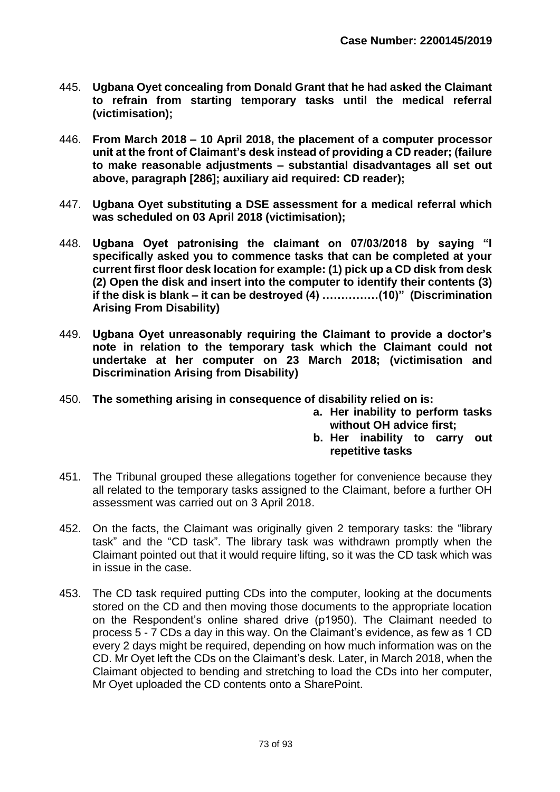- 445. **Ugbana Oyet concealing from Donald Grant that he had asked the Claimant to refrain from starting temporary tasks until the medical referral (victimisation);**
- 446. **From March 2018 – 10 April 2018, the placement of a computer processor unit at the front of Claimant's desk instead of providing a CD reader; (failure to make reasonable adjustments – substantial disadvantages all set out above, paragraph [286]; auxiliary aid required: CD reader);**
- 447. **Ugbana Oyet substituting a DSE assessment for a medical referral which was scheduled on 03 April 2018 (victimisation);**
- 448. **Ugbana Oyet patronising the claimant on 07/03/2018 by saying "I specifically asked you to commence tasks that can be completed at your current first floor desk location for example: (1) pick up a CD disk from desk (2) Open the disk and insert into the computer to identify their contents (3) if the disk is blank – it can be destroyed (4) ……………(10)" (Discrimination Arising From Disability)**
- 449. **Ugbana Oyet unreasonably requiring the Claimant to provide a doctor's note in relation to the temporary task which the Claimant could not undertake at her computer on 23 March 2018; (victimisation and Discrimination Arising from Disability)**
- 450. **The something arising in consequence of disability relied on is:**
	- **a. Her inability to perform tasks without OH advice first;**
	- **b. Her inability to carry out repetitive tasks**
- 451. The Tribunal grouped these allegations together for convenience because they all related to the temporary tasks assigned to the Claimant, before a further OH assessment was carried out on 3 April 2018.
- 452. On the facts, the Claimant was originally given 2 temporary tasks: the "library task" and the "CD task". The library task was withdrawn promptly when the Claimant pointed out that it would require lifting, so it was the CD task which was in issue in the case.
- 453. The CD task required putting CDs into the computer, looking at the documents stored on the CD and then moving those documents to the appropriate location on the Respondent's online shared drive (p1950). The Claimant needed to process 5 - 7 CDs a day in this way. On the Claimant's evidence, as few as 1 CD every 2 days might be required, depending on how much information was on the CD. Mr Oyet left the CDs on the Claimant's desk. Later, in March 2018, when the Claimant objected to bending and stretching to load the CDs into her computer, Mr Oyet uploaded the CD contents onto a SharePoint.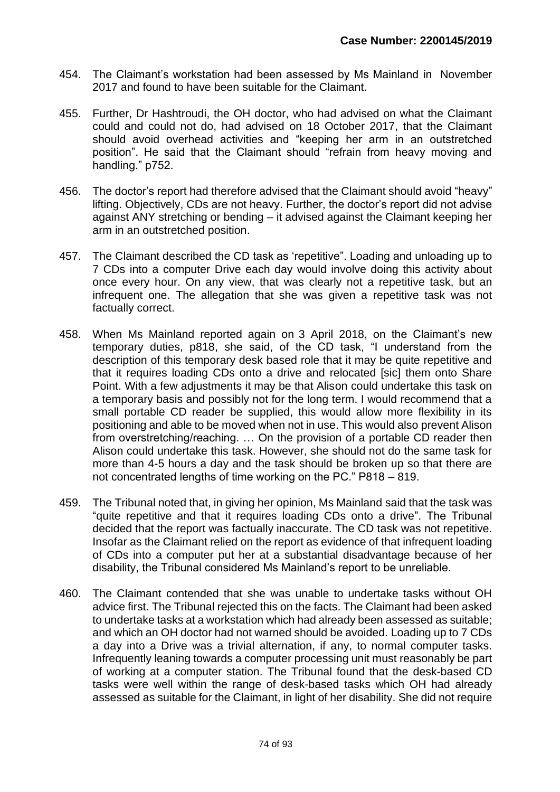- 454. The Claimant's workstation had been assessed by Ms Mainland in November 2017 and found to have been suitable for the Claimant.
- 455. Further, Dr Hashtroudi, the OH doctor, who had advised on what the Claimant could and could not do, had advised on 18 October 2017, that the Claimant should avoid overhead activities and "keeping her arm in an outstretched position". He said that the Claimant should "refrain from heavy moving and handling." p752.
- 456. The doctor's report had therefore advised that the Claimant should avoid "heavy" lifting. Objectively, CDs are not heavy. Further, the doctor's report did not advise against ANY stretching or bending – it advised against the Claimant keeping her arm in an outstretched position.
- 457. The Claimant described the CD task as 'repetitive". Loading and unloading up to 7 CDs into a computer Drive each day would involve doing this activity about once every hour. On any view, that was clearly not a repetitive task, but an infrequent one. The allegation that she was given a repetitive task was not factually correct.
- 458. When Ms Mainland reported again on 3 April 2018, on the Claimant's new temporary duties, p818, she said, of the CD task, "I understand from the description of this temporary desk based role that it may be quite repetitive and that it requires loading CDs onto a drive and relocated [sic] them onto Share Point. With a few adjustments it may be that Alison could undertake this task on a temporary basis and possibly not for the long term. I would recommend that a small portable CD reader be supplied, this would allow more flexibility in its positioning and able to be moved when not in use. This would also prevent Alison from overstretching/reaching. … On the provision of a portable CD reader then Alison could undertake this task. However, she should not do the same task for more than 4-5 hours a day and the task should be broken up so that there are not concentrated lengths of time working on the PC." P818 – 819.
- 459. The Tribunal noted that, in giving her opinion, Ms Mainland said that the task was "quite repetitive and that it requires loading CDs onto a drive". The Tribunal decided that the report was factually inaccurate. The CD task was not repetitive. Insofar as the Claimant relied on the report as evidence of that infrequent loading of CDs into a computer put her at a substantial disadvantage because of her disability, the Tribunal considered Ms Mainland's report to be unreliable.
- 460. The Claimant contended that she was unable to undertake tasks without OH advice first. The Tribunal rejected this on the facts. The Claimant had been asked to undertake tasks at a workstation which had already been assessed as suitable; and which an OH doctor had not warned should be avoided. Loading up to 7 CDs a day into a Drive was a trivial alternation, if any, to normal computer tasks. Infrequently leaning towards a computer processing unit must reasonably be part of working at a computer station. The Tribunal found that the desk-based CD tasks were well within the range of desk-based tasks which OH had already assessed as suitable for the Claimant, in light of her disability. She did not require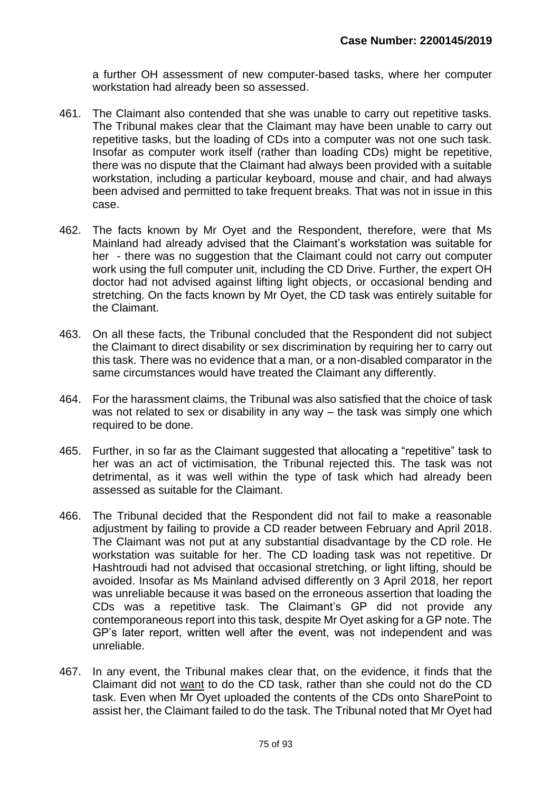a further OH assessment of new computer-based tasks, where her computer workstation had already been so assessed.

- 461. The Claimant also contended that she was unable to carry out repetitive tasks. The Tribunal makes clear that the Claimant may have been unable to carry out repetitive tasks, but the loading of CDs into a computer was not one such task. Insofar as computer work itself (rather than loading CDs) might be repetitive, there was no dispute that the Claimant had always been provided with a suitable workstation, including a particular keyboard, mouse and chair, and had always been advised and permitted to take frequent breaks. That was not in issue in this case.
- 462. The facts known by Mr Oyet and the Respondent, therefore, were that Ms Mainland had already advised that the Claimant's workstation was suitable for her - there was no suggestion that the Claimant could not carry out computer work using the full computer unit, including the CD Drive. Further, the expert OH doctor had not advised against lifting light objects, or occasional bending and stretching. On the facts known by Mr Oyet, the CD task was entirely suitable for the Claimant.
- 463. On all these facts, the Tribunal concluded that the Respondent did not subject the Claimant to direct disability or sex discrimination by requiring her to carry out this task. There was no evidence that a man, or a non-disabled comparator in the same circumstances would have treated the Claimant any differently.
- 464. For the harassment claims, the Tribunal was also satisfied that the choice of task was not related to sex or disability in any way – the task was simply one which required to be done.
- 465. Further, in so far as the Claimant suggested that allocating a "repetitive" task to her was an act of victimisation, the Tribunal rejected this. The task was not detrimental, as it was well within the type of task which had already been assessed as suitable for the Claimant.
- 466. The Tribunal decided that the Respondent did not fail to make a reasonable adjustment by failing to provide a CD reader between February and April 2018. The Claimant was not put at any substantial disadvantage by the CD role. He workstation was suitable for her. The CD loading task was not repetitive. Dr Hashtroudi had not advised that occasional stretching, or light lifting, should be avoided. Insofar as Ms Mainland advised differently on 3 April 2018, her report was unreliable because it was based on the erroneous assertion that loading the CDs was a repetitive task. The Claimant's GP did not provide any contemporaneous report into this task, despite Mr Oyet asking for a GP note. The GP's later report, written well after the event, was not independent and was unreliable.
- 467. In any event, the Tribunal makes clear that, on the evidence, it finds that the Claimant did not want to do the CD task, rather than she could not do the CD task. Even when Mr Oyet uploaded the contents of the CDs onto SharePoint to assist her, the Claimant failed to do the task. The Tribunal noted that Mr Oyet had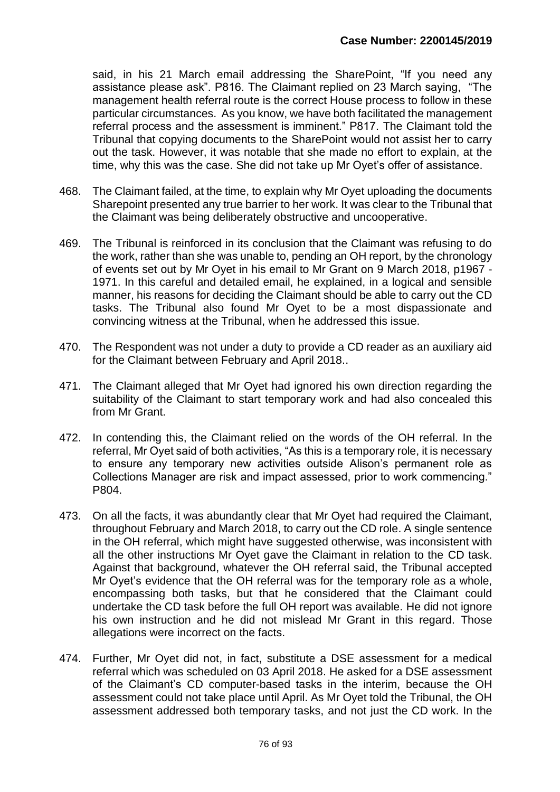said, in his 21 March email addressing the SharePoint, "If you need any assistance please ask". P816. The Claimant replied on 23 March saying, "The management health referral route is the correct House process to follow in these particular circumstances. As you know, we have both facilitated the management referral process and the assessment is imminent." P817. The Claimant told the Tribunal that copying documents to the SharePoint would not assist her to carry out the task. However, it was notable that she made no effort to explain, at the time, why this was the case. She did not take up Mr Oyet's offer of assistance.

- 468. The Claimant failed, at the time, to explain why Mr Oyet uploading the documents Sharepoint presented any true barrier to her work. It was clear to the Tribunal that the Claimant was being deliberately obstructive and uncooperative.
- 469. The Tribunal is reinforced in its conclusion that the Claimant was refusing to do the work, rather than she was unable to, pending an OH report, by the chronology of events set out by Mr Oyet in his email to Mr Grant on 9 March 2018, p1967 - 1971. In this careful and detailed email, he explained, in a logical and sensible manner, his reasons for deciding the Claimant should be able to carry out the CD tasks. The Tribunal also found Mr Oyet to be a most dispassionate and convincing witness at the Tribunal, when he addressed this issue.
- 470. The Respondent was not under a duty to provide a CD reader as an auxiliary aid for the Claimant between February and April 2018..
- 471. The Claimant alleged that Mr Oyet had ignored his own direction regarding the suitability of the Claimant to start temporary work and had also concealed this from Mr Grant.
- 472. In contending this, the Claimant relied on the words of the OH referral. In the referral, Mr Oyet said of both activities, "As this is a temporary role, it is necessary to ensure any temporary new activities outside Alison's permanent role as Collections Manager are risk and impact assessed, prior to work commencing." P804.
- 473. On all the facts, it was abundantly clear that Mr Oyet had required the Claimant, throughout February and March 2018, to carry out the CD role. A single sentence in the OH referral, which might have suggested otherwise, was inconsistent with all the other instructions Mr Oyet gave the Claimant in relation to the CD task. Against that background, whatever the OH referral said, the Tribunal accepted Mr Oyet's evidence that the OH referral was for the temporary role as a whole, encompassing both tasks, but that he considered that the Claimant could undertake the CD task before the full OH report was available. He did not ignore his own instruction and he did not mislead Mr Grant in this regard. Those allegations were incorrect on the facts.
- 474. Further, Mr Oyet did not, in fact, substitute a DSE assessment for a medical referral which was scheduled on 03 April 2018. He asked for a DSE assessment of the Claimant's CD computer-based tasks in the interim, because the OH assessment could not take place until April. As Mr Oyet told the Tribunal, the OH assessment addressed both temporary tasks, and not just the CD work. In the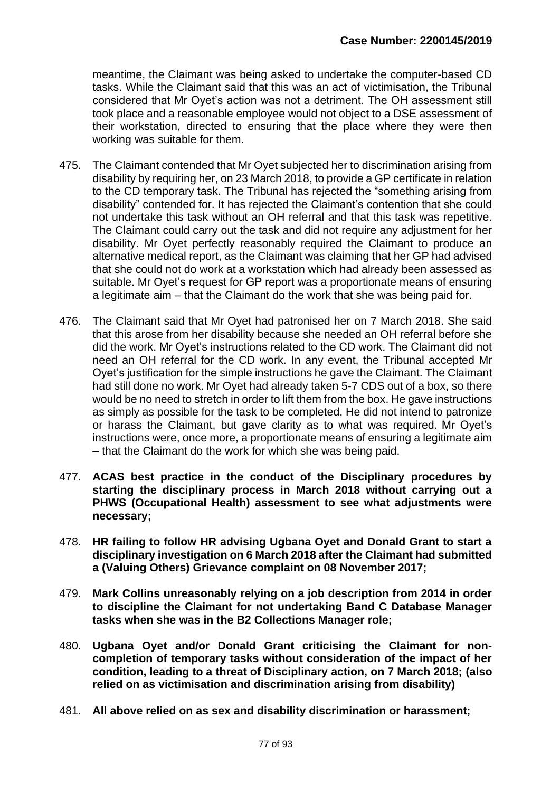meantime, the Claimant was being asked to undertake the computer-based CD tasks. While the Claimant said that this was an act of victimisation, the Tribunal considered that Mr Oyet's action was not a detriment. The OH assessment still took place and a reasonable employee would not object to a DSE assessment of their workstation, directed to ensuring that the place where they were then working was suitable for them.

- 475. The Claimant contended that Mr Oyet subjected her to discrimination arising from disability by requiring her, on 23 March 2018, to provide a GP certificate in relation to the CD temporary task. The Tribunal has rejected the "something arising from disability" contended for. It has rejected the Claimant's contention that she could not undertake this task without an OH referral and that this task was repetitive. The Claimant could carry out the task and did not require any adjustment for her disability. Mr Oyet perfectly reasonably required the Claimant to produce an alternative medical report, as the Claimant was claiming that her GP had advised that she could not do work at a workstation which had already been assessed as suitable. Mr Oyet's request for GP report was a proportionate means of ensuring a legitimate aim – that the Claimant do the work that she was being paid for.
- 476. The Claimant said that Mr Oyet had patronised her on 7 March 2018. She said that this arose from her disability because she needed an OH referral before she did the work. Mr Oyet's instructions related to the CD work. The Claimant did not need an OH referral for the CD work. In any event, the Tribunal accepted Mr Oyet's justification for the simple instructions he gave the Claimant. The Claimant had still done no work. Mr Oyet had already taken 5-7 CDS out of a box, so there would be no need to stretch in order to lift them from the box. He gave instructions as simply as possible for the task to be completed. He did not intend to patronize or harass the Claimant, but gave clarity as to what was required. Mr Oyet's instructions were, once more, a proportionate means of ensuring a legitimate aim – that the Claimant do the work for which she was being paid.
- 477. **ACAS best practice in the conduct of the Disciplinary procedures by starting the disciplinary process in March 2018 without carrying out a PHWS (Occupational Health) assessment to see what adjustments were necessary;**
- 478. **HR failing to follow HR advising Ugbana Oyet and Donald Grant to start a disciplinary investigation on 6 March 2018 after the Claimant had submitted a (Valuing Others) Grievance complaint on 08 November 2017;**
- 479. **Mark Collins unreasonably relying on a job description from 2014 in order to discipline the Claimant for not undertaking Band C Database Manager tasks when she was in the B2 Collections Manager role;**
- 480. **Ugbana Oyet and/or Donald Grant criticising the Claimant for noncompletion of temporary tasks without consideration of the impact of her condition, leading to a threat of Disciplinary action, on 7 March 2018; (also relied on as victimisation and discrimination arising from disability)**
- 481. **All above relied on as sex and disability discrimination or harassment;**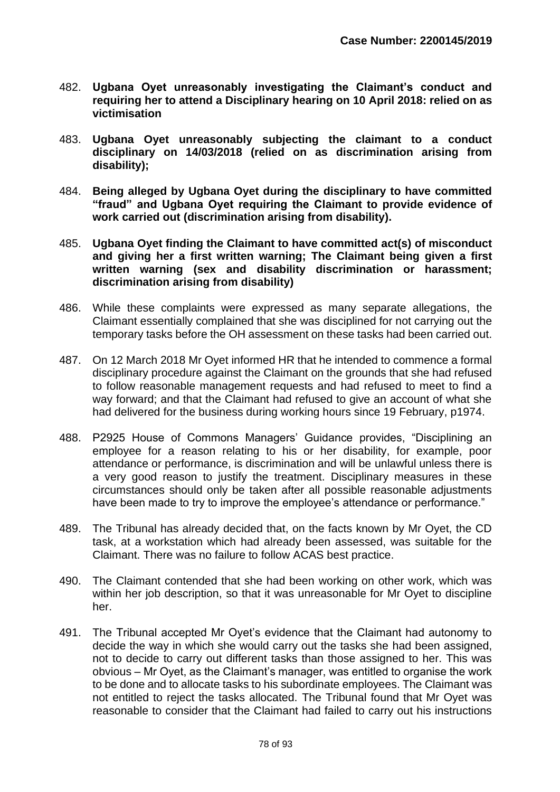- 482. **Ugbana Oyet unreasonably investigating the Claimant's conduct and requiring her to attend a Disciplinary hearing on 10 April 2018: relied on as victimisation**
- 483. **Ugbana Oyet unreasonably subjecting the claimant to a conduct disciplinary on 14/03/2018 (relied on as discrimination arising from disability);**
- 484. **Being alleged by Ugbana Oyet during the disciplinary to have committed "fraud" and Ugbana Oyet requiring the Claimant to provide evidence of work carried out (discrimination arising from disability).**
- 485. **Ugbana Oyet finding the Claimant to have committed act(s) of misconduct and giving her a first written warning; The Claimant being given a first written warning (sex and disability discrimination or harassment; discrimination arising from disability)**
- 486. While these complaints were expressed as many separate allegations, the Claimant essentially complained that she was disciplined for not carrying out the temporary tasks before the OH assessment on these tasks had been carried out.
- 487. On 12 March 2018 Mr Oyet informed HR that he intended to commence a formal disciplinary procedure against the Claimant on the grounds that she had refused to follow reasonable management requests and had refused to meet to find a way forward; and that the Claimant had refused to give an account of what she had delivered for the business during working hours since 19 February, p1974.
- 488. P2925 House of Commons Managers' Guidance provides, "Disciplining an employee for a reason relating to his or her disability, for example, poor attendance or performance, is discrimination and will be unlawful unless there is a very good reason to justify the treatment. Disciplinary measures in these circumstances should only be taken after all possible reasonable adjustments have been made to try to improve the employee's attendance or performance."
- 489. The Tribunal has already decided that, on the facts known by Mr Oyet, the CD task, at a workstation which had already been assessed, was suitable for the Claimant. There was no failure to follow ACAS best practice.
- 490. The Claimant contended that she had been working on other work, which was within her job description, so that it was unreasonable for Mr Oyet to discipline her.
- 491. The Tribunal accepted Mr Oyet's evidence that the Claimant had autonomy to decide the way in which she would carry out the tasks she had been assigned, not to decide to carry out different tasks than those assigned to her. This was obvious – Mr Oyet, as the Claimant's manager, was entitled to organise the work to be done and to allocate tasks to his subordinate employees. The Claimant was not entitled to reject the tasks allocated. The Tribunal found that Mr Oyet was reasonable to consider that the Claimant had failed to carry out his instructions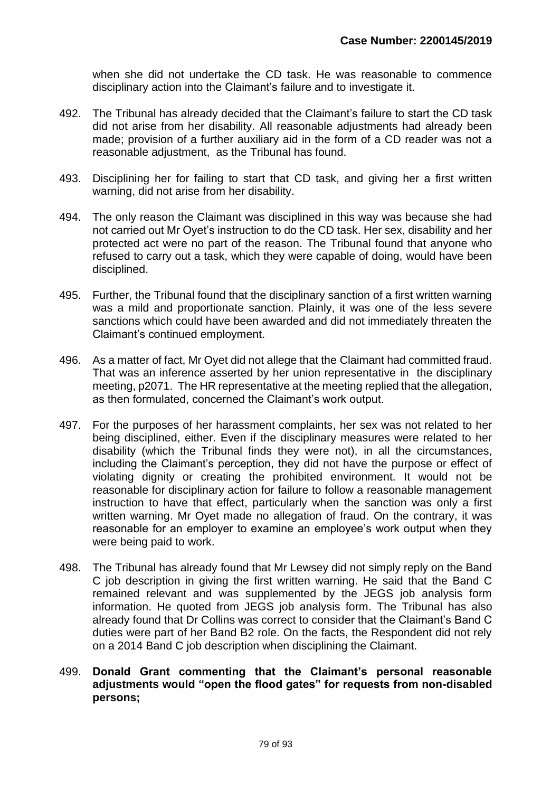when she did not undertake the CD task. He was reasonable to commence disciplinary action into the Claimant's failure and to investigate it.

- 492. The Tribunal has already decided that the Claimant's failure to start the CD task did not arise from her disability. All reasonable adjustments had already been made; provision of a further auxiliary aid in the form of a CD reader was not a reasonable adjustment, as the Tribunal has found.
- 493. Disciplining her for failing to start that CD task, and giving her a first written warning, did not arise from her disability.
- 494. The only reason the Claimant was disciplined in this way was because she had not carried out Mr Oyet's instruction to do the CD task. Her sex, disability and her protected act were no part of the reason. The Tribunal found that anyone who refused to carry out a task, which they were capable of doing, would have been disciplined.
- 495. Further, the Tribunal found that the disciplinary sanction of a first written warning was a mild and proportionate sanction. Plainly, it was one of the less severe sanctions which could have been awarded and did not immediately threaten the Claimant's continued employment.
- 496. As a matter of fact, Mr Oyet did not allege that the Claimant had committed fraud. That was an inference asserted by her union representative in the disciplinary meeting, p2071. The HR representative at the meeting replied that the allegation, as then formulated, concerned the Claimant's work output.
- 497. For the purposes of her harassment complaints, her sex was not related to her being disciplined, either. Even if the disciplinary measures were related to her disability (which the Tribunal finds they were not), in all the circumstances, including the Claimant's perception, they did not have the purpose or effect of violating dignity or creating the prohibited environment. It would not be reasonable for disciplinary action for failure to follow a reasonable management instruction to have that effect, particularly when the sanction was only a first written warning. Mr Oyet made no allegation of fraud. On the contrary, it was reasonable for an employer to examine an employee's work output when they were being paid to work.
- 498. The Tribunal has already found that Mr Lewsey did not simply reply on the Band C job description in giving the first written warning. He said that the Band C remained relevant and was supplemented by the JEGS job analysis form information. He quoted from JEGS job analysis form. The Tribunal has also already found that Dr Collins was correct to consider that the Claimant's Band C duties were part of her Band B2 role. On the facts, the Respondent did not rely on a 2014 Band C job description when disciplining the Claimant.
- 499. **Donald Grant commenting that the Claimant's personal reasonable adjustments would "open the flood gates" for requests from non-disabled persons;**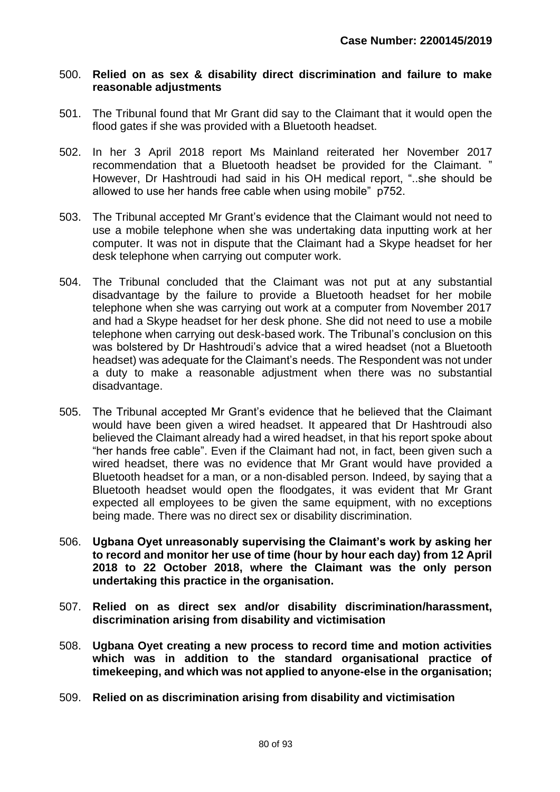### 500. **Relied on as sex & disability direct discrimination and failure to make reasonable adjustments**

- 501. The Tribunal found that Mr Grant did say to the Claimant that it would open the flood gates if she was provided with a Bluetooth headset.
- 502. In her 3 April 2018 report Ms Mainland reiterated her November 2017 recommendation that a Bluetooth headset be provided for the Claimant. " However, Dr Hashtroudi had said in his OH medical report, "..she should be allowed to use her hands free cable when using mobile" p752.
- 503. The Tribunal accepted Mr Grant's evidence that the Claimant would not need to use a mobile telephone when she was undertaking data inputting work at her computer. It was not in dispute that the Claimant had a Skype headset for her desk telephone when carrying out computer work.
- 504. The Tribunal concluded that the Claimant was not put at any substantial disadvantage by the failure to provide a Bluetooth headset for her mobile telephone when she was carrying out work at a computer from November 2017 and had a Skype headset for her desk phone. She did not need to use a mobile telephone when carrying out desk-based work. The Tribunal's conclusion on this was bolstered by Dr Hashtroudi's advice that a wired headset (not a Bluetooth headset) was adequate for the Claimant's needs. The Respondent was not under a duty to make a reasonable adjustment when there was no substantial disadvantage.
- 505. The Tribunal accepted Mr Grant's evidence that he believed that the Claimant would have been given a wired headset. It appeared that Dr Hashtroudi also believed the Claimant already had a wired headset, in that his report spoke about "her hands free cable". Even if the Claimant had not, in fact, been given such a wired headset, there was no evidence that Mr Grant would have provided a Bluetooth headset for a man, or a non-disabled person. Indeed, by saying that a Bluetooth headset would open the floodgates, it was evident that Mr Grant expected all employees to be given the same equipment, with no exceptions being made. There was no direct sex or disability discrimination.
- 506. **Ugbana Oyet unreasonably supervising the Claimant's work by asking her to record and monitor her use of time (hour by hour each day) from 12 April 2018 to 22 October 2018, where the Claimant was the only person undertaking this practice in the organisation.**
- 507. **Relied on as direct sex and/or disability discrimination/harassment, discrimination arising from disability and victimisation**
- 508. **Ugbana Oyet creating a new process to record time and motion activities which was in addition to the standard organisational practice of timekeeping, and which was not applied to anyone-else in the organisation;**
- 509. **Relied on as discrimination arising from disability and victimisation**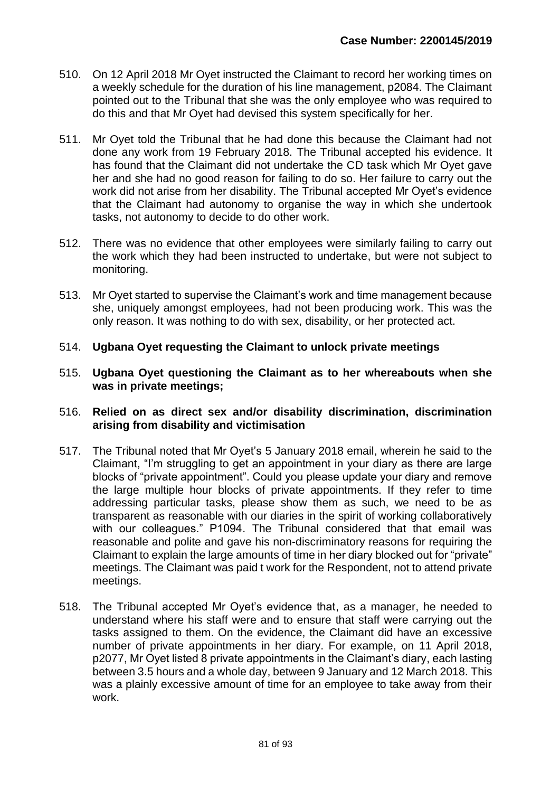- 510. On 12 April 2018 Mr Oyet instructed the Claimant to record her working times on a weekly schedule for the duration of his line management, p2084. The Claimant pointed out to the Tribunal that she was the only employee who was required to do this and that Mr Oyet had devised this system specifically for her.
- 511. Mr Oyet told the Tribunal that he had done this because the Claimant had not done any work from 19 February 2018. The Tribunal accepted his evidence. It has found that the Claimant did not undertake the CD task which Mr Oyet gave her and she had no good reason for failing to do so. Her failure to carry out the work did not arise from her disability. The Tribunal accepted Mr Oyet's evidence that the Claimant had autonomy to organise the way in which she undertook tasks, not autonomy to decide to do other work.
- 512. There was no evidence that other employees were similarly failing to carry out the work which they had been instructed to undertake, but were not subject to monitoring.
- 513. Mr Oyet started to supervise the Claimant's work and time management because she, uniquely amongst employees, had not been producing work. This was the only reason. It was nothing to do with sex, disability, or her protected act.

# 514. **Ugbana Oyet requesting the Claimant to unlock private meetings**

515. **Ugbana Oyet questioning the Claimant as to her whereabouts when she was in private meetings;**

### 516. **Relied on as direct sex and/or disability discrimination, discrimination arising from disability and victimisation**

- 517. The Tribunal noted that Mr Oyet's 5 January 2018 email, wherein he said to the Claimant, "I'm struggling to get an appointment in your diary as there are large blocks of "private appointment". Could you please update your diary and remove the large multiple hour blocks of private appointments. If they refer to time addressing particular tasks, please show them as such, we need to be as transparent as reasonable with our diaries in the spirit of working collaboratively with our colleagues." P1094. The Tribunal considered that that email was reasonable and polite and gave his non-discriminatory reasons for requiring the Claimant to explain the large amounts of time in her diary blocked out for "private" meetings. The Claimant was paid t work for the Respondent, not to attend private meetings.
- 518. The Tribunal accepted Mr Oyet's evidence that, as a manager, he needed to understand where his staff were and to ensure that staff were carrying out the tasks assigned to them. On the evidence, the Claimant did have an excessive number of private appointments in her diary. For example, on 11 April 2018, p2077, Mr Oyet listed 8 private appointments in the Claimant's diary, each lasting between 3.5 hours and a whole day, between 9 January and 12 March 2018. This was a plainly excessive amount of time for an employee to take away from their work.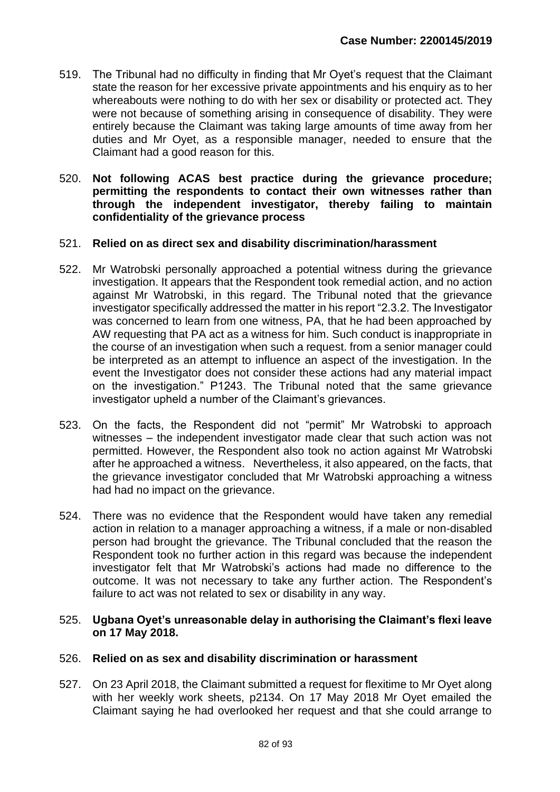- 519. The Tribunal had no difficulty in finding that Mr Oyet's request that the Claimant state the reason for her excessive private appointments and his enquiry as to her whereabouts were nothing to do with her sex or disability or protected act. They were not because of something arising in consequence of disability. They were entirely because the Claimant was taking large amounts of time away from her duties and Mr Oyet, as a responsible manager, needed to ensure that the Claimant had a good reason for this.
- 520. **Not following ACAS best practice during the grievance procedure; permitting the respondents to contact their own witnesses rather than through the independent investigator, thereby failing to maintain confidentiality of the grievance process**

### 521. **Relied on as direct sex and disability discrimination/harassment**

- 522. Mr Watrobski personally approached a potential witness during the grievance investigation. It appears that the Respondent took remedial action, and no action against Mr Watrobski, in this regard. The Tribunal noted that the grievance investigator specifically addressed the matter in his report "2.3.2. The Investigator was concerned to learn from one witness, PA, that he had been approached by AW requesting that PA act as a witness for him. Such conduct is inappropriate in the course of an investigation when such a request. from a senior manager could be interpreted as an attempt to influence an aspect of the investigation. In the event the Investigator does not consider these actions had any material impact on the investigation." P1243. The Tribunal noted that the same grievance investigator upheld a number of the Claimant's grievances.
- 523. On the facts, the Respondent did not "permit" Mr Watrobski to approach witnesses – the independent investigator made clear that such action was not permitted. However, the Respondent also took no action against Mr Watrobski after he approached a witness. Nevertheless, it also appeared, on the facts, that the grievance investigator concluded that Mr Watrobski approaching a witness had had no impact on the grievance.
- 524. There was no evidence that the Respondent would have taken any remedial action in relation to a manager approaching a witness, if a male or non-disabled person had brought the grievance. The Tribunal concluded that the reason the Respondent took no further action in this regard was because the independent investigator felt that Mr Watrobski's actions had made no difference to the outcome. It was not necessary to take any further action. The Respondent's failure to act was not related to sex or disability in any way.

# 525. **Ugbana Oyet's unreasonable delay in authorising the Claimant's flexi leave on 17 May 2018.**

# 526. **Relied on as sex and disability discrimination or harassment**

527. On 23 April 2018, the Claimant submitted a request for flexitime to Mr Oyet along with her weekly work sheets, p2134. On 17 May 2018 Mr Oyet emailed the Claimant saying he had overlooked her request and that she could arrange to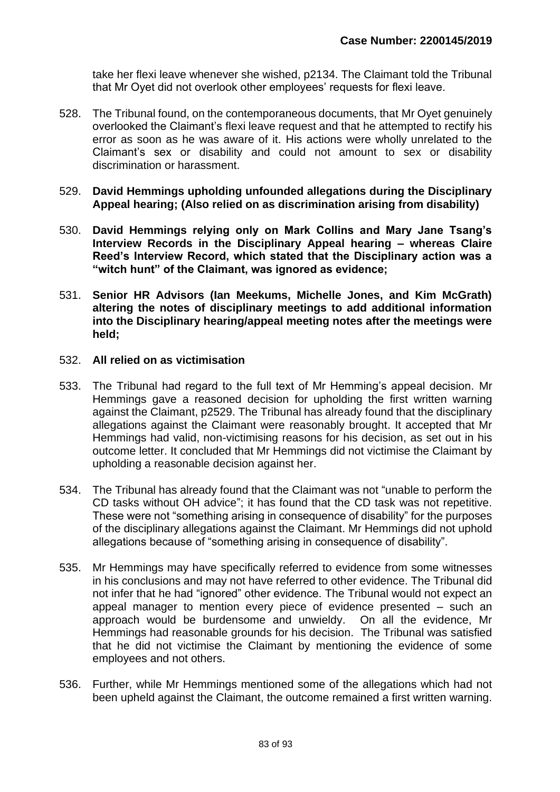take her flexi leave whenever she wished, p2134. The Claimant told the Tribunal that Mr Oyet did not overlook other employees' requests for flexi leave.

- 528. The Tribunal found, on the contemporaneous documents, that Mr Oyet genuinely overlooked the Claimant's flexi leave request and that he attempted to rectify his error as soon as he was aware of it. His actions were wholly unrelated to the Claimant's sex or disability and could not amount to sex or disability discrimination or harassment.
- 529. **David Hemmings upholding unfounded allegations during the Disciplinary Appeal hearing; (Also relied on as discrimination arising from disability)**
- 530. **David Hemmings relying only on Mark Collins and Mary Jane Tsang's Interview Records in the Disciplinary Appeal hearing – whereas Claire Reed's Interview Record, which stated that the Disciplinary action was a "witch hunt" of the Claimant, was ignored as evidence;**
- 531. **Senior HR Advisors (Ian Meekums, Michelle Jones, and Kim McGrath) altering the notes of disciplinary meetings to add additional information into the Disciplinary hearing/appeal meeting notes after the meetings were held;**

### 532. **All relied on as victimisation**

- 533. The Tribunal had regard to the full text of Mr Hemming's appeal decision. Mr Hemmings gave a reasoned decision for upholding the first written warning against the Claimant, p2529. The Tribunal has already found that the disciplinary allegations against the Claimant were reasonably brought. It accepted that Mr Hemmings had valid, non-victimising reasons for his decision, as set out in his outcome letter. It concluded that Mr Hemmings did not victimise the Claimant by upholding a reasonable decision against her.
- 534. The Tribunal has already found that the Claimant was not "unable to perform the CD tasks without OH advice"; it has found that the CD task was not repetitive. These were not "something arising in consequence of disability" for the purposes of the disciplinary allegations against the Claimant. Mr Hemmings did not uphold allegations because of "something arising in consequence of disability".
- 535. Mr Hemmings may have specifically referred to evidence from some witnesses in his conclusions and may not have referred to other evidence. The Tribunal did not infer that he had "ignored" other evidence. The Tribunal would not expect an appeal manager to mention every piece of evidence presented – such an approach would be burdensome and unwieldy. On all the evidence, Mr Hemmings had reasonable grounds for his decision. The Tribunal was satisfied that he did not victimise the Claimant by mentioning the evidence of some employees and not others.
- 536. Further, while Mr Hemmings mentioned some of the allegations which had not been upheld against the Claimant, the outcome remained a first written warning.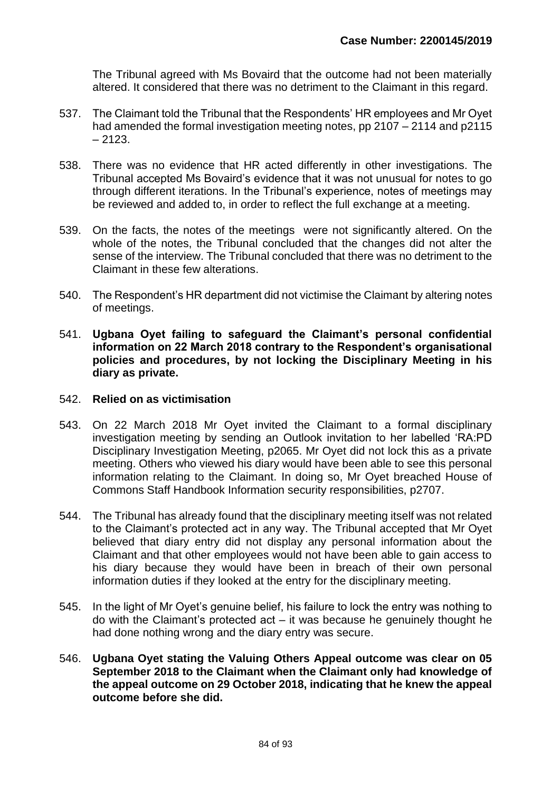The Tribunal agreed with Ms Bovaird that the outcome had not been materially altered. It considered that there was no detriment to the Claimant in this regard.

- 537. The Claimant told the Tribunal that the Respondents' HR employees and Mr Oyet had amended the formal investigation meeting notes, pp 2107 – 2114 and p2115  $-2123.$
- 538. There was no evidence that HR acted differently in other investigations. The Tribunal accepted Ms Bovaird's evidence that it was not unusual for notes to go through different iterations. In the Tribunal's experience, notes of meetings may be reviewed and added to, in order to reflect the full exchange at a meeting.
- 539. On the facts, the notes of the meetings were not significantly altered. On the whole of the notes, the Tribunal concluded that the changes did not alter the sense of the interview. The Tribunal concluded that there was no detriment to the Claimant in these few alterations.
- 540. The Respondent's HR department did not victimise the Claimant by altering notes of meetings.
- 541. **Ugbana Oyet failing to safeguard the Claimant's personal confidential information on 22 March 2018 contrary to the Respondent's organisational policies and procedures, by not locking the Disciplinary Meeting in his diary as private.**

#### 542. **Relied on as victimisation**

- 543. On 22 March 2018 Mr Oyet invited the Claimant to a formal disciplinary investigation meeting by sending an Outlook invitation to her labelled 'RA:PD Disciplinary Investigation Meeting, p2065. Mr Oyet did not lock this as a private meeting. Others who viewed his diary would have been able to see this personal information relating to the Claimant. In doing so, Mr Oyet breached House of Commons Staff Handbook Information security responsibilities, p2707.
- 544. The Tribunal has already found that the disciplinary meeting itself was not related to the Claimant's protected act in any way. The Tribunal accepted that Mr Oyet believed that diary entry did not display any personal information about the Claimant and that other employees would not have been able to gain access to his diary because they would have been in breach of their own personal information duties if they looked at the entry for the disciplinary meeting.
- 545. In the light of Mr Oyet's genuine belief, his failure to lock the entry was nothing to do with the Claimant's protected act – it was because he genuinely thought he had done nothing wrong and the diary entry was secure.
- 546. **Ugbana Oyet stating the Valuing Others Appeal outcome was clear on 05 September 2018 to the Claimant when the Claimant only had knowledge of the appeal outcome on 29 October 2018, indicating that he knew the appeal outcome before she did.**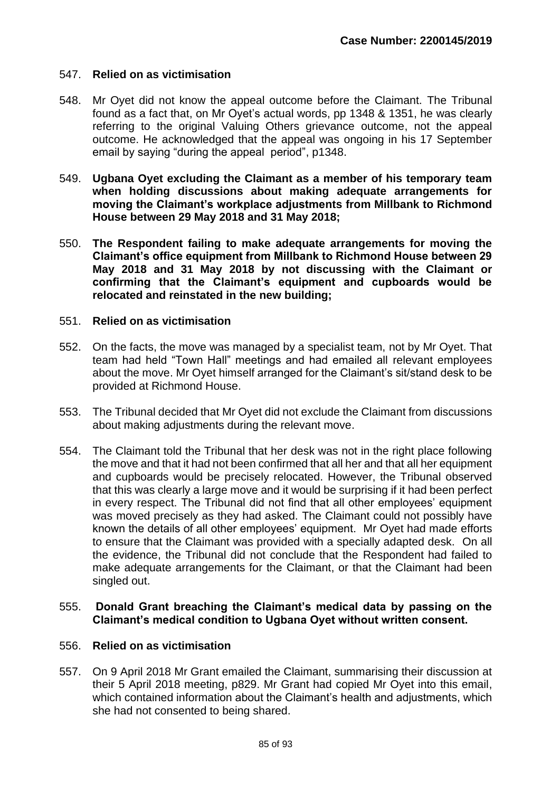# 547. **Relied on as victimisation**

- 548. Mr Oyet did not know the appeal outcome before the Claimant. The Tribunal found as a fact that, on Mr Oyet's actual words, pp 1348 & 1351, he was clearly referring to the original Valuing Others grievance outcome, not the appeal outcome. He acknowledged that the appeal was ongoing in his 17 September email by saying "during the appeal period", p1348.
- 549. **Ugbana Oyet excluding the Claimant as a member of his temporary team when holding discussions about making adequate arrangements for moving the Claimant's workplace adjustments from Millbank to Richmond House between 29 May 2018 and 31 May 2018;**
- 550. **The Respondent failing to make adequate arrangements for moving the Claimant's office equipment from Millbank to Richmond House between 29 May 2018 and 31 May 2018 by not discussing with the Claimant or confirming that the Claimant's equipment and cupboards would be relocated and reinstated in the new building;**

### 551. **Relied on as victimisation**

- 552. On the facts, the move was managed by a specialist team, not by Mr Oyet. That team had held "Town Hall" meetings and had emailed all relevant employees about the move. Mr Oyet himself arranged for the Claimant's sit/stand desk to be provided at Richmond House.
- 553. The Tribunal decided that Mr Oyet did not exclude the Claimant from discussions about making adjustments during the relevant move.
- 554. The Claimant told the Tribunal that her desk was not in the right place following the move and that it had not been confirmed that all her and that all her equipment and cupboards would be precisely relocated. However, the Tribunal observed that this was clearly a large move and it would be surprising if it had been perfect in every respect. The Tribunal did not find that all other employees' equipment was moved precisely as they had asked. The Claimant could not possibly have known the details of all other employees' equipment. Mr Oyet had made efforts to ensure that the Claimant was provided with a specially adapted desk. On all the evidence, the Tribunal did not conclude that the Respondent had failed to make adequate arrangements for the Claimant, or that the Claimant had been singled out.

### 555. **Donald Grant breaching the Claimant's medical data by passing on the Claimant's medical condition to Ugbana Oyet without written consent.**

# 556. **Relied on as victimisation**

557. On 9 April 2018 Mr Grant emailed the Claimant, summarising their discussion at their 5 April 2018 meeting, p829. Mr Grant had copied Mr Oyet into this email, which contained information about the Claimant's health and adjustments, which she had not consented to being shared.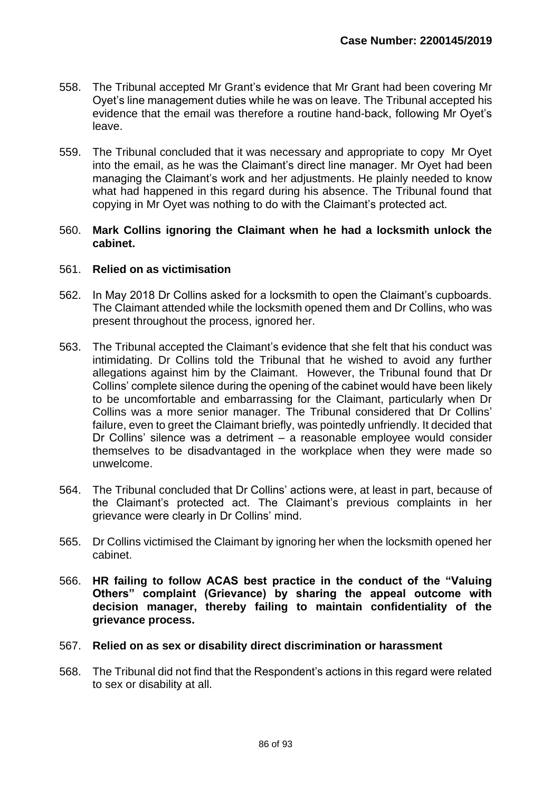- 558. The Tribunal accepted Mr Grant's evidence that Mr Grant had been covering Mr Oyet's line management duties while he was on leave. The Tribunal accepted his evidence that the email was therefore a routine hand-back, following Mr Oyet's leave.
- 559. The Tribunal concluded that it was necessary and appropriate to copy Mr Oyet into the email, as he was the Claimant's direct line manager. Mr Oyet had been managing the Claimant's work and her adjustments. He plainly needed to know what had happened in this regard during his absence. The Tribunal found that copying in Mr Oyet was nothing to do with the Claimant's protected act.

### 560. **Mark Collins ignoring the Claimant when he had a locksmith unlock the cabinet.**

# 561. **Relied on as victimisation**

- 562. In May 2018 Dr Collins asked for a locksmith to open the Claimant's cupboards. The Claimant attended while the locksmith opened them and Dr Collins, who was present throughout the process, ignored her.
- 563. The Tribunal accepted the Claimant's evidence that she felt that his conduct was intimidating. Dr Collins told the Tribunal that he wished to avoid any further allegations against him by the Claimant. However, the Tribunal found that Dr Collins' complete silence during the opening of the cabinet would have been likely to be uncomfortable and embarrassing for the Claimant, particularly when Dr Collins was a more senior manager. The Tribunal considered that Dr Collins' failure, even to greet the Claimant briefly, was pointedly unfriendly. It decided that Dr Collins' silence was a detriment – a reasonable employee would consider themselves to be disadvantaged in the workplace when they were made so unwelcome.
- 564. The Tribunal concluded that Dr Collins' actions were, at least in part, because of the Claimant's protected act. The Claimant's previous complaints in her grievance were clearly in Dr Collins' mind.
- 565. Dr Collins victimised the Claimant by ignoring her when the locksmith opened her cabinet.
- 566. **HR failing to follow ACAS best practice in the conduct of the "Valuing Others" complaint (Grievance) by sharing the appeal outcome with decision manager, thereby failing to maintain confidentiality of the grievance process.**

# 567. **Relied on as sex or disability direct discrimination or harassment**

568. The Tribunal did not find that the Respondent's actions in this regard were related to sex or disability at all.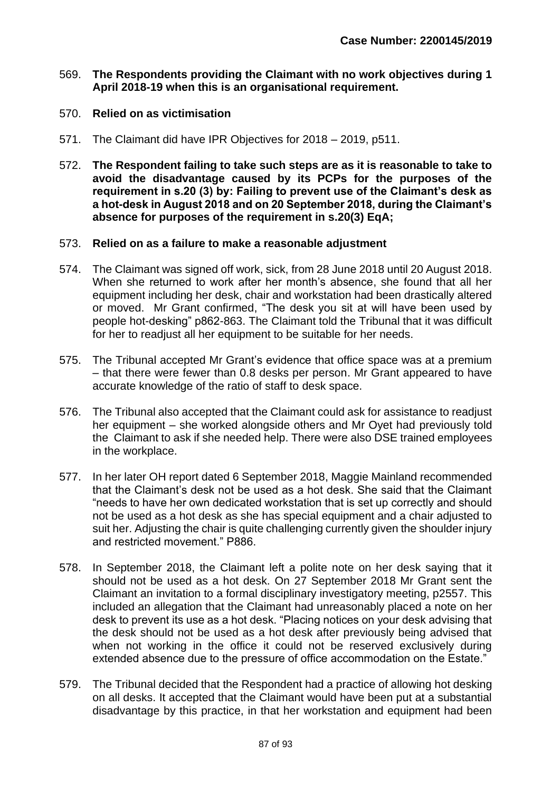- 569. **The Respondents providing the Claimant with no work objectives during 1 April 2018-19 when this is an organisational requirement.**
- 570. **Relied on as victimisation**
- 571. The Claimant did have IPR Objectives for 2018 2019, p511.
- 572. **The Respondent failing to take such steps are as it is reasonable to take to avoid the disadvantage caused by its PCPs for the purposes of the requirement in s.20 (3) by: Failing to prevent use of the Claimant's desk as a hot-desk in August 2018 and on 20 September 2018, during the Claimant's absence for purposes of the requirement in s.20(3) EqA;**

### 573. **Relied on as a failure to make a reasonable adjustment**

- 574. The Claimant was signed off work, sick, from 28 June 2018 until 20 August 2018. When she returned to work after her month's absence, she found that all her equipment including her desk, chair and workstation had been drastically altered or moved. Mr Grant confirmed, "The desk you sit at will have been used by people hot-desking" p862-863. The Claimant told the Tribunal that it was difficult for her to readjust all her equipment to be suitable for her needs.
- 575. The Tribunal accepted Mr Grant's evidence that office space was at a premium – that there were fewer than 0.8 desks per person. Mr Grant appeared to have accurate knowledge of the ratio of staff to desk space.
- 576. The Tribunal also accepted that the Claimant could ask for assistance to readjust her equipment – she worked alongside others and Mr Oyet had previously told the Claimant to ask if she needed help. There were also DSE trained employees in the workplace.
- 577. In her later OH report dated 6 September 2018, Maggie Mainland recommended that the Claimant's desk not be used as a hot desk. She said that the Claimant "needs to have her own dedicated workstation that is set up correctly and should not be used as a hot desk as she has special equipment and a chair adjusted to suit her. Adjusting the chair is quite challenging currently given the shoulder injury and restricted movement." P886
- 578. In September 2018, the Claimant left a polite note on her desk saying that it should not be used as a hot desk. On 27 September 2018 Mr Grant sent the Claimant an invitation to a formal disciplinary investigatory meeting, p2557. This included an allegation that the Claimant had unreasonably placed a note on her desk to prevent its use as a hot desk. "Placing notices on your desk advising that the desk should not be used as a hot desk after previously being advised that when not working in the office it could not be reserved exclusively during extended absence due to the pressure of office accommodation on the Estate."
- 579. The Tribunal decided that the Respondent had a practice of allowing hot desking on all desks. It accepted that the Claimant would have been put at a substantial disadvantage by this practice, in that her workstation and equipment had been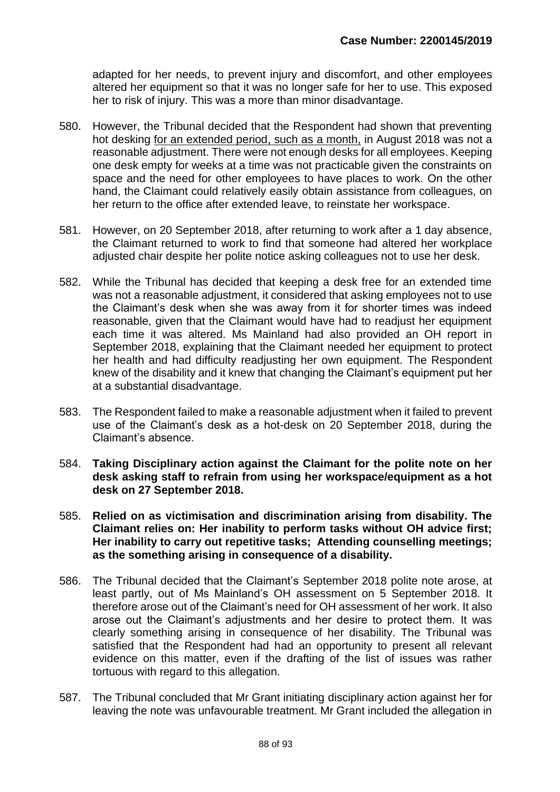adapted for her needs, to prevent injury and discomfort, and other employees altered her equipment so that it was no longer safe for her to use. This exposed her to risk of injury. This was a more than minor disadvantage.

- 580. However, the Tribunal decided that the Respondent had shown that preventing hot desking for an extended period, such as a month, in August 2018 was not a reasonable adjustment. There were not enough desks for all employees. Keeping one desk empty for weeks at a time was not practicable given the constraints on space and the need for other employees to have places to work. On the other hand, the Claimant could relatively easily obtain assistance from colleagues, on her return to the office after extended leave, to reinstate her workspace.
- 581. However, on 20 September 2018, after returning to work after a 1 day absence, the Claimant returned to work to find that someone had altered her workplace adjusted chair despite her polite notice asking colleagues not to use her desk.
- 582. While the Tribunal has decided that keeping a desk free for an extended time was not a reasonable adjustment, it considered that asking employees not to use the Claimant's desk when she was away from it for shorter times was indeed reasonable, given that the Claimant would have had to readjust her equipment each time it was altered. Ms Mainland had also provided an OH report in September 2018, explaining that the Claimant needed her equipment to protect her health and had difficulty readjusting her own equipment. The Respondent knew of the disability and it knew that changing the Claimant's equipment put her at a substantial disadvantage.
- 583. The Respondent failed to make a reasonable adjustment when it failed to prevent use of the Claimant's desk as a hot-desk on 20 September 2018, during the Claimant's absence.
- 584. **Taking Disciplinary action against the Claimant for the polite note on her desk asking staff to refrain from using her workspace/equipment as a hot desk on 27 September 2018.**
- 585. **Relied on as victimisation and discrimination arising from disability. The Claimant relies on: Her inability to perform tasks without OH advice first; Her inability to carry out repetitive tasks; Attending counselling meetings; as the something arising in consequence of a disability.**
- 586. The Tribunal decided that the Claimant's September 2018 polite note arose, at least partly, out of Ms Mainland's OH assessment on 5 September 2018. It therefore arose out of the Claimant's need for OH assessment of her work. It also arose out the Claimant's adjustments and her desire to protect them. It was clearly something arising in consequence of her disability. The Tribunal was satisfied that the Respondent had had an opportunity to present all relevant evidence on this matter, even if the drafting of the list of issues was rather tortuous with regard to this allegation.
- 587. The Tribunal concluded that Mr Grant initiating disciplinary action against her for leaving the note was unfavourable treatment. Mr Grant included the allegation in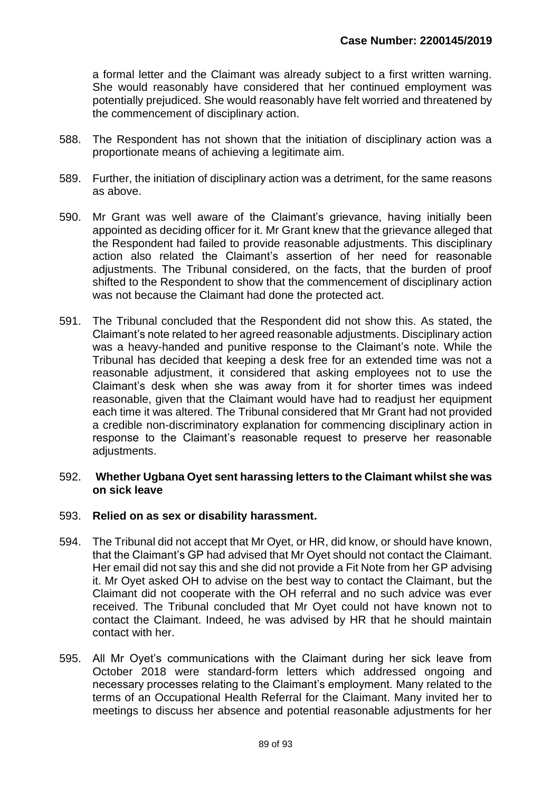a formal letter and the Claimant was already subject to a first written warning. She would reasonably have considered that her continued employment was potentially prejudiced. She would reasonably have felt worried and threatened by the commencement of disciplinary action.

- 588. The Respondent has not shown that the initiation of disciplinary action was a proportionate means of achieving a legitimate aim.
- 589. Further, the initiation of disciplinary action was a detriment, for the same reasons as above.
- 590. Mr Grant was well aware of the Claimant's grievance, having initially been appointed as deciding officer for it. Mr Grant knew that the grievance alleged that the Respondent had failed to provide reasonable adjustments. This disciplinary action also related the Claimant's assertion of her need for reasonable adjustments. The Tribunal considered, on the facts, that the burden of proof shifted to the Respondent to show that the commencement of disciplinary action was not because the Claimant had done the protected act.
- 591. The Tribunal concluded that the Respondent did not show this. As stated, the Claimant's note related to her agreed reasonable adjustments. Disciplinary action was a heavy-handed and punitive response to the Claimant's note. While the Tribunal has decided that keeping a desk free for an extended time was not a reasonable adjustment, it considered that asking employees not to use the Claimant's desk when she was away from it for shorter times was indeed reasonable, given that the Claimant would have had to readjust her equipment each time it was altered. The Tribunal considered that Mr Grant had not provided a credible non-discriminatory explanation for commencing disciplinary action in response to the Claimant's reasonable request to preserve her reasonable adiustments.

### 592. **Whether Ugbana Oyet sent harassing letters to the Claimant whilst she was on sick leave**

### 593. **Relied on as sex or disability harassment.**

- 594. The Tribunal did not accept that Mr Oyet, or HR, did know, or should have known, that the Claimant's GP had advised that Mr Oyet should not contact the Claimant. Her email did not say this and she did not provide a Fit Note from her GP advising it. Mr Oyet asked OH to advise on the best way to contact the Claimant, but the Claimant did not cooperate with the OH referral and no such advice was ever received. The Tribunal concluded that Mr Oyet could not have known not to contact the Claimant. Indeed, he was advised by HR that he should maintain contact with her.
- 595. All Mr Oyet's communications with the Claimant during her sick leave from October 2018 were standard-form letters which addressed ongoing and necessary processes relating to the Claimant's employment. Many related to the terms of an Occupational Health Referral for the Claimant. Many invited her to meetings to discuss her absence and potential reasonable adjustments for her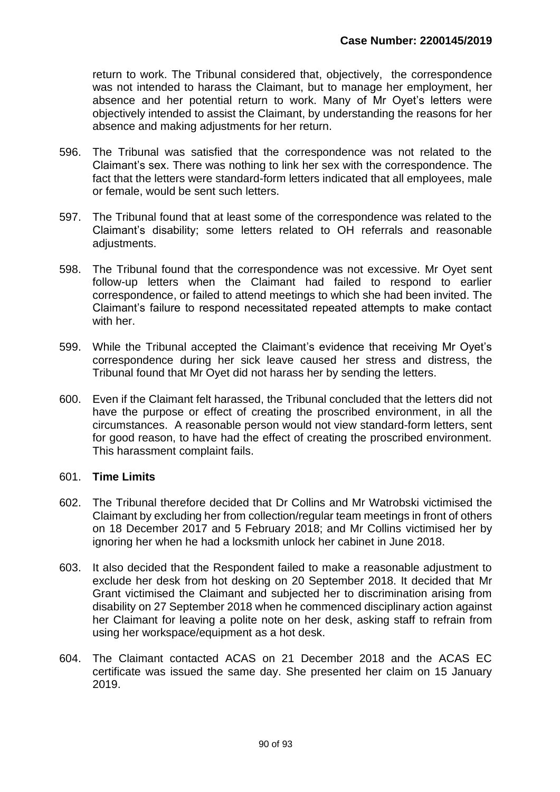return to work. The Tribunal considered that, objectively, the correspondence was not intended to harass the Claimant, but to manage her employment, her absence and her potential return to work. Many of Mr Oyet's letters were objectively intended to assist the Claimant, by understanding the reasons for her absence and making adjustments for her return.

- 596. The Tribunal was satisfied that the correspondence was not related to the Claimant's sex. There was nothing to link her sex with the correspondence. The fact that the letters were standard-form letters indicated that all employees, male or female, would be sent such letters.
- 597. The Tribunal found that at least some of the correspondence was related to the Claimant's disability; some letters related to OH referrals and reasonable adiustments.
- 598. The Tribunal found that the correspondence was not excessive. Mr Oyet sent follow-up letters when the Claimant had failed to respond to earlier correspondence, or failed to attend meetings to which she had been invited. The Claimant's failure to respond necessitated repeated attempts to make contact with her.
- 599. While the Tribunal accepted the Claimant's evidence that receiving Mr Oyet's correspondence during her sick leave caused her stress and distress, the Tribunal found that Mr Oyet did not harass her by sending the letters.
- 600. Even if the Claimant felt harassed, the Tribunal concluded that the letters did not have the purpose or effect of creating the proscribed environment, in all the circumstances. A reasonable person would not view standard-form letters, sent for good reason, to have had the effect of creating the proscribed environment. This harassment complaint fails.

# 601. **Time Limits**

- 602. The Tribunal therefore decided that Dr Collins and Mr Watrobski victimised the Claimant by excluding her from collection/regular team meetings in front of others on 18 December 2017 and 5 February 2018; and Mr Collins victimised her by ignoring her when he had a locksmith unlock her cabinet in June 2018.
- 603. It also decided that the Respondent failed to make a reasonable adjustment to exclude her desk from hot desking on 20 September 2018. It decided that Mr Grant victimised the Claimant and subjected her to discrimination arising from disability on 27 September 2018 when he commenced disciplinary action against her Claimant for leaving a polite note on her desk, asking staff to refrain from using her workspace/equipment as a hot desk.
- 604. The Claimant contacted ACAS on 21 December 2018 and the ACAS EC certificate was issued the same day. She presented her claim on 15 January 2019.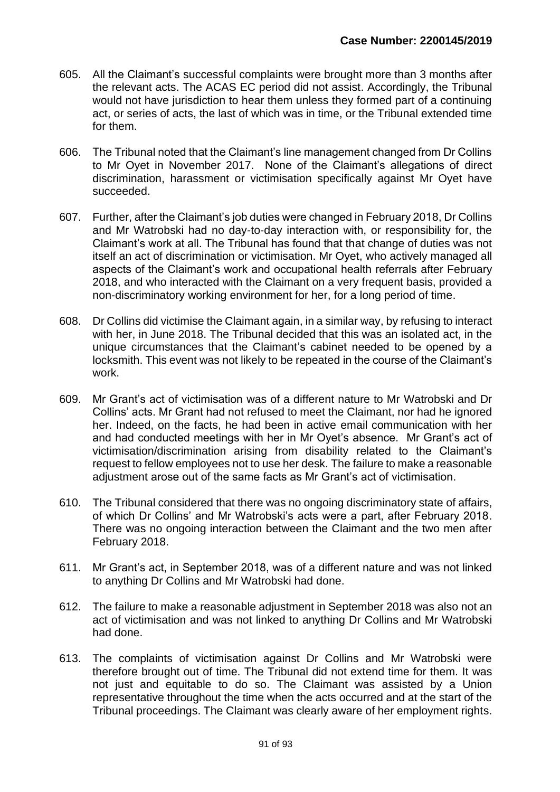- 605. All the Claimant's successful complaints were brought more than 3 months after the relevant acts. The ACAS EC period did not assist. Accordingly, the Tribunal would not have jurisdiction to hear them unless they formed part of a continuing act, or series of acts, the last of which was in time, or the Tribunal extended time for them.
- 606. The Tribunal noted that the Claimant's line management changed from Dr Collins to Mr Oyet in November 2017. None of the Claimant's allegations of direct discrimination, harassment or victimisation specifically against Mr Oyet have succeeded.
- 607. Further, after the Claimant's job duties were changed in February 2018, Dr Collins and Mr Watrobski had no day-to-day interaction with, or responsibility for, the Claimant's work at all. The Tribunal has found that that change of duties was not itself an act of discrimination or victimisation. Mr Oyet, who actively managed all aspects of the Claimant's work and occupational health referrals after February 2018, and who interacted with the Claimant on a very frequent basis, provided a non-discriminatory working environment for her, for a long period of time.
- 608. Dr Collins did victimise the Claimant again, in a similar way, by refusing to interact with her, in June 2018. The Tribunal decided that this was an isolated act, in the unique circumstances that the Claimant's cabinet needed to be opened by a locksmith. This event was not likely to be repeated in the course of the Claimant's work.
- 609. Mr Grant's act of victimisation was of a different nature to Mr Watrobski and Dr Collins' acts. Mr Grant had not refused to meet the Claimant, nor had he ignored her. Indeed, on the facts, he had been in active email communication with her and had conducted meetings with her in Mr Oyet's absence. Mr Grant's act of victimisation/discrimination arising from disability related to the Claimant's request to fellow employees not to use her desk. The failure to make a reasonable adjustment arose out of the same facts as Mr Grant's act of victimisation.
- 610. The Tribunal considered that there was no ongoing discriminatory state of affairs, of which Dr Collins' and Mr Watrobski's acts were a part, after February 2018. There was no ongoing interaction between the Claimant and the two men after February 2018.
- 611. Mr Grant's act, in September 2018, was of a different nature and was not linked to anything Dr Collins and Mr Watrobski had done.
- 612. The failure to make a reasonable adjustment in September 2018 was also not an act of victimisation and was not linked to anything Dr Collins and Mr Watrobski had done.
- 613. The complaints of victimisation against Dr Collins and Mr Watrobski were therefore brought out of time. The Tribunal did not extend time for them. It was not just and equitable to do so. The Claimant was assisted by a Union representative throughout the time when the acts occurred and at the start of the Tribunal proceedings. The Claimant was clearly aware of her employment rights.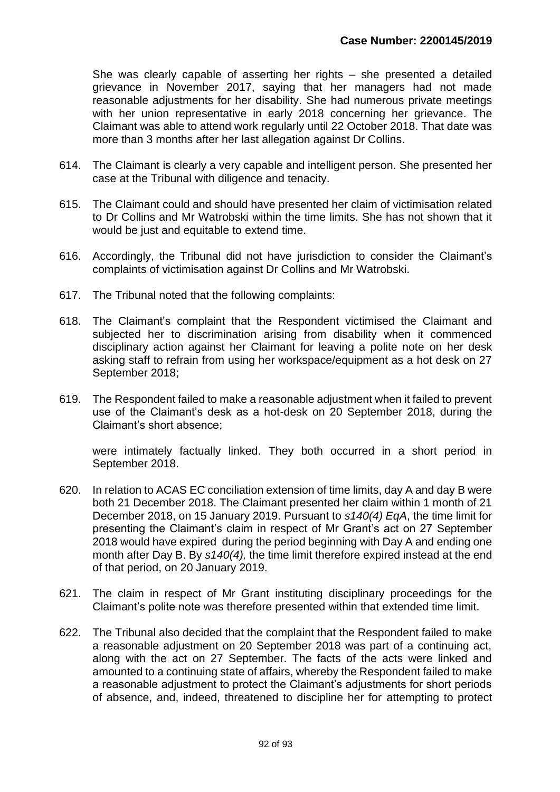She was clearly capable of asserting her rights – she presented a detailed grievance in November 2017, saying that her managers had not made reasonable adjustments for her disability. She had numerous private meetings with her union representative in early 2018 concerning her grievance. The Claimant was able to attend work regularly until 22 October 2018. That date was more than 3 months after her last allegation against Dr Collins.

- 614. The Claimant is clearly a very capable and intelligent person. She presented her case at the Tribunal with diligence and tenacity.
- 615. The Claimant could and should have presented her claim of victimisation related to Dr Collins and Mr Watrobski within the time limits. She has not shown that it would be just and equitable to extend time.
- 616. Accordingly, the Tribunal did not have jurisdiction to consider the Claimant's complaints of victimisation against Dr Collins and Mr Watrobski.
- 617. The Tribunal noted that the following complaints:
- 618. The Claimant's complaint that the Respondent victimised the Claimant and subjected her to discrimination arising from disability when it commenced disciplinary action against her Claimant for leaving a polite note on her desk asking staff to refrain from using her workspace/equipment as a hot desk on 27 September 2018;
- 619. The Respondent failed to make a reasonable adjustment when it failed to prevent use of the Claimant's desk as a hot-desk on 20 September 2018, during the Claimant's short absence;

were intimately factually linked. They both occurred in a short period in September 2018.

- 620. In relation to ACAS EC conciliation extension of time limits, day A and day B were both 21 December 2018. The Claimant presented her claim within 1 month of 21 December 2018, on 15 January 2019. Pursuant to *s140(4) EqA*, the time limit for presenting the Claimant's claim in respect of Mr Grant's act on 27 September 2018 would have expired during the period beginning with Day A and ending one month after Day B. By *s140(4),* the time limit therefore expired instead at the end of that period, on 20 January 2019.
- 621. The claim in respect of Mr Grant instituting disciplinary proceedings for the Claimant's polite note was therefore presented within that extended time limit.
- 622. The Tribunal also decided that the complaint that the Respondent failed to make a reasonable adjustment on 20 September 2018 was part of a continuing act, along with the act on 27 September. The facts of the acts were linked and amounted to a continuing state of affairs, whereby the Respondent failed to make a reasonable adjustment to protect the Claimant's adjustments for short periods of absence, and, indeed, threatened to discipline her for attempting to protect